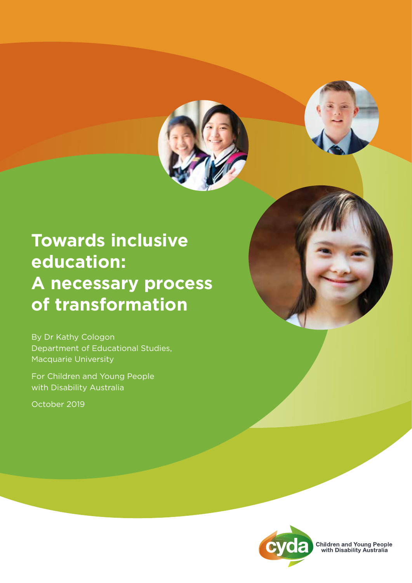

# **Towards inclusive education: A necessary process of transformation**

By Dr Kathy Cologon Department of Educational Studies, Macquarie University

For Children and Young People with Disability Australia

October 2019





**Children and Young People**<br>with Disability Australia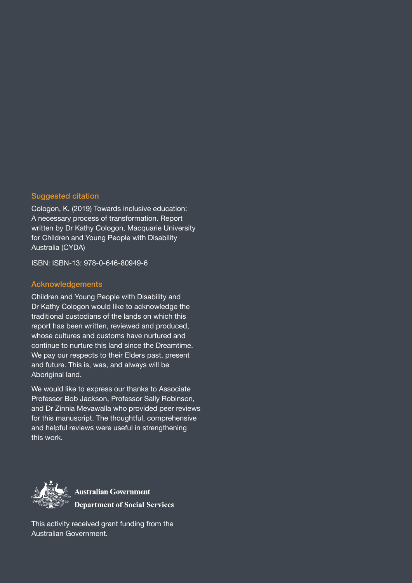#### Suggested citation

Cologon, K. (2019) Towards inclusive education: A necessary process of transformation. Report written by Dr Kathy Cologon, Macquarie University for Children and Young People with Disability Australia (CYDA)

ISBN: ISBN-13: 978-0-646-80949-6

#### Acknowledgements

Children and Young People with Disability and Dr Kathy Cologon would like to acknowledge the traditional custodians of the lands on which this report has been written, reviewed and produced, whose cultures and customs have nurtured and continue to nurture this land since the Dreamtime. We pay our respects to their Elders past, present and future. This is, was, and always will be Aboriginal land.

We would like to express our thanks to Associate Professor Bob Jackson, Professor Sally Robinson, and Dr Zinnia Mevawalla who provided peer reviews for this manuscript. The thoughtful, comprehensive and helpful reviews were useful in strengthening this work.



**Australian Government Department of Social Services** 

This activity received grant funding from the Australian Government.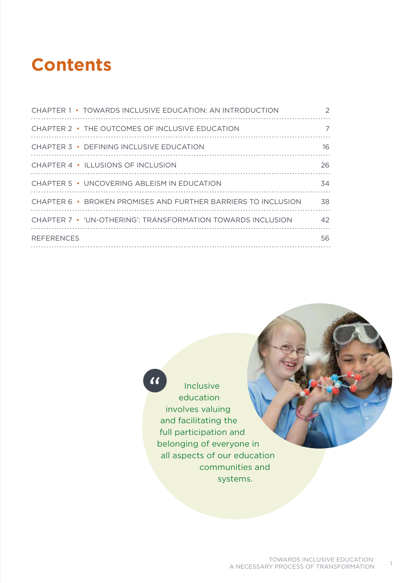# **Contents**

| CHAPTER 1 • TOWARDS INCLUSIVE EDUCATION: AN INTRODUCTION      | 2   |
|---------------------------------------------------------------|-----|
| CHAPTER 2 • THE OUTCOMES OF INCLUSIVE EDUCATION               | 7   |
| CHAPTER 3 • DEFINING INCLUSIVE EDUCATION                      | 16  |
| CHAPTER 4 • ILLUSIONS OF INCLUSION                            | 26  |
| CHAPTER 5 • UNCOVERING ABLEISM IN EDUCATION                   | 34  |
| CHAPTER 6 · BROKEN PROMISES AND FURTHER BARRIERS TO INCLUSION | 38  |
| CHAPTER 7 • 'UN-OTHERING': TRANSFORMATION TOWARDS INCLUSION   | 42  |
| <b>REFERENCES</b>                                             | 56. |
|                                                               |     |

# $\boldsymbol{u}$

Inclusive education involves valuing and facilitating the full participation and belonging of everyone in all aspects of our education communities and systems.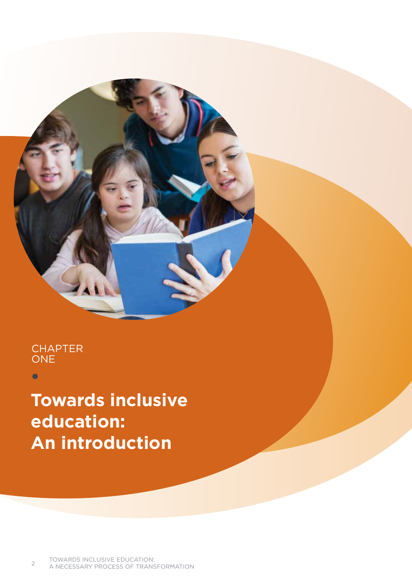## **CHAPTER ONE**

 $\bullet$ 

**Towards inclusive education: An introduction**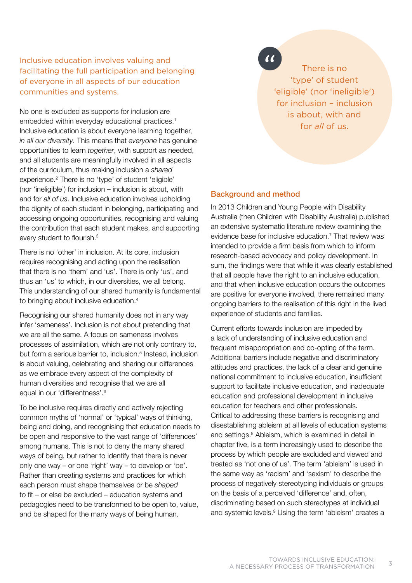Inclusive education involves valuing and facilitating the full participation and belonging of everyone in all aspects of our education communities and systems.

No one is excluded as supports for inclusion are embedded within everyday educational practices.<sup>1</sup> Inclusive education is about everyone learning together, *in all our diversity*. This means that *everyone* has genuine opportunities to learn *together*, with support as needed, and all students are meaningfully involved in all aspects of the curriculum, thus making inclusion a *shared* experience.2 There is no 'type' of student 'eligible' (nor 'ineligible') for inclusion – inclusion is about, with and for *all of us*. Inclusive education involves upholding the dignity of each student in belonging, participating and accessing ongoing opportunities, recognising and valuing the contribution that each student makes, and supporting every student to flourish.<sup>3</sup>

There is no 'other' in inclusion. At its core, inclusion requires recognising and acting upon the realisation that there is no 'them' and 'us'. There is only 'us', and thus an 'us' to which, in our diversities, we all belong. This understanding of our shared humanity is fundamental to bringing about inclusive education.<sup>4</sup>

Recognising our shared humanity does not in any way infer 'sameness'. Inclusion is not about pretending that we are all the same. A focus on sameness involves processes of assimilation, which are not only contrary to, but form a serious barrier to, inclusion.<sup>5</sup> Instead, inclusion is about valuing, celebrating and sharing our differences as we embrace every aspect of the complexity of human diversities and recognise that we are all equal in our 'differentness'.<sup>6</sup>

To be inclusive requires directly and actively rejecting common myths of 'normal' or 'typical' ways of thinking, being and doing, and recognising that education needs to be open and responsive to the vast range of 'differences' among humans. This is not to deny the many shared ways of being, but rather to identify that there is never only one way – or one 'right' way – to develop or 'be'. Rather than creating systems and practices for which each person must shape themselves or be *shaped* to fit – or else be excluded – education systems and pedagogies need to be transformed to be open to, value, and be shaped for the many ways of being human.

 $\overline{\mathcal{U}}$ 

There is no 'type' of student 'eligible' (nor 'ineligible') for inclusion – inclusion is about, with and for *all* of us.

#### Background and method

In 2013 Children and Young People with Disability Australia (then Children with Disability Australia) published an extensive systematic literature review examining the evidence base for inclusive education.<sup>7</sup> That review was intended to provide a firm basis from which to inform research-based advocacy and policy development. In sum, the findings were that while it was clearly established that all people have the right to an inclusive education, and that when inclusive education occurs the outcomes are positive for everyone involved, there remained many ongoing barriers to the realisation of this right in the lived experience of students and families.

Current efforts towards inclusion are impeded by a lack of understanding of inclusive education and frequent misappropriation and co-opting of the term. Additional barriers include negative and discriminatory attitudes and practices, the lack of a clear and genuine national commitment to inclusive education, insufficient support to facilitate inclusive education, and inadequate education and professional development in inclusive education for teachers and other professionals. Critical to addressing these barriers is recognising and disestablishing ableism at all levels of education systems and settings.<sup>8</sup> Ableism, which is examined in detail in chapter five, is a term increasingly used to describe the process by which people are excluded and viewed and treated as 'not one of us'. The term 'ableism' is used in the same way as 'racism' and 'sexism' to describe the process of negatively stereotyping individuals or groups on the basis of a perceived 'difference' and, often, discriminating based on such stereotypes at individual and systemic levels.<sup>9</sup> Using the term 'ableism' creates a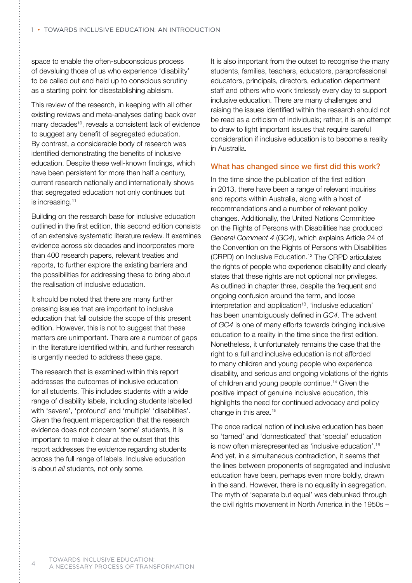space to enable the often-subconscious process of devaluing those of us who experience 'disability' to be called out and held up to conscious scrutiny as a starting point for disestablishing ableism.

This review of the research, in keeping with all other existing reviews and meta-analyses dating back over many decades<sup>10</sup>, reveals a consistent lack of evidence to suggest any benefit of segregated education. By contrast, a considerable body of research was identified demonstrating the benefits of inclusive education. Despite these well-known findings, which have been persistent for more than half a century, current research nationally and internationally shows that segregated education not only continues but is increasing.<sup>11</sup>

Building on the research base for inclusive education outlined in the first edition, this second edition consists of an extensive systematic literature review. It examines evidence across six decades and incorporates more than 400 research papers, relevant treaties and reports, to further explore the existing barriers and the possibilities for addressing these to bring about the realisation of inclusive education.

It should be noted that there are many further pressing issues that are important to inclusive education that fall outside the scope of this present edition. However, this is not to suggest that these matters are unimportant. There are a number of gaps in the literature identified within, and further research is urgently needed to address these gaps.

The research that is examined within this report addresses the outcomes of inclusive education for all students. This includes students with a wide range of disability labels, including students labelled with 'severe', 'profound' and 'multiple' 'disabilities'. Given the frequent misperception that the research evidence does not concern 'some' students, it is important to make it clear at the outset that this report addresses the evidence regarding students across the full range of labels. Inclusive education is about *all* students, not only some.

It is also important from the outset to recognise the many students, families, teachers, educators, paraprofessional educators, principals, directors, education department staff and others who work tirelessly every day to support inclusive education. There are many challenges and raising the issues identified within the research should not be read as a criticism of individuals; rather, it is an attempt to draw to light important issues that require careful consideration if inclusive education is to become a reality in Australia.

#### What has changed since we first did this work?

In the time since the publication of the first edition in 2013, there have been a range of relevant inquiries and reports within Australia, along with a host of recommendations and a number of relevant policy changes. Additionally, the United Nations Committee on the Rights of Persons with Disabilities has produced *General Comment 4* (*GC4*), which explains Article 24 of the Convention on the Rights of Persons with Disabilities (CRPD) on Inclusive Education.<sup>12</sup> The CRPD articulates the rights of people who experience disability and clearly states that these rights are not optional nor privileges. As outlined in chapter three, despite the frequent and ongoing confusion around the term, and loose interpretation and application<sup>13</sup>, 'inclusive education' has been unambiguously defined in *GC4*. The advent of *GC4* is one of many efforts towards bringing inclusive education to a reality in the time since the first edition. Nonetheless, it unfortunately remains the case that the right to a full and inclusive education is not afforded to many children and young people who experience disability, and serious and ongoing violations of the rights of children and young people continue.14 Given the positive impact of genuine inclusive education, this highlights the need for continued advocacy and policy change in this area.<sup>15</sup>

The once radical notion of inclusive education has been so 'tamed' and 'domesticated' that 'special' education is now often misrepresented as 'inclusive education'.<sup>16</sup> And yet, in a simultaneous contradiction, it seems that the lines between proponents of segregated and inclusive education have been, perhaps even more boldly, drawn in the sand. However, there is no equality in segregation. The myth of 'separate but equal' was debunked through the civil rights movement in North America in the 1950s –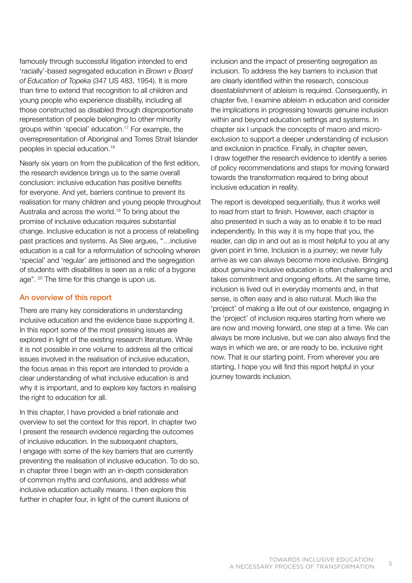famously through successful litigation intended to end 'racially'-based segregated education in *Brown v Board of Education of Topeka* (347 US 483, 1954). It is more than time to extend that recognition to all children and young people who experience disability, including all those constructed as disabled through disproportionate representation of people belonging to other minority groups within 'special' education.17 For example, the overrepresentation of Aboriginal and Torres Strait Islander peoples in special education.18

Nearly six years on from the publication of the first edition, the research evidence brings us to the same overall conclusion: inclusive education has positive benefits for everyone. And yet, barriers continue to prevent its realisation for many children and young people throughout Australia and across the world.19 To bring about the promise of inclusive education requires substantial change. Inclusive education is not a process of relabelling past practices and systems. As Slee argues, "…inclusive education is a call for a reformulation of schooling wherein 'special' and 'regular' are jettisoned and the segregation of students with disabilities is seen as a relic of a bygone age". 20 The time for this change is upon us.

#### An overview of this report

There are many key considerations in understanding inclusive education and the evidence base supporting it. In this report some of the most pressing issues are explored in light of the existing research literature. While it is not possible in one volume to address all the critical issues involved in the realisation of inclusive education, the focus areas in this report are intended to provide a clear understanding of what inclusive education is and why it is important, and to explore key factors in realising the right to education for all.

In this chapter, I have provided a brief rationale and overview to set the context for this report. In chapter two I present the research evidence regarding the outcomes of inclusive education. In the subsequent chapters, I engage with some of the key barriers that are currently preventing the realisation of inclusive education. To do so, in chapter three I begin with an in-depth consideration of common myths and confusions, and address what inclusive education actually means. I then explore this further in chapter four, in light of the current illusions of

inclusion and the impact of presenting segregation as inclusion. To address the key barriers to inclusion that are clearly identified within the research, conscious disestablishment of ableism is required. Consequently, in chapter five, I examine ableism in education and consider the implications in progressing towards genuine inclusion within and beyond education settings and systems. In chapter six I unpack the concepts of macro and microexclusion to support a deeper understanding of inclusion and exclusion in practice. Finally, in chapter seven, I draw together the research evidence to identify a series of policy recommendations and steps for moving forward towards the transformation required to bring about inclusive education in reality.

The report is developed sequentially, thus it works well to read from start to finish. However, each chapter is also presented in such a way as to enable it to be read independently. In this way it is my hope that you, the reader, can dip in and out as is most helpful to you at any given point in time. Inclusion is a journey; we never fully arrive as we can always become more inclusive. Bringing about genuine inclusive education is often challenging and takes commitment and ongoing efforts. At the same time, inclusion is lived out in everyday moments and, in that sense, is often easy and is also natural. Much like the 'project' of making a life out of our existence, engaging in the 'project' of inclusion requires starting from where we are now and moving forward, one step at a time. We can always be more inclusive, but we can also always find the ways in which we are, or are ready to be, inclusive right now. That is our starting point. From wherever you are starting, I hope you will find this report helpful in your journey towards inclusion.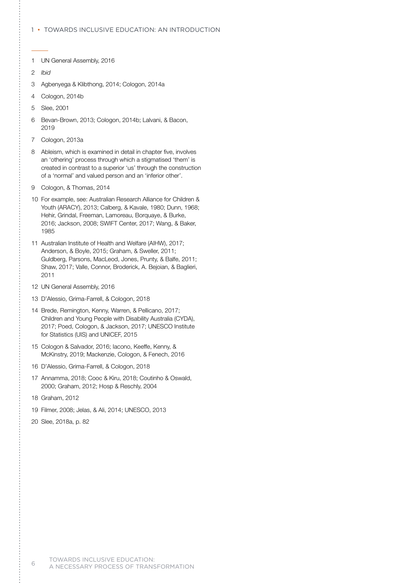#### 1 • Towards inclusive education: An introduction

- 1 UN General Assembly, 2016
- 2 *Ibid*
- 3 Agbenyega & Klibthong, 2014; Cologon, 2014a
- 4 Cologon, 2014b
- 5 Slee, 2001
- 6 Bevan-Brown, 2013; Cologon, 2014b; Lalvani, & Bacon, 2019
- 7 Cologon, 2013a
- 8 Ableism, which is examined in detail in chapter five, involves an 'othering' process through which a stigmatised 'them' is created in contrast to a superior 'us' through the construction of a 'normal' and valued person and an 'inferior other'.
- 9 Cologon, & Thomas, 2014
- 10 For example, see: Australian Research Alliance for Children & Youth (ARACY), 2013; Calberg, & Kavale, 1980; Dunn, 1968; Hehir, Grindal, Freeman, Lamoreau, Borquaye, & Burke, 2016; Jackson, 2008; SWIFT Center, 2017; Wang, & Baker, 1985
- 11 Australian Institute of Health and Welfare (AIHW), 2017; Anderson, & Boyle, 2015; Graham, & Sweller, 2011; Guldberg, Parsons, MacLeod, Jones, Prunty, & Balfe, 2011; Shaw, 2017; Valle, Connor, Broderick, A. Bejoian, & Baglieri, 2011
- 12 UN General Assembly, 2016
- 13 D'Alessio, Grima-Farrell, & Cologon, 2018
- 14 Brede, Remington, Kenny, Warren, & Pellicano, 2017; Children and Young People with Disability Australia (CYDA), 2017; Poed, Cologon, & Jackson, 2017; UNESCO Institute for Statistics (UIS) and UNICEF, 2015
- 15 Cologon & Salvador, 2016; Iacono, Keeffe, Kenny, & McKinstry, 2019; Mackenzie, Cologon, & Fenech, 2016
- 16 D'Alessio, Grima-Farrell, & Cologon, 2018
- 17 Annamma, 2018; Cooc & Kiru, 2018; Coutinho & Oswald, 2000; Graham, 2012; Hosp & Reschly, 2004
- 18 Graham, 2012
- 19 Filmer, 2008; Jelas, & Ali, 2014; UNESCO, 2013
- 20 Slee, 2018a, p. 82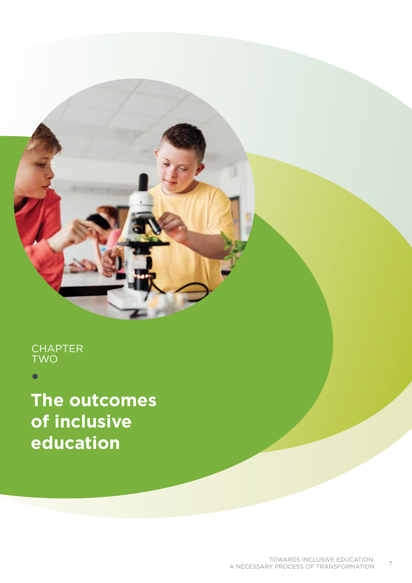# **CHAPTER TWC**

**The outcomes of inclusive education**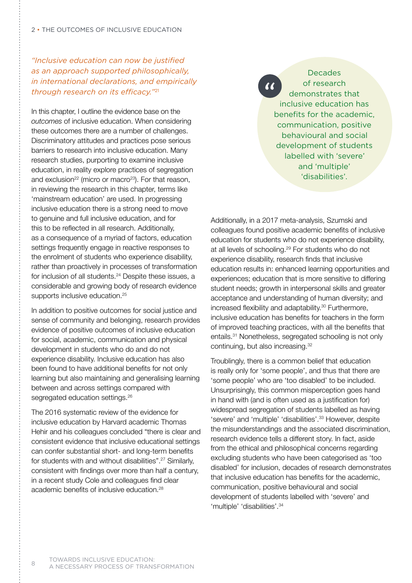*"Inclusive education can now be justified as an approach supported philosophically, in international declarations, and empirically through research on its efficacy."*<sup>21</sup>

In this chapter, I outline the evidence base on the *outcomes* of inclusive education. When considering these outcomes there are a number of challenges. Discriminatory attitudes and practices pose serious barriers to research into inclusive education. Many research studies, purporting to examine inclusive education, in reality explore practices of segregation and exclusion<sup>22</sup> (micro or macro<sup>23</sup>). For that reason, in reviewing the research in this chapter, terms like 'mainstream education' are used. In progressing inclusive education there is a strong need to move to genuine and full inclusive education, and for this to be reflected in all research. Additionally, as a consequence of a myriad of factors, education settings frequently engage in reactive responses to the enrolment of students who experience disability, rather than proactively in processes of transformation for inclusion of all students.<sup>24</sup> Despite these issues, a considerable and growing body of research evidence supports inclusive education.<sup>25</sup>

In addition to positive outcomes for social justice and sense of community and belonging, research provides evidence of positive outcomes of inclusive education for social, academic, communication and physical development in students who do and do not experience disability. Inclusive education has also been found to have additional benefits for not only learning but also maintaining and generalising learning between and across settings compared with segregated education settings.<sup>26</sup>

The 2016 systematic review of the evidence for inclusive education by Harvard academic Thomas Hehir and his colleagues concluded "there is clear and consistent evidence that inclusive educational settings can confer substantial short- and long-term benefits for students with and without disabilities".27 Similarly, consistent with findings over more than half a century, in a recent study Cole and colleagues find clear academic benefits of inclusive education.<sup>28</sup>

Decades of research  $\alpha$ demonstrates that inclusive education has benefits for the academic, communication, positive behavioural and social development of students labelled with 'severe' and 'multiple' 'disabilities'.

Additionally, in a 2017 meta-analysis, Szumski and colleagues found positive academic benefits of inclusive education for students who do not experience disability, at all levels of schooling.29 For students who do not experience disability, research finds that inclusive education results in: enhanced learning opportunities and experiences; education that is more sensitive to differing student needs; growth in interpersonal skills and greater acceptance and understanding of human diversity; and increased flexibility and adaptability.<sup>30</sup> Furthermore, inclusive education has benefits for teachers in the form of improved teaching practices, with all the benefits that entails.31 Nonetheless, segregated schooling is not only continuing, but also increasing.32

Troublingly, there is a common belief that education is really only for 'some people', and thus that there are 'some people' who are 'too disabled' to be included. Unsurprisingly, this common misperception goes hand in hand with (and is often used as a justification for) widespread segregation of students labelled as having 'severe' and 'multiple' 'disabilities'.<sup>33</sup> However, despite the misunderstandings and the associated discrimination, research evidence tells a different story. In fact, aside from the ethical and philosophical concerns regarding excluding students who have been categorised as 'too disabled' for inclusion, decades of research demonstrates that inclusive education has benefits for the academic, communication, positive behavioural and social development of students labelled with 'severe' and 'multiple' 'disabilities'.34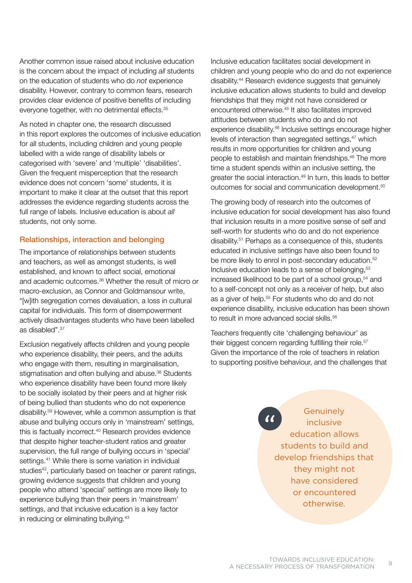Another common issue raised about inclusive education is the concern about the impact of including *all* students on the education of students who do *not* experience disability. However, contrary to common fears, research provides clear evidence of positive benefits of including everyone together, with no detrimental effects.<sup>35</sup>

As noted in chapter one, the research discussed in this report explores the outcomes of inclusive education for all students, including children and young people labelled with a wide range of disability labels or categorised with 'severe' and 'multiple' 'disabilities'. Given the frequent misperception that the research evidence does not concern 'some' students, it is important to make it clear at the outset that this report addresses the evidence regarding students across the full range of labels. Inclusive education is about *all* students, not only some.

#### Relationships, interaction and belonging

The importance of relationships between students and teachers, as well as amongst students, is well established, and known to affect social, emotional and academic outcomes.36 Whether the result of micro or macro-exclusion, as Connor and Goldmansour write, "[w]ith segregation comes devaluation, a loss in cultural capital for individuals. This form of disempowerment actively disadvantages students who have been labelled as disabled".37

Exclusion negatively affects children and young people who experience disability, their peers, and the adults who engage with them, resulting in marginalisation, stigmatisation and often bullying and abuse.<sup>38</sup> Students who experience disability have been found more likely to be socially isolated by their peers and at higher risk of being bullied than students who do not experience disability.39 However, while a common assumption is that abuse and bullying occurs only in 'mainstream' settings, this is factually incorrect.<sup>40</sup> Research provides evidence that despite higher teacher-student ratios and greater supervision, the full range of bullying occurs in 'special' settings.<sup>41</sup> While there is some variation in individual studies<sup>42</sup>, particularly based on teacher or parent ratings, growing evidence suggests that children and young people who attend 'special' settings are more likely to experience bullying than their peers in 'mainstream' settings, and that inclusive education is a key factor in reducing or eliminating bullying.<sup>43</sup>

Inclusive education facilitates social development in children and young people who do and do not experience disability.44 Research evidence suggests that genuinely inclusive education allows students to build and develop friendships that they might not have considered or encountered otherwise.45 It also facilitates improved attitudes between students who do and do not experience disability.46 Inclusive settings encourage higher levels of interaction than segregated settings,<sup>47</sup> which results in more opportunities for children and young people to establish and maintain friendships.48 The more time a student spends within an inclusive setting, the greater the social interaction.<sup>49</sup> In turn, this leads to better outcomes for social and communication development.50

The growing body of research into the outcomes of inclusive education for social development has also found that inclusion results in a more positive sense of self and self-worth for students who do and do not experience disability.51 Perhaps as a consequence of this, students educated in inclusive settings have also been found to be more likely to enrol in post-secondary education.<sup>52</sup> Inclusive education leads to a sense of belonging.<sup>53</sup> increased likelihood to be part of a school group,54 and to a self-concept not only as a receiver of help, but also as a giver of help.<sup>55</sup> For students who do and do not experience disability, inclusive education has been shown to result in more advanced social skills.<sup>56</sup>

Teachers frequently cite 'challenging behaviour' as their biggest concern regarding fulfilling their role.<sup>57</sup> Given the importance of the role of teachers in relation to supporting positive behaviour, and the challenges that

> **Genuinely** inclusive education allows students to build and develop friendships that they might not have considered or encountered otherwise.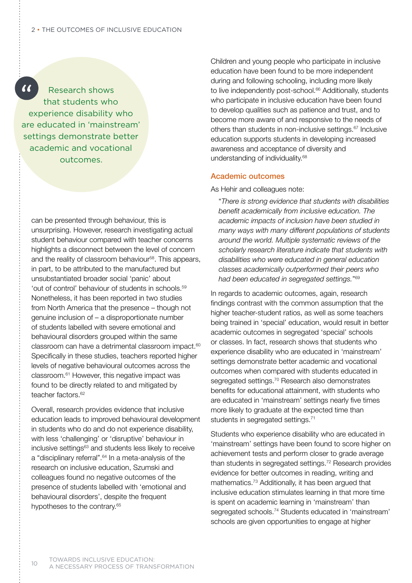$\alpha$ Research shows that students who experience disability who are educated in 'mainstream' settings demonstrate better academic and vocational outcomes.

can be presented through behaviour, this is unsurprising. However, research investigating actual student behaviour compared with teacher concerns highlights a disconnect between the level of concern and the reality of classroom behaviour<sup>58</sup>. This appears, in part, to be attributed to the manufactured but unsubstantiated broader social 'panic' about 'out of control' behaviour of students in schools.59 Nonetheless, it has been reported in two studies from North America that the presence – though not genuine inclusion of – a disproportionate number of students labelled with severe emotional and behavioural disorders grouped within the same classroom can have a detrimental classroom impact.<sup>60</sup> Specifically in these studies, teachers reported higher levels of negative behavioural outcomes across the classroom.61 However, this negative impact was found to be directly related to and mitigated by teacher factors.<sup>62</sup>

Overall, research provides evidence that inclusive education leads to improved behavioural development in students who do and do not experience disability, with less 'challenging' or 'disruptive' behaviour in inclusive settings<sup>63</sup> and students less likely to receive a "disciplinary referral".<sup>64</sup> In a meta-analysis of the research on inclusive education, Szumski and colleagues found no negative outcomes of the presence of students labelled with 'emotional and behavioural disorders', despite the frequent hypotheses to the contrary.<sup>65</sup>

Children and young people who participate in inclusive education have been found to be more independent during and following schooling, including more likely to live independently post-school.<sup>66</sup> Additionally, students who participate in inclusive education have been found to develop qualities such as patience and trust, and to become more aware of and responsive to the needs of others than students in non-inclusive settings.67 Inclusive education supports students in developing increased awareness and acceptance of diversity and understanding of individuality.68

#### Academic outcomes

As Hehir and colleagues note:

 "*There is strong evidence that students with disabilities benefit academically from inclusive education. The academic impacts of inclusion have been studied in many ways with many different populations of students around the world. Multiple systematic reviews of the scholarly research literature indicate that students with disabilities who were educated in general education classes academically outperformed their peers who had been educated in segregated settings.*"69

In regards to academic outcomes, again, research findings contrast with the common assumption that the higher teacher-student ratios, as well as some teachers being trained in 'special' education, would result in better academic outcomes in segregated 'special' schools or classes. In fact, research shows that students who experience disability who are educated in 'mainstream' settings demonstrate better academic and vocational outcomes when compared with students educated in segregated settings.<sup>70</sup> Research also demonstrates benefits for educational attainment, with students who are educated in 'mainstream' settings nearly five times more likely to graduate at the expected time than students in segregated settings.<sup>71</sup>

Students who experience disability who are educated in 'mainstream' settings have been found to score higher on achievement tests and perform closer to grade average than students in segregated settings.72 Research provides evidence for better outcomes in reading, writing and mathematics.73 Additionally, it has been argued that inclusive education stimulates learning in that more time is spent on academic learning in 'mainstream' than segregated schools.74 Students educated in 'mainstream' schools are given opportunities to engage at higher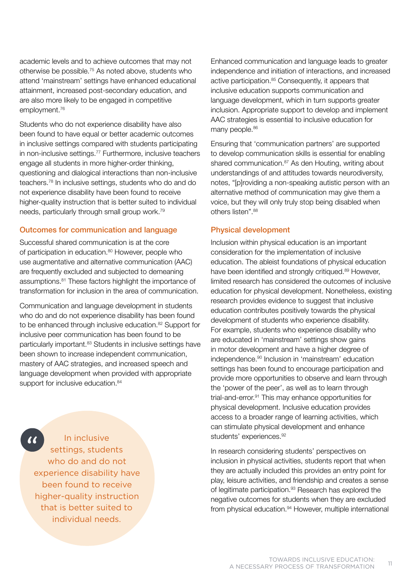academic levels and to achieve outcomes that may not otherwise be possible.75 As noted above, students who attend 'mainstream' settings have enhanced educational attainment, increased post-secondary education, and are also more likely to be engaged in competitive employment.76

Students who do not experience disability have also been found to have equal or better academic outcomes in inclusive settings compared with students participating in non-inclusive settings.77 Furthermore, inclusive teachers engage all students in more higher-order thinking, questioning and dialogical interactions than non-inclusive teachers.78 In inclusive settings, students who do and do not experience disability have been found to receive higher-quality instruction that is better suited to individual needs, particularly through small group work.79

#### Outcomes for communication and language

Successful shared communication is at the core of participation in education.<sup>80</sup> However, people who use augmentative and alternative communication (AAC) are frequently excluded and subjected to demeaning assumptions.81 These factors highlight the importance of transformation for inclusion in the area of communication.

Communication and language development in students who do and do not experience disability has been found to be enhanced through inclusive education.<sup>82</sup> Support for inclusive peer communication has been found to be particularly important.<sup>83</sup> Students in inclusive settings have been shown to increase independent communication, mastery of AAC strategies, and increased speech and language development when provided with appropriate support for inclusive education.<sup>84</sup>

 $\alpha$ 

In inclusive settings, students who do and do not experience disability have been found to receive higher-quality instruction that is better suited to individual needs.

Enhanced communication and language leads to greater independence and initiation of interactions, and increased active participation.<sup>85</sup> Consequently, it appears that inclusive education supports communication and language development, which in turn supports greater inclusion. Appropriate support to develop and implement AAC strategies is essential to inclusive education for many people.<sup>86</sup>

Ensuring that 'communication partners' are supported to develop communication skills is essential for enabling shared communication.<sup>87</sup> As den Houting, writing about understandings of and attitudes towards neurodiversity, notes, "[p]roviding a non-speaking autistic person with an alternative method of communication may give them a voice, but they will only truly stop being disabled when others listen".<sup>88</sup>

#### Physical development

Inclusion within physical education is an important consideration for the implementation of inclusive education. The ableist foundations of physical education have been identified and strongly critiqued.<sup>89</sup> However, limited research has considered the outcomes of inclusive education for physical development. Nonetheless, existing research provides evidence to suggest that inclusive education contributes positively towards the physical development of students who experience disability. For example, students who experience disability who are educated in 'mainstream' settings show gains in motor development and have a higher degree of independence.90 Inclusion in 'mainstream' education settings has been found to encourage participation and provide more opportunities to observe and learn through the 'power of the peer', as well as to learn through trial-and-error.91 This may enhance opportunities for physical development. Inclusive education provides access to a broader range of learning activities, which can stimulate physical development and enhance students' experiences.<sup>92</sup>

In research considering students' perspectives on inclusion in physical activities, students report that when they are actually included this provides an entry point for play, leisure activities, and friendship and creates a sense of legitimate participation.<sup>93</sup> Research has explored the negative outcomes for students when they are excluded from physical education.<sup>94</sup> However, multiple international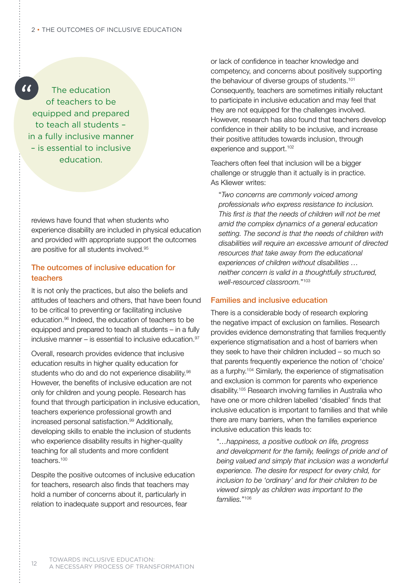$\alpha$ The education of teachers to be equipped and prepared to teach all students – in a fully inclusive manner – is essential to inclusive education.

reviews have found that when students who experience disability are included in physical education and provided with appropriate support the outcomes are positive for all students involved.95

#### The outcomes of inclusive education for teachers

It is not only the practices, but also the beliefs and attitudes of teachers and others, that have been found to be critical to preventing or facilitating inclusive education.96 Indeed, the education of teachers to be equipped and prepared to teach all students – in a fully inclusive manner – is essential to inclusive education. $97$ 

Overall, research provides evidence that inclusive education results in higher quality education for students who do and do not experience disability.<sup>98</sup> However, the benefits of inclusive education are not only for children and young people. Research has found that through participation in inclusive education, teachers experience professional growth and increased personal satisfaction.<sup>99</sup> Additionally, developing skills to enable the inclusion of students who experience disability results in higher-quality teaching for all students and more confident teachers.<sup>100</sup>

Despite the positive outcomes of inclusive education for teachers, research also finds that teachers may hold a number of concerns about it, particularly in relation to inadequate support and resources, fear

or lack of confidence in teacher knowledge and competency, and concerns about positively supporting the behaviour of diverse groups of students.<sup>101</sup> Consequently, teachers are sometimes initially reluctant to participate in inclusive education and may feel that they are not equipped for the challenges involved. However, research has also found that teachers develop confidence in their ability to be inclusive, and increase their positive attitudes towards inclusion, through experience and support.<sup>102</sup>

Teachers often feel that inclusion will be a bigger challenge or struggle than it actually is in practice. As Kliewer writes:

 "*Two concerns are commonly voiced among professionals who express resistance to inclusion. This first is that the needs of children will not be met amid the complex dynamics of a general education setting. The second is that the needs of children with disabilities will require an excessive amount of directed resources that take away from the educational experiences of children without disabilities … neither concern is valid in a thoughtfully structured, well-resourced classroom.*"103

#### Families and inclusive education

There is a considerable body of research exploring the negative impact of exclusion on families. Research provides evidence demonstrating that families frequently experience stigmatisation and a host of barriers when they seek to have their children included – so much so that parents frequently experience the notion of 'choice' as a furphy.104 Similarly, the experience of stigmatisation and exclusion is common for parents who experience disability.105 Research involving families in Australia who have one or more children labelled 'disabled' finds that inclusive education is important to families and that while there are many barriers, when the families experience inclusive education this leads to:

 "*…happiness, a positive outlook on life, progress and development for the family, feelings of pride and of being valued and simply that inclusion was a wonderful experience. The desire for respect for every child, for inclusion to be 'ordinary' and for their children to be viewed simply as children was important to the families.*"106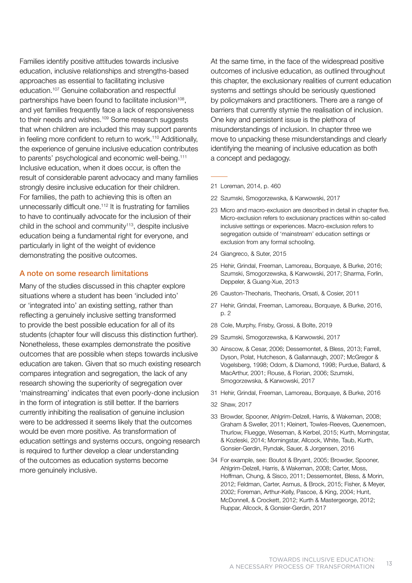Families identify positive attitudes towards inclusive education, inclusive relationships and strengths-based approaches as essential to facilitating inclusive education.107 Genuine collaboration and respectful partnerships have been found to facilitate inclusion<sup>108</sup>, and yet families frequently face a lack of responsiveness to their needs and wishes.<sup>109</sup> Some research suggests that when children are included this may support parents in feeling more confident to return to work.<sup>110</sup> Additionally, the experience of genuine inclusive education contributes to parents' psychological and economic well-being.111 Inclusive education, when it does occur, is often the result of considerable parent advocacy and many families strongly desire inclusive education for their children. For families, the path to achieving this is often an unnecessarily difficult one.<sup>112</sup> It is frustrating for families to have to continually advocate for the inclusion of their child in the school and community<sup>113</sup>, despite inclusive education being a fundamental right for everyone, and particularly in light of the weight of evidence demonstrating the positive outcomes.

#### A note on some research limitations

Many of the studies discussed in this chapter explore situations where a student has been 'included into' or 'integrated into' an existing setting, rather than reflecting a genuinely inclusive setting transformed to provide the best possible education for all of its students (chapter four will discuss this distinction further). Nonetheless, these examples demonstrate the positive outcomes that are possible when steps towards inclusive education are taken. Given that so much existing research compares integration and segregation, the lack of any research showing the superiority of segregation over 'mainstreaming' indicates that even poorly-done inclusion in the form of integration is still better. If the barriers currently inhibiting the realisation of genuine inclusion were to be addressed it seems likely that the outcomes would be even more positive. As transformation of education settings and systems occurs, ongoing research is required to further develop a clear understanding of the outcomes as education systems become more genuinely inclusive.

At the same time, in the face of the widespread positive outcomes of inclusive education, as outlined throughout this chapter, the exclusionary realities of current education systems and settings should be seriously questioned by policymakers and practitioners. There are a range of barriers that currently stymie the realisation of inclusion. One key and persistent issue is the plethora of misunderstandings of inclusion. In chapter three we move to unpacking these misunderstandings and clearly identifying the meaning of inclusive education as both a concept and pedagogy.

- 21 Loreman, 2014, p. 460
- 22 Szumski, Smogorzewska, & Karwowski, 2017
- 23 Micro and macro-exclusion are described in detail in chapter five. Micro-exclusion refers to exclusionary practices within so-called inclusive settings or experiences. Macro-exclusion refers to segregation outside of 'mainstream' education settings or exclusion from any formal schooling.
- 24 Giangreco, & Suter, 2015
- 25 Hehir, Grindal, Freeman, Lamoreau, Borquaye, & Burke, 2016; Szumski, Smogorzewska, & Karwowski, 2017; Sharma, Forlin, Deppeler, & Guang-Xue, 2013
- 26 Causton-Theoharis, Theoharis, Orsati, & Cosier, 2011
- 27 Hehir, Grindal, Freeman, Lamoreau, Borquaye, & Burke, 2016, p. 2
- 28 Cole, Murphy, Frisby, Grossi, & Bolte, 2019
- 29 Szumski, Smogorzewska, & Karwowski, 2017
- 30 Ainscow, & Cesar, 2006; Dessemontet, & Bless, 2013; Farrell, Dyson, Polat, Hutcheson, & Gallannaugh, 2007; McGregor & Vogelsberg, 1998; Odom, & Diamond, 1998; Purdue, Ballard, & MacArthur, 2001; Rouse, & Florian, 2006; Szumski, Smogorzewska, & Karwowski, 2017
- 31 Hehir, Grindal, Freeman, Lamoreau, Borquaye, & Burke, 2016
- 32 Shaw, 2017
- 33 Browder, Spooner, Ahlgrim-Delzell, Harris, & Wakeman, 2008; Graham & Sweller, 2011; Kleinert, Towles-Reeves, Quenemoen, Thurlow, Fluegge, Weseman, & Kerbel, 2015; Kurth, Morningstar, & Kozleski, 2014; Morningstar, Allcock, White, Taub, Kurth, Gonsier-Gerdin, Ryndak, Sauer, & Jorgensen, 2016
- 34 For example, see: Boutot & Bryant, 2005; Browder, Spooner, Ahlgrim-Delzell, Harris, & Wakeman, 2008; Carter, Moss, Hoffman, Chung, & Sisco, 2011; Dessemontet, Bless, & Morin, 2012; Feldman, Carter, Asmus, & Brock, 2015; Fisher, & Meyer, 2002; Foreman, Arthur-Kelly, Pascoe, & King, 2004; Hunt, McDonnell, & Crockett, 2012; Kurth & Mastergeorge, 2012; Ruppar, Allcock, & Gonsier-Gerdin, 2017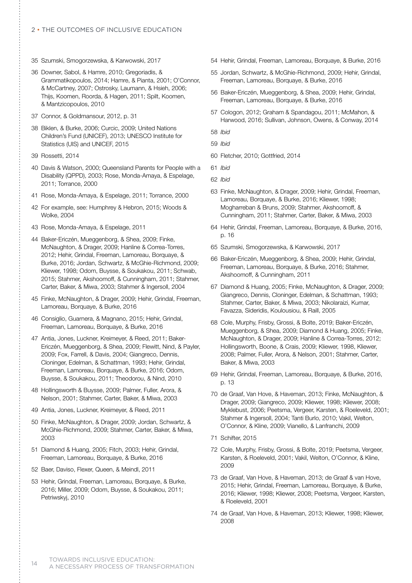- 35 Szumski, Smogorzewska, & Karwowski, 2017
- 36 Downer, Sabol, & Hamre, 2010; Gregoriadis, & Grammatikopoulos, 2014; Hamre, & Pianta, 2001; O'Connor, & McCartney, 2007; Ostrosky, Laumann, & Hsieh, 2006; Thijs, Koomen, Roorda, & Hagen, 2011; Spilt, Koomen, & Mantzicopoulos, 2010
- 37 Connor, & Goldmansour, 2012, p. 31
- 38 Biklen, & Burke, 2006; Curcic, 2009; United Nations Children's Fund (UNICEF), 2013; UNESCO Institute for Statistics (UIS) and UNICEF, 2015
- 39 Rossetti, 2014
- 40 Davis & Watson, 2000; Queensland Parents for People with a Disability (QPPD), 2003; Rose, Monda-Amaya, & Espelage, 2011; Torrance, 2000
- 41 Rose, Monda-Amaya, & Espelage, 2011; Torrance, 2000
- 42 For example, see: Humphrey & Hebron, 2015; Woods & Wolke, 2004
- 43 Rose, Monda-Amaya, & Espelage, 2011
- 44 Baker-Ericzén, Mueggenborg, & Shea, 2009; Finke, McNaughton, & Drager, 2009; Hanline & Correa-Torres, 2012; Hehir, Grindal, Freeman, Lamoreau, Borquaye, & Burke, 2016; Jordan, Schwartz, & McGhie-Richmond, 2009; Kliewer, 1998; Odom, Buysse, & Soukakou, 2011; Schwab, 2015; Stahmer, Akshoomoff, & Cunningham, 2011; Stahmer, Carter, Baker, & Miwa, 2003; Stahmer & Ingersoll, 2004
- 45 Finke, McNaughton, & Drager, 2009; Hehir, Grindal, Freeman, Lamoreau, Borquaye, & Burke, 2016
- 46 Consiglio, Guarnera, & Magnano, 2015; Hehir, Grindal, Freeman, Lamoreau, Borquaye, & Burke, 2016
- 47 Antia, Jones, Luckner, Kreimeyer, & Reed, 2011; Baker-Ericzén, Mueggenborg, & Shea, 2009; Flewitt, Nind, & Payler, 2009; Fox, Farrell, & Davis, 2004; Giangreco, Dennis, Cloninger, Edelman, & Schattman, 1993; Hehir, Grindal, Freeman, Lamoreau, Borquaye, & Burke, 2016; Odom, Buysse, & Soukakou, 2011; Theodorou, & Nind, 2010
- 48 Hollingsworth & Buysse, 2009; Palmer, Fuller, Arora, & Nelson, 2001; Stahmer, Carter, Baker, & Miwa, 2003
- 49 Antia, Jones, Luckner, Kreimeyer, & Reed, 2011
- 50 Finke, McNaughton, & Drager, 2009; Jordan, Schwartz, & McGhie-Richmond, 2009; Stahmer, Carter, Baker, & Miwa, 2003
- 51 Diamond & Huang, 2005; Fitch, 2003; Hehir, Grindal, Freeman, Lamoreau, Borquaye, & Burke, 2016
- 52 Baer, Daviso, Flexer, Queen, & Meindl, 2011
- 53 Hehir, Grindal, Freeman, Lamoreau, Borquaye, & Burke, 2016; Miller, 2009; Odom, Buysse, & Soukakou, 2011; Petriwskyj, 2010
- 54 Hehir, Grindal, Freeman, Lamoreau, Borquaye, & Burke, 2016
- 55 Jordan, Schwartz, & McGhie-Richmond, 2009; Hehir, Grindal, Freeman, Lamoreau, Borquaye, & Burke, 2016
- 56 Baker-Ericzén, Mueggenborg, & Shea, 2009; Hehir, Grindal, Freeman, Lamoreau, Borquaye, & Burke, 2016
- 57 Cologon, 2012; Graham & Spandagou, 2011; McMahon, & Harwood, 2016; Sullivan, Johnson, Owens, & Conway, 2014
- 58 *Ibid*
- 59 *Ibid*
- 60 Fletcher, 2010; Gottfried, 2014
- 61 *Ibid*
- 62 *Ibid*
- 63 Finke, McNaughton, & Drager, 2009; Hehir, Grindal, Freeman, Lamoreau, Borquaye, & Burke, 2016; Kliewer, 1998; Mogharreban & Bruns, 2009; Stahmer, Akshoomoff, & Cunningham, 2011; Stahmer, Carter, Baker, & Miwa, 2003
- 64 Hehir, Grindal, Freeman, Lamoreau, Borquaye, & Burke, 2016, p. 16
- 65 Szumski, Smogorzewska, & Karwowski, 2017
- 66 Baker-Ericzén, Mueggenborg, & Shea, 2009; Hehir, Grindal, Freeman, Lamoreau, Borquaye, & Burke, 2016; Stahmer, Akshoomoff, & Cunningham, 2011
- 67 Diamond & Huang, 2005; Finke, McNaughton, & Drager, 2009; Giangreco, Dennis, Cloninger, Edelman, & Schattman, 1993; Stahmer, Carter, Baker, & Miwa, 2003; Nikolaraizi, Kumar, Favazza, Sideridis, Koulousiou, & Raill, 2005
- 68 Cole, Murphy, Frisby, Grossi, & Bolte, 2019; Baker-Ericzén, Mueggenborg, & Shea, 2009; Diamond & Huang, 2005; Finke, McNaughton, & Drager, 2009; Hanline & Correa-Torres, 2012; Hollingsworth, Boone, & Crais, 2009; Kliewer, 1998, Kliewer, 2008; Palmer, Fuller, Arora, & Nelson, 2001; Stahmer, Carter, Baker, & Miwa, 2003
- 69 Hehir, Grindal, Freeman, Lamoreau, Borquaye, & Burke, 2016, p. 13
- 70 de Graaf, Van Hove, & Haveman, 2013; Finke, McNaughton, & Drager, 2009; Giangreco, 2009; Kliewer, 1998; Kliewer, 2008; Myklebust, 2006; Peetsma, Vergeer, Karsten, & Roeleveld, 2001; Stahmer & Ingersoll, 2004; Tanti Burlo, 2010; Vakil, Welton, O'Connor, & Kline, 2009; Vianello, & Lanfranchi, 2009
- 71 Schifter, 2015
- 72 Cole, Murphy, Frisby, Grossi, & Bolte, 2019; Peetsma, Vergeer, Karsten, & Roeleveld, 2001; Vakil, Welton, O'Connor, & Kline, 2009
- 73 de Graaf, Van Hove, & Haveman, 2013; de Graaf & van Hove, 2015; Hehir, Grindal, Freeman, Lamoreau, Borquaye, & Burke, 2016; Kliewer, 1998; Kliewer, 2008; Peetsma, Vergeer, Karsten, & Roeleveld, 2001
- 74 de Graaf, Van Hove, & Haveman, 2013; Kliewer, 1998; Kliewer, 2008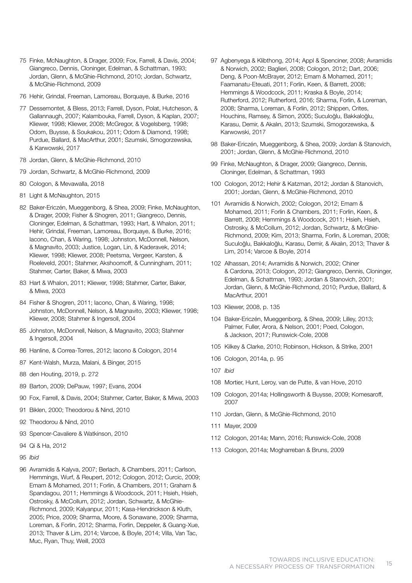- 75 Finke, McNaughton, & Drager, 2009; Fox, Farrell, & Davis, 2004; Giangreco, Dennis, Cloninger, Edelman, & Schattman, 1993; Jordan, Glenn, & McGhie-Richmond, 2010; Jordan, Schwartz, & McGhie-Richmond, 2009
- 76 Hehir, Grindal, Freeman, Lamoreau, Borquaye, & Burke, 2016
- 77 Dessemontet, & Bless, 2013; Farrell, Dyson, Polat, Hutcheson, & Gallannaugh, 2007; Kalambouka, Farrell, Dyson, & Kaplan, 2007; Kliewer, 1998; Kliewer, 2008; McGregor, & Vogelsberg, 1998; Odom, Buysse, & Soukakou, 2011; Odom & Diamond, 1998; Purdue, Ballard, & MacArthur, 2001; Szumski, Smogorzewska, & Karwowski, 2017
- 78 Jordan, Glenn, & McGhie-Richmond, 2010
- 79 Jordan, Schwartz, & McGhie-Richmond, 2009
- 80 Cologon, & Mevawalla, 2018
- 81 Light & McNaughton, 2015
- 82 Baker-Ericzén, Mueggenborg, & Shea, 2009; Finke, McNaughton, & Drager, 2009; Fisher & Shogren, 2011; Giangreco, Dennis, Cloninger, Edelman, & Schattman, 1993; Hart, & Whalon, 2011; Hehir, Grindal, Freeman, Lamoreau, Borquaye, & Burke, 2016; Iacono, Chan, & Waring, 1998; Johnston, McDonnell, Nelson, & Magnavito, 2003; Justice, Logan, Lin, & Kaderavek, 2014; Kliewer, 1998; Kliewer, 2008; Peetsma, Vergeer, Karsten, & Roeleveld, 2001; Stahmer, Akshoomoff, & Cunningham, 2011; Stahmer, Carter, Baker, & Miwa, 2003
- 83 Hart & Whalon, 2011; Kliewer, 1998; Stahmer, Carter, Baker, & Miwa, 2003
- 84 Fisher & Shogren, 2011; Iacono, Chan, & Waring, 1998; Johnston, McDonnell, Nelson, & Magnavito, 2003; Kliewer, 1998; Kliewer, 2008; Stahmer & Ingersoll, 2004
- 85 Johnston, McDonnell, Nelson, & Magnavito, 2003; Stahmer & Ingersoll, 2004
- 86 Hanline, & Correa-Torres, 2012; Iacono & Cologon, 2014
- 87 Kent-Walsh, Murza, Malani, & Binger, 2015
- 88 den Houting, 2019, p. 272
- 89 Barton, 2009; DePauw, 1997; Evans, 2004
- 90 Fox, Farrell, & Davis, 2004; Stahmer, Carter, Baker, & Miwa, 2003
- 91 Biklen, 2000; Theodorou & Nind, 2010
- 92 Theodorou & Nind, 2010
- 93 Spencer-Cavaliere & Watkinson, 2010
- 94 Qi & Ha, 2012
- 95 *Ibid*
- 96 Avramidis & Kalyva, 2007; Berlach, & Chambers, 2011; Carlson, Hemmings, Wurf, & Reupert, 2012; Cologon, 2012; Curcic, 2009; Emam & Mohamed, 2011; Forlin, & Chambers, 2011; Graham & Spandagou, 2011; Hemmings & Woodcock, 2011; Hsieh, Hsieh, Ostrosky, & McCollum, 2012; Jordan, Schwartz, & McGhie-Richmond, 2009; Kalyanpur, 2011; Kasa-Hendrickson & Kluth, 2005; Price, 2009; Sharma, Moore, & Sonawane, 2009; Sharma, Loreman, & Forlin, 2012; Sharma, Forlin, Deppeler, & Guang-Xue, 2013; Thaver & Lim, 2014; Varcoe, & Boyle, 2014; Villa, Van Tac, Muc, Ryan, Thuy, Weill, 2003
- 97 Agbenyega & Klibthong, 2014; Appl & Spenciner, 2008; Avramidis & Norwich, 2002; Baglieri, 2008; Cologon, 2012; Dart, 2006; Deng, & Poon-McBrayer, 2012; Emam & Mohamed, 2011; Faamanatu-Eteuati, 2011; Forlin, Keen, & Barrett, 2008; Hemmings & Woodcock, 2011; Kraska & Boyle, 2014; Rutherford, 2012; Rutherford, 2016; Sharma, Forlin, & Loreman, 2008; Sharma, Loreman, & Forlin, 2012; Shippen, Crites, Houchins, Ramsey, & Simon, 2005; Suculoğlu, Bakkaloğlu, Karasu, Demir, & Akalın, 2013; Szumski, Smogorzewska, & Karwowski, 2017
- 98 Baker-Ericzén, Mueggenborg, & Shea, 2009; Jordan & Stanovich, 2001; Jordan, Glenn, & McGhie-Richmond, 2010
- 99 Finke, McNaughton, & Drager, 2009; Giangreco, Dennis, Cloninger, Edelman, & Schattman, 1993
- 100 Cologon, 2012; Hehir & Katzman, 2012; Jordan & Stanovich, 2001; Jordan, Glenn, & McGhie-Richmond, 2010
- 101 Avramidis & Norwich, 2002; Cologon, 2012; Emam & Mohamed, 2011; Forlin & Chambers, 2011; Forlin, Keen, & Barrett, 2008; Hemmings & Woodcock, 2011; Hsieh, Hsieh, Ostrosky, & McCollum, 2012; Jordan, Schwartz, & McGhie-Richmond, 2009; Kim, 2013; Sharma, Forlin, & Loreman, 2008; Suculoğlu, Bakkaloğlu, Karasu, Demir, & Akalın, 2013; Thaver & Lim, 2014; Varcoe & Boyle, 2014
- 102 Alhassan, 2014; Avramidis & Norwich, 2002; Chiner & Cardona, 2013; Cologon, 2012; Giangreco, Dennis, Cloninger, Edelman, & Schattman, 1993; Jordan & Stanovich, 2001; Jordan, Glenn, & McGhie-Richmond, 2010; Purdue, Ballard, & MacArthur, 2001
- 103 Kliewer, 2008, p. 135
- 104 Baker-Ericzén, Mueggenborg, & Shea, 2009; Lilley, 2013; Palmer, Fuller, Arora, & Nelson, 2001; Poed, Cologon, & Jackson, 2017; Runswick-Cole, 2008
- 105 Kilkey & Clarke, 2010; Robinson, Hickson, & Strike, 2001
- 106 Cologon, 2014a, p. 95
- 107 *Ibid*
- 108 Mortier, Hunt, Leroy, van de Putte, & van Hove, 2010
- 109 Cologon, 2014a; Hollingsworth & Buysse, 2009; Komesaroff, 2007
- 110 Jordan, Glenn, & McGhie-Richmond, 2010
- 111 Mayer, 2009
- 112 Cologon, 2014a; Mann, 2016; Runswick-Cole, 2008
- 113 Cologon, 2014a; Mogharreban & Bruns, 2009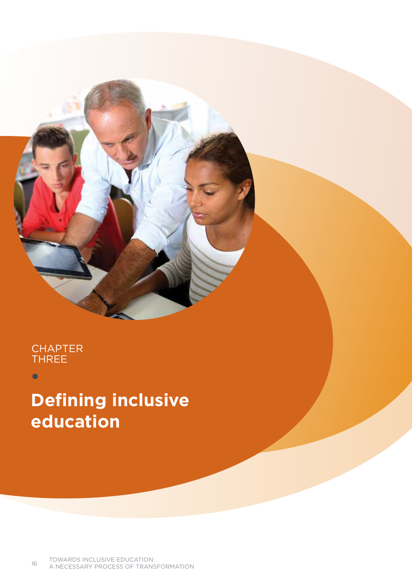## **CHAPTER THRE**

 $\bullet$ 

# **Defining inclusive education**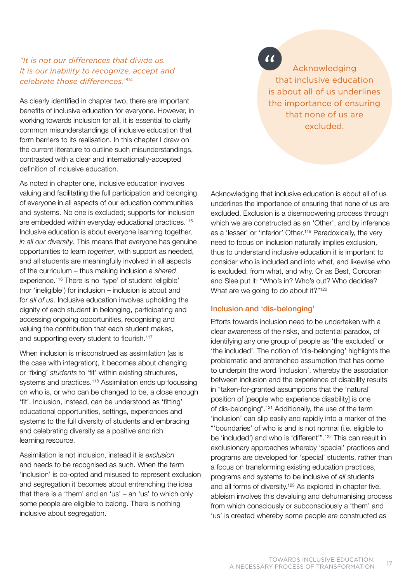### *"It is not our differences that divide us. It is our inability to recognize, accept and celebrate those differences."*<sup>114</sup>

As clearly identified in chapter two, there are important benefits of inclusive education for everyone. However, in working towards inclusion for all, it is essential to clarify common misunderstandings of inclusive education that form barriers to its realisation. In this chapter I draw on the current literature to outline such misunderstandings, contrasted with a clear and internationally-accepted definition of inclusive education.

As noted in chapter one, inclusive education involves valuing and facilitating the full participation and belonging of everyone in all aspects of our education communities and systems. No one is excluded; supports for inclusion are embedded within everyday educational practices.<sup>115</sup> Inclusive education is about everyone learning together, *in all our diversity*. This means that everyone has genuine opportunities to learn *together*, with support as needed, and all students are meaningfully involved in all aspects of the curriculum – thus making inclusion a *shared* experience.116 There is no 'type' of student 'eligible' (nor 'ineligible') for inclusion – inclusion is about and for *all of us*. Inclusive education involves upholding the dignity of each student in belonging, participating and accessing ongoing opportunities, recognising and valuing the contribution that each student makes, and supporting every student to flourish.<sup>117</sup>

When inclusion is misconstrued as assimilation (as is the case with integration), it becomes about changing or 'fixing' *students* to 'fit' within existing structures, systems and practices.<sup>118</sup> Assimilation ends up focussing on who is, or who can be changed to be, a close enough 'fit'. Inclusion, instead, can be understood as 'fitting' educational opportunities, settings, experiences and systems to the full diversity of students and embracing and celebrating diversity as a positive and rich learning resource.

Assimilation is not inclusion, instead it is *exclusion* and needs to be recognised as such. When the term 'inclusion' is co-opted and misused to represent exclusion and segregation it becomes about entrenching the idea that there is a 'them' and an 'us' – an 'us' to which only some people are eligible to belong. There is nothing inclusive about segregation.

 $\alpha$ **Acknowledging** that inclusive education is about all of us underlines the importance of ensuring that none of us are excluded.

Acknowledging that inclusive education is about all of us underlines the importance of ensuring that none of us are excluded. Exclusion is a disempowering process through which we are constructed as an 'Other', and by inference as a 'lesser' or 'inferior' Other.<sup>119</sup> Paradoxically, the very need to focus on inclusion naturally implies exclusion, thus to understand inclusive education it is important to consider who is included and into what, and likewise who is excluded, from what, and why. Or as Best, Corcoran and Slee put it: "Who's in? Who's out? Who decides? What are we going to do about it?"<sup>120</sup>

#### Inclusion and 'dis-belonging'

Efforts towards inclusion need to be undertaken with a clear awareness of the risks, and potential paradox, of identifying any one group of people as 'the excluded' or 'the included'. The notion of 'dis-belonging' highlights the problematic and entrenched assumption that has come to underpin the word 'inclusion', whereby the association between inclusion and the experience of disability results in "taken-for-granted assumptions that the 'natural' position of [people who experience disability] is one of dis-belonging".121 Additionally, the use of the term 'inclusion' can slip easily and rapidly into a marker of the "'boundaries' of who is and is not normal (i.e. eligible to be 'included') and who is 'different'".<sup>122</sup> This can result in exclusionary approaches whereby 'special' practices and programs are developed for 'special' students, rather than a focus on transforming existing education practices, programs and systems to be inclusive of *all* students and all forms of diversity.<sup>123</sup> As explored in chapter five, ableism involves this devaluing and dehumanising process from which consciously or subconsciously a 'them' and 'us' is created whereby some people are constructed as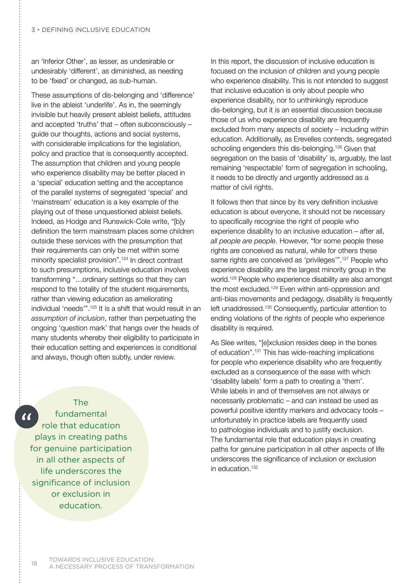an 'Inferior Other', as lesser, as undesirable or undesirably 'different', as diminished, as needing to be 'fixed' or changed, as sub-human.

These assumptions of dis-belonging and 'difference' live in the ableist 'underlife'. As in, the seemingly invisible but heavily present ableist beliefs, attitudes and accepted 'truths' that – often subconsciously – guide our thoughts, actions and social systems, with considerable implications for the legislation, policy and practice that is consequently accepted. The assumption that children and young people who experience disability may be better placed in a 'special' education setting and the acceptance of the parallel systems of segregated 'special' and 'mainstream' education is a key example of the playing out of these unquestioned ableist beliefs. Indeed, as Hodge and Runswick-Cole write, "[b]y definition the term mainstream places some children outside these services with the presumption that their requirements can only be met within some minority specialist provision".<sup>124</sup> In direct contrast to such presumptions, inclusive education involves transforming "…ordinary settings so that they can respond to the totality of the student requirements, rather than viewing education as ameliorating individual 'needs'".125 It is a shift that would result in an *assumption of inclusion*, rather than perpetuating the ongoing 'question mark' that hangs over the heads of many students whereby their eligibility to participate in their education setting and experiences is conditional and always, though often subtly, under review.



In this report, the discussion of inclusive education is focused on the inclusion of children and young people who experience disability. This is not intended to suggest that inclusive education is only about people who experience disability, nor to unthinkingly reproduce dis-belonging, but it is an essential discussion because those of us who experience disability are frequently excluded from many aspects of society – including within education. Additionally, as Erevelles contends, segregated schooling engenders this dis-belonging.<sup>126</sup> Given that segregation on the basis of 'disability' is, arguably, the last remaining 'respectable' form of segregation in schooling, it needs to be directly and urgently addressed as a matter of civil rights.

It follows then that since by its very definition inclusive education is about everyone, it should not be necessary to specifically recognise the right of people who experience disability to an inclusive education – after all, *all people are people*. However, "for some people these rights are conceived as natural, while for others these same rights are conceived as 'privileges'".127 People who experience disability are the largest minority group in the world.128 People who experience disability are also amongst the most excluded.129 Even within anti-oppression and anti-bias movements and pedagogy, disability is frequently left unaddressed.130 Consequently, particular attention to ending violations of the rights of people who experience disability is required.

As Slee writes, "[e]xclusion resides deep in the bones of education".131 This has wide-reaching implications for people who experience disability who are frequently excluded as a consequence of the ease with which 'disability labels' form a path to creating a 'them'. While labels in and of themselves are not always or necessarily problematic – and can instead be used as powerful positive identity markers and advocacy tools – unfortunately in practice labels are frequently used to pathologise individuals and to justify exclusion. The fundamental role that education plays in creating paths for genuine participation in all other aspects of life underscores the significance of inclusion or exclusion in education.132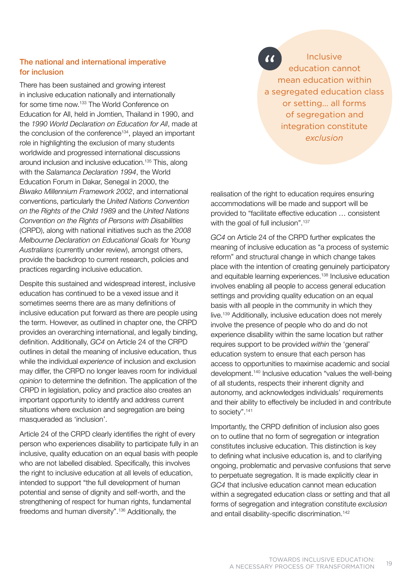### The national and international imperative for inclusion

There has been sustained and growing interest in inclusive education nationally and internationally for some time now.133 The World Conference on Education for All, held in Jomtien, Thailand in 1990, and the *1990 World Declaration on Education for All*, made at the conclusion of the conference<sup>134</sup>, played an important role in highlighting the exclusion of many students worldwide and progressed international discussions around inclusion and inclusive education.135 This, along with the *Salamanca Declaration 1994*, the World Education Forum in Dakar, Senegal in 2000, the *Biwako Millennium Framework 2002*, and international conventions, particularly the *United Nations Convention on the Rights of the Child 1989* and the *United Nations Convention on the Rights of Persons with Disabilities* (CRPD), along with national initiatives such as the *2008 Melbourne Declaration on Educational Goals for Young Australians* (currently under review), amongst others, provide the backdrop to current research, policies and practices regarding inclusive education.

Despite this sustained and widespread interest, inclusive education has continued to be a vexed issue and it sometimes seems there are as many definitions of inclusive education put forward as there are people using the term. However, as outlined in chapter one, the CRPD provides an overarching international, and legally binding, definition. Additionally, *GC4* on Article 24 of the CRPD outlines in detail the meaning of inclusive education, thus while the individual *experience* of inclusion and exclusion may differ, the CRPD no longer leaves room for individual *opinion* to determine the definition. The application of the CRPD in legislation, policy and practice also creates an important opportunity to identify and address current situations where exclusion and segregation are being masqueraded as 'inclusion'.

Article 24 of the CRPD clearly identifies the right of every person who experiences disability to participate fully in an inclusive, quality education on an equal basis with people who are not labelled disabled. Specifically, this involves the right to inclusive education at all levels of education, intended to support "the full development of human potential and sense of dignity and self-worth, and the strengthening of respect for human rights, fundamental freedoms and human diversity".136 Additionally, the

 $\alpha$ **Inclusive** education cannot mean education within a segregated education class or setting... all forms of segregation and integration constitute *exclusion*

realisation of the right to education requires ensuring accommodations will be made and support will be provided to "facilitate effective education … consistent with the goal of full inclusion".<sup>137</sup>

*GC4* on Article 24 of the CRPD further explicates the meaning of inclusive education as "a process of systemic reform" and structural change in which change takes place with the intention of creating genuinely participatory and equitable learning experiences.138 Inclusive education involves enabling all people to access general education settings and providing quality education on an equal basis with all people in the community in which they live.139 Additionally, inclusive education does not merely involve the presence of people who do and do not experience disability within the same location but rather requires support to be provided *within* the 'general' education system to ensure that each person has access to opportunities to maximise academic and social development.140 Inclusive education "values the well-being of all students, respects their inherent dignity and autonomy, and acknowledges individuals' requirements and their ability to effectively be included in and contribute to society".<sup>141</sup>

Importantly, the CRPD definition of inclusion also goes on to outline that no form of segregation or integration constitutes inclusive education. This distinction is key to defining what inclusive education is, and to clarifying ongoing, problematic and pervasive confusions that serve to perpetuate segregation. It is made explicitly clear in *GC4* that inclusive education cannot mean education within a segregated education class or setting and that all forms of segregation and integration constitute *exclusion* and entail disability-specific discrimination.<sup>142</sup>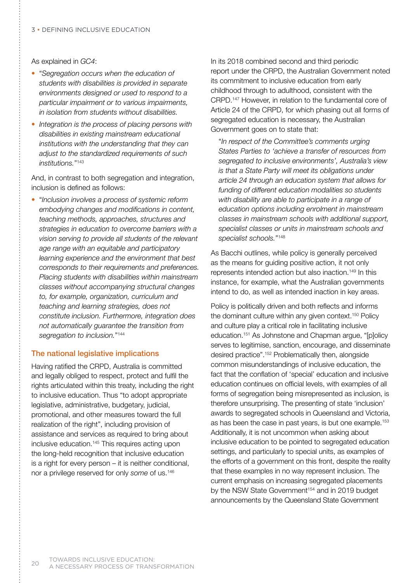As explained in *GC4*:

- "*Segregation occurs when the education of students with disabilities is provided in separate environments designed or used to respond to a particular impairment or to various impairments, in isolation from students without disabilities.*
- *Integration is the process of placing persons with disabilities in existing mainstream educational institutions with the understanding that they can adjust to the standardized requirements of such institutions.*"143

And, in contrast to both segregation and integration, inclusion is defined as follows:

• "*Inclusion involves a process of systemic reform embodying changes and modifications in content, teaching methods, approaches, structures and strategies in education to overcome barriers with a vision serving to provide all students of the relevant age range with an equitable and participatory learning experience and the environment that best corresponds to their requirements and preferences. Placing students with disabilities within mainstream classes without accompanying structural changes to, for example, organization, curriculum and teaching and learning strategies, does not constitute inclusion. Furthermore, integration does not automatically guarantee the transition from segregation to inclusion.*"144

#### The national legislative implications

Having ratified the CRPD, Australia is committed and legally obliged to respect, protect and fulfil the rights articulated within this treaty, including the right to inclusive education. Thus "to adopt appropriate legislative, administrative, budgetary, judicial, promotional, and other measures toward the full realization of the right", including provision of assistance and services as required to bring about inclusive education.145 This requires acting upon the long-held recognition that inclusive education is a right for every person – it is neither conditional, nor a privilege reserved for only *some* of us.146

In its 2018 combined second and third periodic report under the CRPD, the Australian Government noted its commitment to inclusive education from early childhood through to adulthood, consistent with the CRPD.147 However, in relation to the fundamental core of Article 24 of the CRPD, for which phasing out all forms of segregated education is necessary, the Australian Government goes on to state that:

 "*In respect of the Committee's comments urging States Parties to 'achieve a transfer of resources from segregated to inclusive environments', Australia's view is that a State Party will meet its obligations under article 24 through an education system that allows for funding of different education modalities so students with disability are able to participate in a range of education options including enrolment in mainstream classes in mainstream schools with additional support, specialist classes or units in mainstream schools and specialist schools.*"148

As Bacchi outlines, while policy is generally perceived as the means for guiding positive action, it not only represents intended action but also inaction.149 In this instance, for example, what the Australian governments intend to do, as well as intended inaction in key areas.

Policy is politically driven and both reflects and informs the dominant culture within any given context.<sup>150</sup> Policy and culture play a critical role in facilitating inclusive education.151 As Johnstone and Chapman argue, "[p]olicy serves to legitimise, sanction, encourage, and disseminate desired practice".152 Problematically then, alongside common misunderstandings of inclusive education, the fact that the conflation of 'special' education and inclusive education continues on official levels, with examples of all forms of segregation being misrepresented as inclusion, is therefore unsurprising. The presenting of state 'inclusion' awards to segregated schools in Queensland and Victoria, as has been the case in past years, is but one example.<sup>153</sup> Additionally, it is not uncommon when asking about inclusive education to be pointed to segregated education settings, and particularly to special units, as examples of the efforts of a government on this front, despite the reality that these examples in no way represent inclusion. The current emphasis on increasing segregated placements by the NSW State Government<sup>154</sup> and in 2019 budget announcements by the Queensland State Government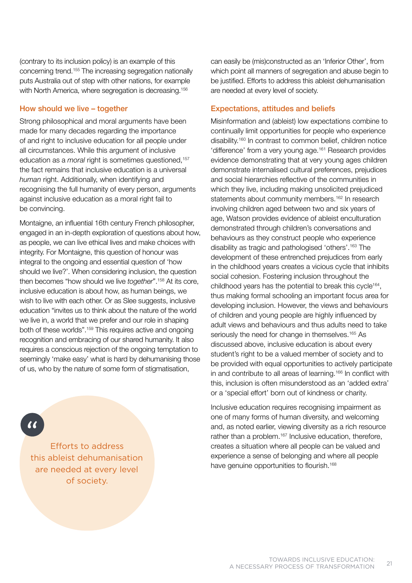(contrary to its inclusion policy) is an example of this concerning trend.155 The increasing segregation nationally puts Australia out of step with other nations, for example with North America, where segregation is decreasing.<sup>156</sup>

#### How should we live – together

Strong philosophical and moral arguments have been made for many decades regarding the importance of and right to inclusive education for all people under all circumstances. While this argument of inclusive education as a *moral* right is sometimes questioned,<sup>157</sup> the fact remains that inclusive education is a universal *human* right. Additionally, when identifying and recognising the full humanity of every person, arguments against inclusive education as a moral right fail to be convincing.

Montaigne, an influential 16th century French philosopher, engaged in an in-depth exploration of questions about how, as people, we can live ethical lives and make choices with integrity. For Montaigne, this question of honour was integral to the ongoing and essential question of 'how should we live?'. When considering inclusion, the question then becomes "how should we live *together*".158 At its core, inclusive education is about how, as human beings, we wish to live with each other. Or as Slee suggests, inclusive education "invites us to think about the nature of the world we live in, a world that we prefer and our role in shaping both of these worlds".159 This requires active and ongoing recognition and embracing of our shared humanity. It also requires a conscious rejection of the ongoing temptation to seemingly 'make easy' what is hard by dehumanising those of us, who by the nature of some form of stigmatisation,

Efforts to address this ableist dehumanisation are needed at every level of society.

can easily be (mis)constructed as an 'Inferior Other', from which point all manners of segregation and abuse begin to be justified. Efforts to address this ableist dehumanisation are needed at every level of society.

#### Expectations, attitudes and beliefs

Misinformation and (ableist) low expectations combine to continually limit opportunities for people who experience disability.160 In contrast to common belief, children notice 'difference' from a very young age.161 Research provides evidence demonstrating that at very young ages children demonstrate internalised cultural preferences, prejudices and social hierarchies reflective of the communities in which they live, including making unsolicited prejudiced statements about community members.<sup>162</sup> In research involving children aged between two and six years of age, Watson provides evidence of ableist enculturation demonstrated through children's conversations and behaviours as they construct people who experience disability as tragic and pathologised 'others'.163 The development of these entrenched prejudices from early in the childhood years creates a vicious cycle that inhibits social cohesion. Fostering inclusion throughout the childhood years has the potential to break this cycle164, thus making formal schooling an important focus area for developing inclusion. However, the views and behaviours of children and young people are highly influenced by adult views and behaviours and thus adults need to take seriously the need for change in themselves.<sup>165</sup> As discussed above, inclusive education is about every student's right to be a valued member of society and to be provided with equal opportunities to actively participate in and contribute to all areas of learning.<sup>166</sup> In conflict with this, inclusion is often misunderstood as an 'added extra' or a 'special effort' born out of kindness or charity.

Inclusive education requires recognising impairment as one of many forms of human diversity, and welcoming and, as noted earlier, viewing diversity as a rich resource rather than a problem.<sup>167</sup> Inclusive education, therefore, creates a situation where all people can be valued and experience a sense of belonging and where all people have genuine opportunities to flourish.<sup>168</sup>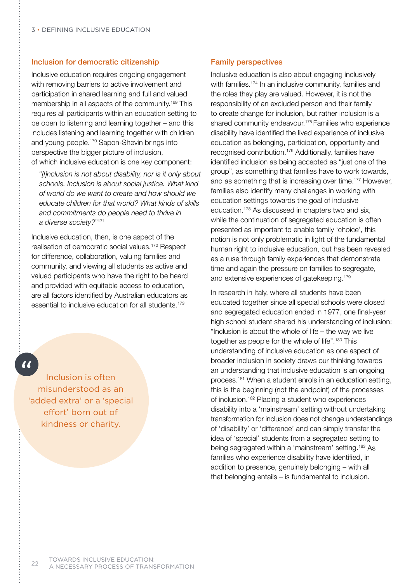#### Inclusion for democratic citizenship

Inclusive education requires ongoing engagement with removing barriers to active involvement and participation in shared learning and full and valued membership in all aspects of the community.169 This requires all participants within an education setting to be open to listening and learning together – and this includes listening and learning together with children and young people.170 Sapon-Shevin brings into perspective the bigger picture of inclusion, of which inclusive education is one key component:

 "*[I]nclusion is not about disability, nor is it only about schools. Inclusion is about social justice. What kind of world do we want to create and how should we educate children for that world? What kinds of skills and commitments do people need to thrive in a diverse society?*"171

Inclusive education, then, is one aspect of the realisation of democratic social values.172 Respect for difference, collaboration, valuing families and community, and viewing all students as active and valued participants who have the right to be heard and provided with equitable access to education, are all factors identified by Australian educators as essential to inclusive education for all students.173

# $\overline{\mathcal{U}}$

Inclusion is often misunderstood as an 'added extra' or a 'special effort' born out of kindness or charity.

#### Family perspectives

Inclusive education is also about engaging inclusively with families.<sup>174</sup> In an inclusive community, families and the roles they play are valued. However, it is not the responsibility of an excluded person and their family to create change for inclusion, but rather inclusion is a shared community endeavour.175 Families who experience disability have identified the lived experience of inclusive education as belonging, participation, opportunity and recognised contribution.176 Additionally, families have identified inclusion as being accepted as "just one of the group", as something that families have to work towards, and as something that is increasing over time.177 However, families also identify many challenges in working with education settings towards the goal of inclusive education.178 As discussed in chapters two and six, while the continuation of segregated education is often presented as important to enable family 'choice', this notion is not only problematic in light of the fundamental human right to inclusive education, but has been revealed as a ruse through family experiences that demonstrate time and again the pressure on families to segregate, and extensive experiences of gatekeeping.179

In research in Italy, where all students have been educated together since all special schools were closed and segregated education ended in 1977, one final-year high school student shared his understanding of inclusion: "Inclusion is about the whole of life – the way we live together as people for the whole of life".<sup>180</sup> This understanding of inclusive education as one aspect of broader inclusion in society draws our thinking towards an understanding that inclusive education is an ongoing process.181 When a student enrols in an education setting, this is the beginning (not the endpoint) of the processes of inclusion.182 Placing a student who experiences disability into a 'mainstream' setting without undertaking transformation for inclusion does not change understandings of 'disability' or 'difference' and can simply transfer the idea of 'special' students from a segregated setting to being segregated within a 'mainstream' setting.183 As families who experience disability have identified, in addition to presence, genuinely belonging – with all that belonging entails – is fundamental to inclusion.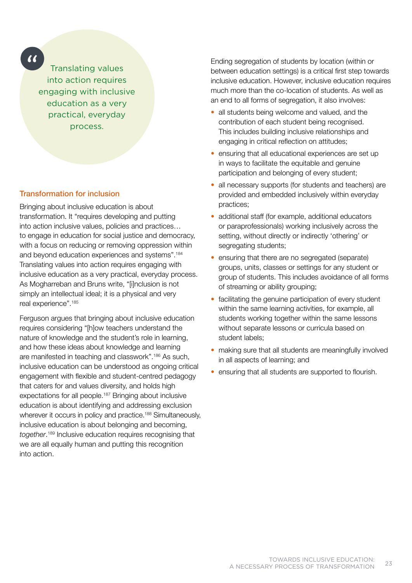$\alpha$ 

Translating values into action requires engaging with inclusive education as a very practical, everyday process.

#### Transformation for inclusion

Bringing about inclusive education is about transformation. It "requires developing and putting into action inclusive values, policies and practices… to engage in education for social justice and democracy, with a focus on reducing or removing oppression within and beyond education experiences and systems".184 Translating values into action requires engaging with inclusive education as a very practical, everyday process. As Mogharreban and Bruns write, "[i]nclusion is not simply an intellectual ideal; it is a physical and very real experience".185

Ferguson argues that bringing about inclusive education requires considering "[h]ow teachers understand the nature of knowledge and the student's role in learning, and how these ideas about knowledge and learning are manifested in teaching and classwork".186 As such, inclusive education can be understood as ongoing critical engagement with flexible and student-centred pedagogy that caters for and values diversity, and holds high expectations for all people.187 Bringing about inclusive education is about identifying and addressing exclusion wherever it occurs in policy and practice.<sup>188</sup> Simultaneously, inclusive education is about belonging and becoming, *together*. 189 Inclusive education requires recognising that we are all equally human and putting this recognition into action.

Ending segregation of students by location (within or between education settings) is a critical first step towards inclusive education. However, inclusive education requires much more than the co-location of students. As well as an end to all forms of segregation, it also involves:

- all students being welcome and valued, and the contribution of each student being recognised. This includes building inclusive relationships and engaging in critical reflection on attitudes;
- ensuring that all educational experiences are set up in ways to facilitate the equitable and genuine participation and belonging of every student;
- all necessary supports (for students and teachers) are provided and embedded inclusively within everyday practices;
- additional staff (for example, additional educators or paraprofessionals) working inclusively across the setting, without directly or indirectly 'othering' or segregating students;
- ensuring that there are no segregated (separate) groups, units, classes or settings for any student or group of students. This includes avoidance of all forms of streaming or ability grouping;
- facilitating the genuine participation of every student within the same learning activities, for example, all students working together within the same lessons without separate lessons or curricula based on student labels;
- making sure that all students are meaningfully involved in all aspects of learning; and
- ensuring that all students are supported to flourish.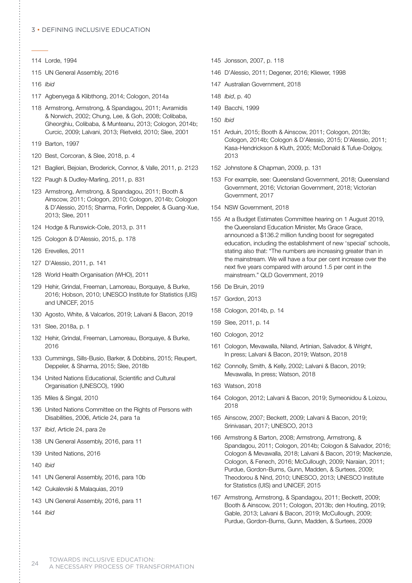#### 3 • Defining inclusive education

- 114 Lorde, 1994
- 115 UN General Assembly, 2016
- 116 *Ibid*
- 117 Agbenyega & Klibthong, 2014; Cologon, 2014a
- 118 Armstrong, Armstrong, & Spandagou, 2011; Avramidis & Norwich, 2002; Chung, Lee, & Goh, 2008; Colibaba, Gheorghiu, Colibaba, & Munteanu, 2013; Cologon, 2014b; Curcic, 2009; Lalvani, 2013; Rietveld, 2010; Slee, 2001
- 119 Barton, 1997
- 120 Best, Corcoran, & Slee, 2018, p. 4
- 121 Baglieri, Bejoian, Broderick, Connor, & Valle, 2011, p. 2123
- 122 Paugh & Dudley-Marling, 2011, p. 831
- 123 Armstrong, Armstrong, & Spandagou, 2011; Booth & Ainscow, 2011; Cologon, 2010; Cologon, 2014b; Cologon & D'Alessio, 2015; Sharma, Forlin, Deppeler, & Guang-Xue, 2013; Slee, 2011
- 124 Hodge & Runswick-Cole, 2013, p. 311
- 125 Cologon & D'Alessio, 2015, p. 178
- 126 Erevelles, 2011
- 127 D'Alessio, 2011, p. 141
- 128 World Health Organisation (WHO), 2011
- 129 Hehir, Grindal, Freeman, Lamoreau, Borquaye, & Burke, 2016; Hobson, 2010; UNESCO Institute for Statistics (UIS) and UNICEF, 2015
- 130 Agosto, White, & Valcarlos, 2019; Lalvani & Bacon, 2019
- 131 Slee, 2018a, p. 1
- 132 Hehir, Grindal, Freeman, Lamoreau, Borquaye, & Burke, 2016
- 133 Cummings, Sills-Busio, Barker, & Dobbins, 2015; Reupert, Deppeler, & Sharma, 2015; Slee, 2018b
- 134 United Nations Educational, Scientific and Cultural Organisation (UNESCO), 1990
- 135 Miles & Singal, 2010
- 136 United Nations Committee on the Rights of Persons with Disabilities, 2006, Article 24, para 1a
- 137 *Ibid*, Article 24, para 2e
- 138 UN General Assembly, 2016, para 11
- 139 United Nations, 2016
- 140 *Ibid*
- 141 UN General Assembly, 2016, para 10b
- 142 Cukalevski & Malaquias, 2019
- 143 UN General Assembly, 2016, para 11

144 *Ibid*

- 145 Jonsson, 2007, p. 118
- 146 D'Alessio, 2011; Degener, 2016; Kliewer, 1998
- 147 Australian Government, 2018
- 148 *Ibid*, p. 40
- 149 Bacchi, 1999
- 150 *Ibid*
- 151 Arduin, 2015; Booth & Ainscow, 2011; Cologon, 2013b; Cologon, 2014b; Cologon & D'Alessio, 2015; D'Alessio, 2011; Kasa-Hendrickson & Kluth, 2005; McDonald & Tufue-Dolgoy, 2013
- 152 Johnstone & Chapman, 2009, p. 131
- 153 For example, see: Queensland Government, 2018; Queensland Government, 2016; Victorian Government, 2018; Victorian Government, 2017
- 154 NSW Government, 2018
- 155 At a Budget Estimates Committee hearing on 1 August 2019, the Queensland Education Minister, Ms Grace Grace, announced a \$136.2 million funding boost for segregated education, including the establishment of new 'special' schools, stating also that: "The numbers are increasing greater than in the mainstream. We will have a four per cent increase over the next five years compared with around 1.5 per cent in the mainstream." QLD Government, 2019
- 156 De Bruin, 2019
- 157 Gordon, 2013
- 158 Cologon, 2014b, p. 14
- 159 Slee, 2011, p. 14
- 160 Cologon, 2012
- 161 Cologon, Mevawalla, Niland, Artinian, Salvador, & Wright, In press; Lalvani & Bacon, 2019; Watson, 2018
- 162 Connolly, Smith, & Kelly, 2002; Lalvani & Bacon, 2019; Mevawalla, In press; Watson, 2018
- 163 Watson, 2018
- 164 Cologon, 2012; Lalvani & Bacon, 2019; Symeonidou & Loizou, 2018
- 165 Ainscow, 2007; Beckett, 2009; Lalvani & Bacon, 2019; Srinivasan, 2017; UNESCO, 2013
- 166 Armstrong & Barton, 2008; Armstrong, Armstrong, & Spandagou, 2011; Cologon, 2014b; Cologon & Salvador, 2016; Cologon & Mevawalla, 2018; Lalvani & Bacon, 2019; Mackenzie, Cologon, & Fenech, 2016; McCullough, 2009; Naraian, 2011; Purdue, Gordon-Burns, Gunn, Madden, & Surtees, 2009; Theodorou & Nind, 2010; UNESCO, 2013; UNESCO Institute for Statistics (UIS) and UNICEF, 2015
- 167 Armstrong, Armstrong, & Spandagou, 2011; Beckett, 2009; Booth & Ainscow, 2011; Cologon, 2013b; den Houting, 2019; Gable, 2013; Lalvani & Bacon, 2019; McCullough, 2009; Purdue, Gordon-Burns, Gunn, Madden, & Surtees, 2009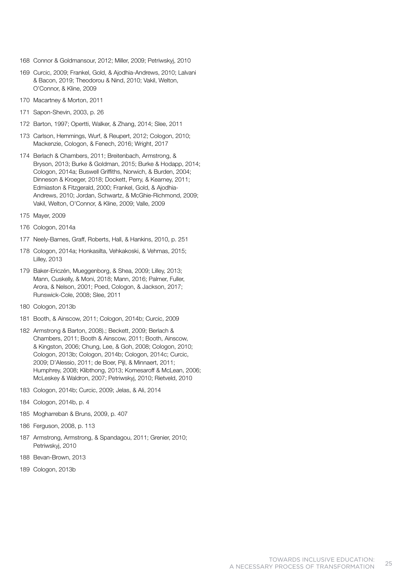- 168 Connor & Goldmansour, 2012; Miller, 2009; Petriwskyj, 2010
- 169 Curcic, 2009; Frankel, Gold, & Ajodhia-Andrews, 2010; Lalvani & Bacon, 2019; Theodorou & Nind, 2010; Vakil, Welton, O'Connor, & Kline, 2009
- 170 Macartney & Morton, 2011
- 171 Sapon-Shevin, 2003, p. 26
- 172 Barton, 1997; Opertti, Walker, & Zhang, 2014; Slee, 2011
- 173 Carlson, Hemmings, Wurf, & Reupert, 2012; Cologon, 2010; Mackenzie, Cologon, & Fenech, 2016; Wright, 2017
- 174 Berlach & Chambers, 2011; Breitenbach, Armstrong, & Bryson, 2013; Burke & Goldman, 2015; Burke & Hodapp, 2014; Cologon, 2014a; Buswell Griffiths, Norwich, & Burden, 2004; Dinneson & Kroeger, 2018; Dockett, Perry, & Kearney, 2011; Edmiaston & Fitzgerald, 2000; Frankel, Gold, & Ajodhia-Andrews, 2010; Jordan, Schwartz, & McGhie-Richmond, 2009; Vakil, Welton, O'Connor, & Kline, 2009; Valle, 2009
- 175 Mayer, 2009
- 176 Cologon, 2014a
- 177 Neely-Barnes, Graff, Roberts, Hall, & Hankins, 2010, p. 251
- 178 Cologon, 2014a; Honkasilta, Vehkakoski, & Vehmas, 2015; Lilley, 2013
- 179 Baker-Ericzén, Mueggenborg, & Shea, 2009; Lilley, 2013; Mann, Cuskelly, & Moni, 2018; Mann, 2016; Palmer, Fuller, Arora, & Nelson, 2001; Poed, Cologon, & Jackson, 2017; Runswick-Cole, 2008; Slee, 2011
- 180 Cologon, 2013b
- 181 Booth, & Ainscow, 2011; Cologon, 2014b; Curcic, 2009
- 182 Armstrong & Barton, 2008).; Beckett, 2009; Berlach & Chambers, 2011; Booth & Ainscow, 2011; Booth, Ainscow, & Kingston, 2006; Chung, Lee, & Goh, 2008; Cologon, 2010; Cologon, 2013b; Cologon, 2014b; Cologon, 2014c; Curcic, 2009; D'Alessio, 2011; de Boer, Pijl, & Minnaert, 2011; Humphrey, 2008; Klibthong, 2013; Komesaroff & McLean, 2006; McLeskey & Waldron, 2007; Petriwskyj, 2010; Rietveld, 2010
- 183 Cologon, 2014b; Curcic, 2009; Jelas, & Ali, 2014
- 184 Cologon, 2014b, p. 4
- 185 Mogharreban & Bruns, 2009, p. 407
- 186 Ferguson, 2008, p. 113
- 187 Armstrong, Armstrong, & Spandagou, 2011; Grenier, 2010; Petriwskyj, 2010
- 188 Bevan-Brown, 2013
- 189 Cologon, 2013b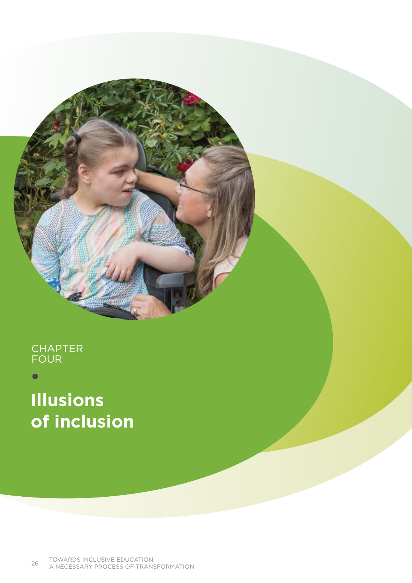# **CHAPTER** four

# **Illusions of inclusion**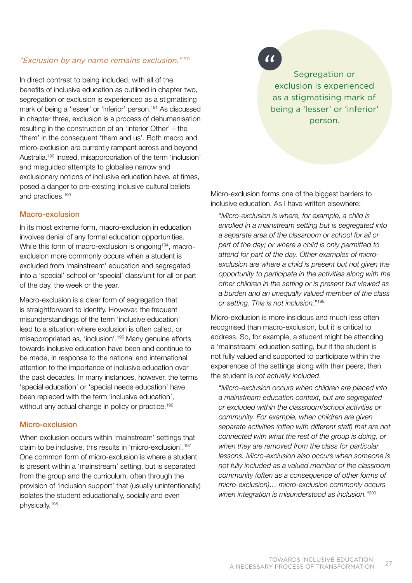#### *"Exclusion by any name remains exclusion."*<sup>190</sup>

In direct contrast to being included, with all of the benefits of inclusive education as outlined in chapter two, segregation or exclusion is experienced as a stigmatising mark of being a 'lesser' or 'inferior' person.<sup>191</sup> As discussed in chapter three, exclusion is a process of dehumanisation resulting in the construction of an 'Inferior Other' – the 'them' in the consequent 'them and us'. Both macro and micro-exclusion are currently rampant across and beyond Australia.192 Indeed, misappropriation of the term 'inclusion' and misguided attempts to globalise narrow and exclusionary notions of inclusive education have, at times, posed a danger to pre-existing inclusive cultural beliefs and practices.193

#### Macro-exclusion

In its most extreme form, macro-exclusion in education involves denial of any formal education opportunities. While this form of macro-exclusion is ongoing<sup>194</sup>, macroexclusion more commonly occurs when a student is excluded from 'mainstream' education and segregated into a 'special' school or 'special' class/unit for all or part of the day, the week or the year.

Macro-exclusion is a clear form of segregation that is straightforward to identify. However, the frequent misunderstandings of the term 'inclusive education' lead to a situation where exclusion is often called, or misappropriated as, 'inclusion'.195 Many genuine efforts towards inclusive education have been and continue to be made, in response to the national and international attention to the importance of inclusive education over the past decades. In many instances, however, the terms 'special education' or 'special needs education' have been replaced with the term 'inclusive education', without any actual change in policy or practice.<sup>196</sup>

#### Micro-exclusion

When exclusion occurs within 'mainstream' settings that claim to be inclusive, this results in 'micro-exclusion'.197 One common form of micro-exclusion is where a student is present within a 'mainstream' setting, but is separated from the group and the curriculum, often through the provision of 'inclusion support' that (usually unintentionally) isolates the student educationally, socially and even physically.198

 $\alpha$ 

Segregation or exclusion is experienced as a stigmatising mark of being a 'lesser' or 'inferior' person.

Micro-exclusion forms one of the biggest barriers to inclusive education. As I have written elsewhere:

 "*Micro-exclusion is where, for example, a child is enrolled in a mainstream setting but is segregated into a separate area of the classroom or school for all or part of the day; or where a child is only permitted to attend for part of the day. Other examples of microexclusion are where a child is present but not given the opportunity to participate in the activities along with the other children in the setting or is present but viewed as a burden and an unequally valued member of the class or setting. This is not inclusion.*"199

Micro-exclusion is more insidious and much less often recognised than macro-exclusion, but it is critical to address. So, for example, a student might be attending a 'mainstream' education setting, but if the student is not fully valued and supported to participate within the experiences of the settings along with their peers, then the student is *not actually included*.

 "*Micro-exclusion occurs when children are placed into a mainstream education context, but are segregated or excluded within the classroom/school activities or community. For example, when children are given separate activities (often with different staff) that are not connected with what the rest of the group is doing, or when they are removed from the class for particular lessons. Micro-exclusion also occurs when someone is not fully included as a valued member of the classroom community (often as a consequence of other forms of micro-exclusion)… micro-exclusion commonly occurs when integration is misunderstood as inclusion.*"200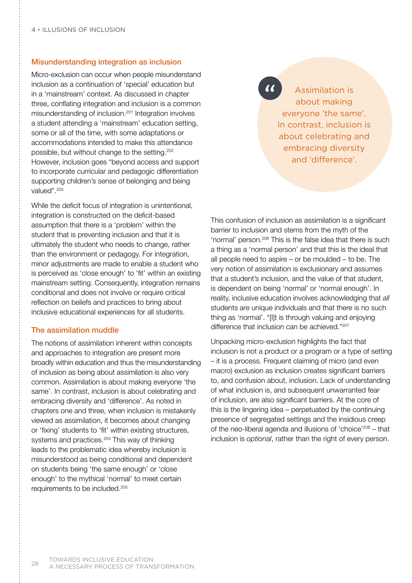#### Misunderstanding integration as inclusion

Micro-exclusion can occur when people misunderstand inclusion as a continuation of 'special' education but in a 'mainstream' context. As discussed in chapter three, conflating integration and inclusion is a common misunderstanding of inclusion.<sup>201</sup> Integration involves a student attending a 'mainstream' education setting, some or all of the time, with some adaptations or accommodations intended to make this attendance possible, but without change to the setting.202 However, inclusion goes "beyond access and support to incorporate curricular and pedagogic differentiation supporting children's sense of belonging and being valued".<sup>203</sup>

While the deficit focus of integration is unintentional, integration is constructed on the deficit-based assumption that there is a 'problem' within the student that is preventing inclusion and that it is ultimately the student who needs to change, rather than the environment or pedagogy. For integration, minor adjustments are made to enable a student who is perceived as 'close enough' to 'fit' within an existing mainstream setting. Consequently, integration remains conditional and does not involve or require critical reflection on beliefs and practices to bring about inclusive educational experiences for all students.

#### The assimilation muddle

The notions of assimilation inherent within concepts and approaches to integration are present more broadly within education and thus the misunderstanding of inclusion as being about assimilation is also very common. Assimilation is about making everyone 'the same'. In contrast, inclusion is about celebrating and embracing diversity and 'difference'. As noted in chapters one and three, when inclusion is mistakenly viewed as assimilation, it becomes about changing or 'fixing' students to 'fit' within existing structures, systems and practices.<sup>204</sup> This way of thinking leads to the problematic idea whereby inclusion is misunderstood as being conditional and dependent on students being 'the same enough' or 'close enough' to the mythical 'normal' to meet certain requirements to be included.205

Assimilation is about making everyone 'the same'. In contrast, inclusion is about celebrating and embracing diversity and 'difference'.

This confusion of inclusion as assimilation is a significant barrier to inclusion and stems from the myth of the 'normal' person.206 This is the false idea that there is such a thing as a 'normal person' and that this is the ideal that all people need to aspire – or be moulded – to be. The very notion of assimilation is exclusionary and assumes that a student's inclusion, and the value of that student, is dependent on being 'normal' or 'normal enough'. In reality, inclusive education involves acknowledging that *all* students are unique individuals and that there is no such thing as 'normal'. "[I]t is through valuing and enjoying difference that inclusion can be achieved."<sup>207</sup>

Unpacking micro-exclusion highlights the fact that inclusion is not a product or a program or a type of setting – it is a process. Frequent claiming of micro (and even macro) exclusion as inclusion creates significant barriers to, and confusion about, inclusion. Lack of understanding of what inclusion is, and subsequent unwarranted fear of inclusion, are also significant barriers. At the core of this is the lingering idea – perpetuated by the continuing presence of segregated settings and the insidious creep of the neo-liberal agenda and illusions of 'choice'208 – that inclusion is *optional*, rather than the right of every person.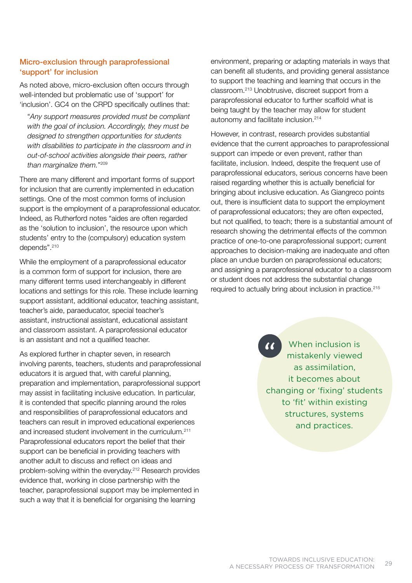### Micro-exclusion through paraprofessional 'support' for inclusion

As noted above, micro-exclusion often occurs through well-intended but problematic use of 'support' for 'inclusion'. GC4 on the CRPD specifically outlines that:

 "*Any support measures provided must be compliant with the goal of inclusion. Accordingly, they must be designed to strengthen opportunities for students with disabilities to participate in the classroom and in out-of-school activities alongside their peers, rather than marginalize them.*"209

There are many different and important forms of support for inclusion that are currently implemented in education settings. One of the most common forms of inclusion support is the employment of a paraprofessional educator. Indeed, as Rutherford notes "aides are often regarded as the 'solution to inclusion', the resource upon which students' entry to the (compulsory) education system depends".<sup>210</sup>

While the employment of a paraprofessional educator is a common form of support for inclusion, there are many different terms used interchangeably in different locations and settings for this role. These include learning support assistant, additional educator, teaching assistant, teacher's aide, paraeducator, special teacher's assistant, instructional assistant, educational assistant and classroom assistant. A paraprofessional educator is an assistant and not a qualified teacher.

As explored further in chapter seven, in research involving parents, teachers, students and paraprofessional educators it is argued that, with careful planning, preparation and implementation, paraprofessional support may assist in facilitating inclusive education. In particular, it is contended that specific planning around the roles and responsibilities of paraprofessional educators and teachers can result in improved educational experiences and increased student involvement in the curriculum.<sup>211</sup> Paraprofessional educators report the belief that their support can be beneficial in providing teachers with another adult to discuss and reflect on ideas and problem-solving within the everyday.212 Research provides evidence that, working in close partnership with the teacher, paraprofessional support may be implemented in such a way that it is beneficial for organising the learning

environment, preparing or adapting materials in ways that can benefit all students, and providing general assistance to support the teaching and learning that occurs in the classroom.213 Unobtrusive, discreet support from a paraprofessional educator to further scaffold what is being taught by the teacher may allow for student autonomy and facilitate inclusion.214

However, in contrast, research provides substantial evidence that the current approaches to paraprofessional support can impede or even prevent, rather than facilitate, inclusion. Indeed, despite the frequent use of paraprofessional educators, serious concerns have been raised regarding whether this is actually beneficial for bringing about inclusive education. As Giangreco points out, there is insufficient data to support the employment of paraprofessional educators; they are often expected, but not qualified, to teach; there is a substantial amount of research showing the detrimental effects of the common practice of one-to-one paraprofessional support; current approaches to decision-making are inadequate and often place an undue burden on paraprofessional educators; and assigning a paraprofessional educator to a classroom or student does not address the substantial change required to actually bring about inclusion in practice.215

> When inclusion is mistakenly viewed as assimilation, it becomes about changing or 'fixing' students to 'fit' within existing structures, systems and practices.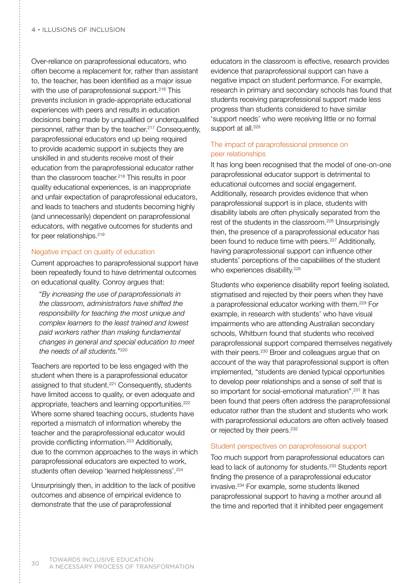Over-reliance on paraprofessional educators, who often become a replacement for, rather than assistant to, the teacher, has been identified as a major issue with the use of paraprofessional support.<sup>216</sup> This prevents inclusion in grade-appropriate educational experiences with peers and results in education decisions being made by unqualified or underqualified personnel, rather than by the teacher.<sup>217</sup> Consequently, paraprofessional educators end up being required to provide academic support in subjects they are unskilled in and students receive most of their education from the paraprofessional educator rather than the classroom teacher.<sup>218</sup> This results in poor quality educational experiences, is an inappropriate and unfair expectation of paraprofessional educators, and leads to teachers and students becoming highly (and unnecessarily) dependent on paraprofessional educators, with negative outcomes for students and for peer relationships.<sup>219</sup>

#### Negative impact on quality of education

Current approaches to paraprofessional support have been repeatedly found to have detrimental outcomes on educational quality. Conroy argues that:

 "*By increasing the use of paraprofessionals in the classroom, administrators have shifted the responsibility for teaching the most unique and complex learners to the least trained and lowest paid workers rather than making fundamental changes in general and special education to meet the needs of all students.*"220

Teachers are reported to be less engaged with the student when there is a paraprofessional educator assigned to that student.<sup>221</sup> Consequently, students have limited access to quality, or even adequate and appropriate, teachers and learning opportunities.<sup>222</sup> Where some shared teaching occurs, students have reported a mismatch of information whereby the teacher and the paraprofessional educator would provide conflicting information.<sup>223</sup> Additionally, due to the common approaches to the ways in which paraprofessional educators are expected to work, students often develop 'learned helplessness'.<sup>224</sup>

Unsurprisingly then, in addition to the lack of positive outcomes and absence of empirical evidence to demonstrate that the use of paraprofessional

educators in the classroom is effective, research provides evidence that paraprofessional support can have a negative impact on student performance. For example, research in primary and secondary schools has found that students receiving paraprofessional support made less progress than students considered to have similar 'support needs' who were receiving little or no formal support at all.<sup>225</sup>

#### The impact of paraprofessional presence on peer relationships

It has long been recognised that the model of one-on-one paraprofessional educator support is detrimental to educational outcomes and social engagement. Additionally, research provides evidence that when paraprofessional support is in place, students with disability labels are often physically separated from the rest of the students in the classroom.<sup>226</sup> Unsurprisingly then, the presence of a paraprofessional educator has been found to reduce time with peers.<sup>227</sup> Additionally, having paraprofessional support can influence other students' perceptions of the capabilities of the student who experiences disability.<sup>228</sup>

Students who experience disability report feeling isolated, stigmatised and rejected by their peers when they have a paraprofessional educator working with them.229 For example, in research with students' who have visual impairments who are attending Australian secondary schools, Whitburn found that students who received paraprofessional support compared themselves negatively with their peers.<sup>230</sup> Broer and colleagues argue that on account of the way that paraprofessional support is often implemented, "students are denied typical opportunities to develop peer relationships and a sense of self that is so important for social-emotional maturation".<sup>231</sup> It has been found that peers often address the paraprofessional educator rather than the student and students who work with paraprofessional educators are often actively teased or rejected by their peers.<sup>232</sup>

#### Student perspectives on paraprofessional support

Too much support from paraprofessional educators can lead to lack of autonomy for students.233 Students report finding the presence of a paraprofessional educator invasive.234 For example, some students likened paraprofessional support to having a mother around all the time and reported that it inhibited peer engagement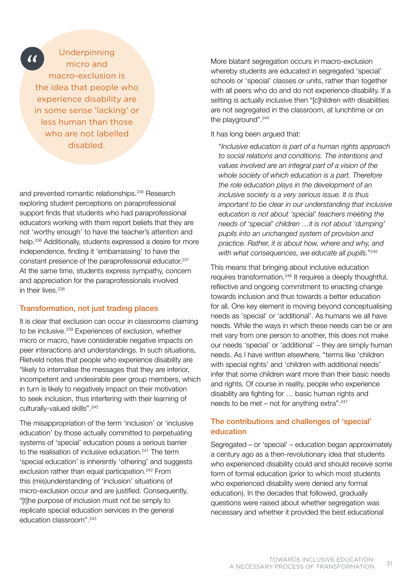$\alpha$ 

## Underpinning micro and macro-exclusion is the idea that people who experience disability are in some sense 'lacking' or less human than those who are not labelled disabled.

and prevented romantic relationships.235 Research exploring student perceptions on paraprofessional support finds that students who had paraprofessional educators working with them report beliefs that they are not 'worthy enough' to have the teacher's attention and help.<sup>236</sup> Additionally, students expressed a desire for more independence, finding it 'embarrassing' to have the constant presence of the paraprofessional educator.<sup>237</sup> At the same time, students express sympathy, concern and appreciation for the paraprofessionals involved in their lives.<sup>238</sup>

#### Transformation, not just trading places

It is clear that exclusion can occur in classrooms claiming to be inclusive.239 Experiences of exclusion, whether micro or macro, have considerable negative impacts on peer interactions and understandings. In such situations, Rietveld notes that people who experience disability are "likely to internalise the messages that they are inferior, incompetent and undesirable peer group members, which in turn is likely to negatively impact on their motivation to seek inclusion, thus interfering with their learning of culturally-valued skills".<sup>240</sup>

The misappropriation of the term 'inclusion' or 'inclusive education' by those actually committed to perpetuating systems of 'special' education poses a serious barrier to the realisation of inclusive education.<sup>241</sup> The term 'special education' is inherently 'othering' and suggests exclusion rather than equal participation.<sup>242</sup> From this (mis)understanding of 'inclusion' situations of micro-exclusion occur and are justified. Consequently, "[t]he purpose of inclusion must not be simply to replicate special education services in the general education classroom".<sup>243</sup>

More blatant segregation occurs in macro-exclusion whereby students are educated in segregated 'special' schools or 'special' classes or units, rather than together with all peers who do and do not experience disability. If a setting is actually inclusive then "[c]hildren with disabilities are not segregated in the classroom, at lunchtime or on the playground".<sup>244</sup>

#### It has long been argued that:

 "*Inclusive education is part of a human rights approach to social relations and conditions. The intentions and values involved are an integral part of a vision of the whole society of which education is a part. Therefore the role education plays in the development of an inclusive society is a very serious issue. It is thus important to be clear in our understanding that inclusive education is not about 'special' teachers meeting the needs of 'special' children …it is not about 'dumping' pupils into an unchanged system of provision and practice. Rather, it is about how, where and why, and with what consequences, we educate all pupils.*"245

This means that bringing about inclusive education requires transformation.246 It requires a deeply thoughtful, reflective and ongoing commitment to enacting change towards inclusion and thus towards a better education for all. One key element is moving beyond conceptualising needs as 'special' or 'additional'. As humans we all have needs. While the ways in which these needs can be or are met vary from one person to another, this does not make our needs 'special' or 'additional' – they are simply human needs. As I have written elsewhere, "terms like 'children with special rights' and 'children with additional needs' infer that some children want more than their basic needs and rights. Of course in reality, people who experience disability are fighting for … basic human rights and needs to be met – not for anything extra".<sup>247</sup>

### The contributions and challenges of 'special' education

Segregated – or 'special' – education began approximately a century ago as a then-revolutionary idea that students who experienced disability could and should receive some form of formal education (prior to which most students who experienced disability were denied any formal education). In the decades that followed, gradually questions were raised about whether segregation was necessary and whether it provided the best educational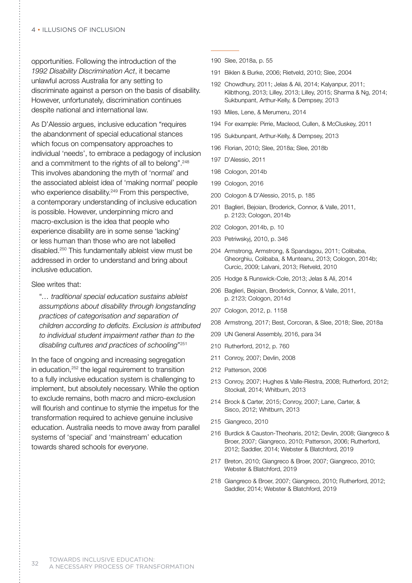opportunities. Following the introduction of the *1992 Disability Discrimination Act*, it became unlawful across Australia for any setting to discriminate against a person on the basis of disability. However, unfortunately, discrimination continues despite national and international law.

As D'Alessio argues, inclusive education "requires the abandonment of special educational stances which focus on compensatory approaches to individual 'needs', to embrace a pedagogy of inclusion and a commitment to the rights of all to belong".<sup>248</sup> This involves abandoning the myth of 'normal' and the associated ableist idea of 'making normal' people who experience disability.<sup>249</sup> From this perspective, a contemporary understanding of inclusive education is possible. However, underpinning micro and macro-exclusion is the idea that people who experience disability are in some sense 'lacking' or less human than those who are not labelled disabled.250 This fundamentally ableist view must be addressed in order to understand and bring about inclusive education.

#### Slee writes that:

 "*… traditional special education sustains ableist assumptions about disability through longstanding practices of categorisation and separation of children according to deficits. Exclusion is attributed to individual student impairment rather than to the disabling cultures and practices of schooling*"251

In the face of ongoing and increasing segregation in education, <sup>252</sup> the legal requirement to transition to a fully inclusive education system is challenging to implement, but absolutely necessary. While the option to exclude remains, both macro and micro-exclusion will flourish and continue to stymie the impetus for the transformation required to achieve genuine inclusive education. Australia needs to move away from parallel systems of 'special' and 'mainstream' education towards shared schools for *everyone*.

- 190 Slee, 2018a, p. 55
- 191 Biklen & Burke, 2006; Rietveld, 2010; Slee, 2004
- 192 Chowdhury, 2011; Jelas & Ali, 2014; Kalyanpur, 2011; Klibthong, 2013; Lilley, 2013; Lilley, 2015; Sharma & Ng, 2014; Sukbunpant, Arthur-Kelly, & Dempsey, 2013
- 193 Miles, Lene, & Merumeru, 2014
- 194 For example: Pirrie, Macleod, Cullen, & McCluskey, 2011
- 195 Sukbunpant, Arthur-Kelly, & Dempsey, 2013
- 196 Florian, 2010; Slee, 2018a; Slee, 2018b
- 197 D'Alessio, 2011
- 198 Cologon, 2014b
- 199 Cologon, 2016
- 200 Cologon & D'Alessio, 2015, p. 185
- 201 Baglieri, Bejoian, Broderick, Connor, & Valle, 2011, p. 2123; Cologon, 2014b
- 202 Cologon, 2014b, p. 10
- 203 Petriwskyj, 2010, p. 346
- 204 Armstrong, Armstrong, & Spandagou, 2011; Colibaba, Gheorghiu, Colibaba, & Munteanu, 2013; Cologon, 2014b; Curcic, 2009; Lalvani, 2013; Rietveld, 2010
- 205 Hodge & Runswick-Cole, 2013; Jelas & Ali, 2014
- 206 Baglieri, Bejoian, Broderick, Connor, & Valle, 2011, p. 2123; Cologon, 2014d
- 207 Cologon, 2012, p. 1158
- 208 Armstrong, 2017; Best, Corcoran, & Slee, 2018; Slee, 2018a
- 209 UN General Assembly, 2016, para 34
- 210 Rutherford, 2012, p. 760
- 211 Conroy, 2007; Devlin, 2008
- 212 Patterson, 2006
- 213 Conroy, 2007; Hughes & Valle-Riestra, 2008; Rutherford, 2012; Stockall, 2014; Whitburn, 2013
- 214 Brock & Carter, 2015; Conroy, 2007; Lane, Carter, & Sisco, 2012; Whitburn, 2013
- 215 Giangreco, 2010
- 216 Burdick & Causton-Theoharis, 2012; Devlin, 2008; Giangreco & Broer, 2007; Giangreco, 2010; Patterson, 2006; Rutherford, 2012; Saddler, 2014; Webster & Blatchford, 2019
- 217 Breton, 2010; Giangreco & Broer, 2007; Giangreco, 2010; Webster & Blatchford, 2019
- 218 Giangreco & Broer, 2007; Giangreco, 2010; Rutherford, 2012; Saddler, 2014; Webster & Blatchford, 2019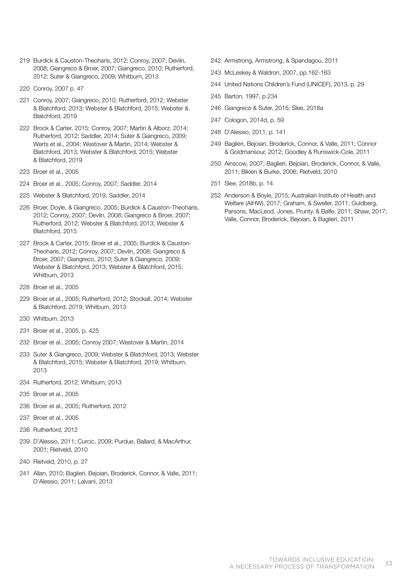- 219 Burdick & Causton-Theoharis, 2012; Conroy, 2007; Devlin, 2008; Giangreco & Broer, 2007; Giangreco, 2010; Rutherford, 2012; Suter & Giangreco, 2009; Whitburn, 2013
- 220 Conroy, 2007 p. 47
- 221 Conroy, 2007; Giangreco, 2010; Rutherford, 2012; Webster & Blatchford, 2013; Webster & Blatchford, 2015; Webster & Blatchford, 2019
- 222 Brock & Carter, 2015; Conroy, 2007; Martin & Alborz, 2014; Rutherford, 2012; Saddler, 2014; Suter & Giangreco, 2009; Werts et al., 2004; Westover & Martin, 2014; Webster & Blatchford, 2013; Webster & Blatchford, 2015; Webster & Blatchford, 2019
- 223 Broer et al., 2005
- 224 Broer et al., 2005; Conroy, 2007; Saddler, 2014
- 225 Webster & Blatchford, 2019; Saddler, 2014
- 226 Broer, Doyle, & Giangreco, 2005; Burdick & Causton-Theoharis, 2012; Conroy, 2007; Devlin, 2008; Giangreco & Broer, 2007; Rutherford, 2012; Webster & Blatchford, 2013; Webster & Blatchford, 2015
- 227 Brock & Carter, 2015; Broer et al., 2005; Burdick & Causton-Theoharis, 2012; Conroy, 2007; Devlin, 2008; Giangreco & Broer, 2007; Giangreco, 2010; Suter & Giangreco, 2009; Webster & Blatchford, 2013; Webster & Blatchford, 2015; Whitburn, 2013
- 228 Broer et al., 2005
- 229 Broer et al., 2005; Rutherford, 2012; Stockall, 2014; Webster & Blatchford, 2019; Whitburn, 2013
- 230 Whitburn, 2013
- 231 Broer et al., 2005, p. 425
- 232 Broer et al., 2005; Conroy 2007; Westover & Martin, 2014
- 233 Suter & Giangreco, 2009; Webster & Blatchford, 2013; Webster & Blatchford, 2015; Webster & Blatchford, 2019; Whitburn, 2013
- 234 Rutherford, 2012; Whitburn, 2013
- 235 Broer et al., 2005
- 236 Broer et al., 2005; Rutherford, 2012
- 237 Broer et al., 2005
- 238 Rutherford, 2012
- 239 D'Alessio, 2011; Curcic, 2009; Purdue, Ballard, & MacArthur, 2001; Rietveld, 2010
- 240 Rietveld, 2010, p. 27
- 241 Allan, 2010; Baglieri, Bejoian, Broderick, Connor, & Valle, 2011; D'Alessio, 2011; Lalvani, 2013
- 242 Armstrong, Armstrong, & Spandagou, 2011
- 243 McLeskey & Waldron, 2007, pp.162-163
- 244 United Nations Children's Fund (UNICEF), 2013, p. 29
- 245 Barton, 1997, p.234
- 246 Giangreco & Suter, 2015; Slee, 2018a
- 247 Cologon, 2014d, p. 59
- 248 D'Alessio, 2011, p. 141
- 249 Baglieri, Bejoian, Broderick, Connor, & Valle, 2011; Connor & Goldmansour, 2012; Goodley & Runswick-Cole, 2011
- 250 Ainscow, 2007; Baglieri, Bejoian, Broderick, Connor, & Valle, 2011; Biklen & Burke, 2006; Rietveld, 2010
- 251 Slee, 2018b, p. 14
- 252 Anderson & Boyle, 2015; Australian Institute of Health and Welfare (AIHW), 2017; Graham, & Sweller, 2011; Guldberg, Parsons, MacLeod, Jones, Prunty, & Balfe, 2011; Shaw, 2017; Valle, Connor, Broderick, Bejoian, & Baglieri, 2011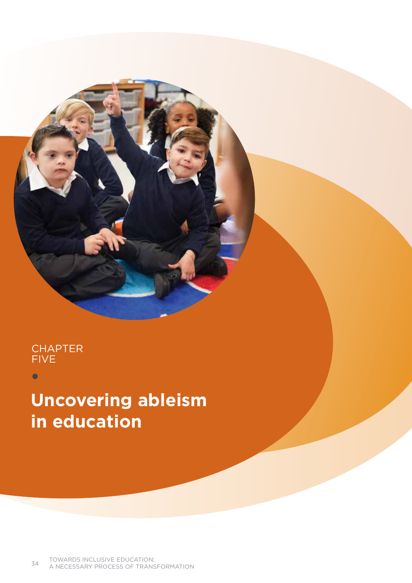

 $\bullet$ 

# **Uncovering ableism in education**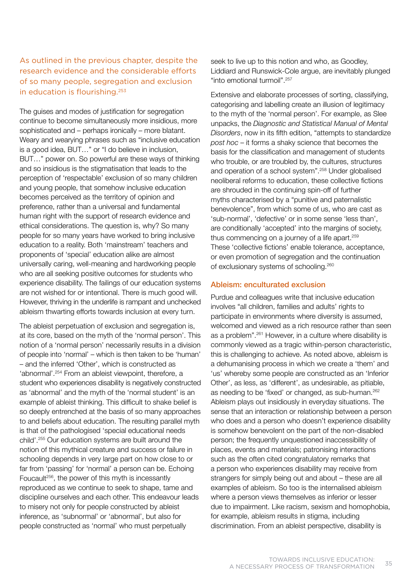# As outlined in the previous chapter, despite the research evidence and the considerable efforts of so many people, segregation and exclusion in education is flourishing.253

The guises and modes of justification for segregation continue to become simultaneously more insidious, more sophisticated and – perhaps ironically – more blatant. Weary and wearying phrases such as "inclusive education is a good idea, BUT…" or "I do believe in inclusion, BUT…" power on. So powerful are these ways of thinking and so insidious is the stigmatisation that leads to the perception of 'respectable' exclusion of so many children and young people, that somehow inclusive education becomes perceived as the territory of opinion and preference, rather than a universal and fundamental human right with the support of research evidence and ethical considerations. The question is, why? So many people for so many years have worked to bring inclusive education to a reality. Both 'mainstream' teachers and proponents of 'special' education alike are almost universally caring, well-meaning and hardworking people who are all seeking positive outcomes for students who experience disability. The failings of our education systems are not wished for or intentional. There is much good will. However, thriving in the underlife is rampant and unchecked ableism thwarting efforts towards inclusion at every turn.

The ableist perpetuation of exclusion and segregation is, at its core, based on the myth of the 'normal person'. This notion of a 'normal person' necessarily results in a division of people into 'normal' – which is then taken to be 'human' – and the inferred 'Other', which is constructed as 'abnormal'.254 From an ableist viewpoint, therefore, a student who experiences disability is negatively constructed as 'abnormal' and the myth of the 'normal student' is an example of ableist thinking. This difficult to shake belief is so deeply entrenched at the basis of so many approaches to and beliefs about education. The resulting parallel myth is that of the pathologised 'special educational needs child'.255 Our education systems are built around the notion of this mythical creature and success or failure in schooling depends in very large part on how close to or far from 'passing' for 'normal' a person can be. Echoing Foucault<sup>256</sup>, the power of this myth is incessantly reproduced as we continue to seek to shape, tame and discipline ourselves and each other. This endeavour leads to misery not only for people constructed by ableist inference, as 'subnormal' or 'abnormal', but also for people constructed as 'normal' who must perpetually

seek to live up to this notion and who, as Goodley, Liddiard and Runswick-Cole argue, are inevitably plunged "into emotional turmoil".257

Extensive and elaborate processes of sorting, classifying, categorising and labelling create an illusion of legitimacy to the myth of the 'normal person'. For example, as Slee unpacks, the *Diagnostic and Statistical Manual of Mental Disorders*, now in its fifth edition, "attempts to standardize *post hoc* – it forms a shaky science that becomes the basis for the classification and management of students who trouble, or are troubled by, the cultures, structures and operation of a school system".258 Under globalised neoliberal reforms to education, these collective fictions are shrouded in the continuing spin-off of further myths characterised by a "punitive and paternalistic benevolence", from which some of us, who are cast as 'sub-normal', 'defective' or in some sense 'less than', are conditionally 'accepted' into the margins of society, thus commencing on a journey of a life apart.<sup>259</sup> These 'collective fictions' enable tolerance, acceptance, or even promotion of segregation and the continuation of exclusionary systems of schooling.260

## Ableism: enculturated exclusion

Purdue and colleagues write that inclusive education involves "all children, families and adults' rights to participate in environments where diversity is assumed, welcomed and viewed as a rich resource rather than seen as a problem".261 However, in a culture where disability is commonly viewed as a tragic within-person characteristic, this is challenging to achieve. As noted above, ableism is a dehumanising process in which we create a 'them' and 'us' whereby some people are constructed as an 'Inferior Other', as less, as 'different', as undesirable, as pitiable, as needing to be 'fixed' or changed, as sub-human.<sup>262</sup> Ableism plays out insidiously in everyday situations. The sense that an interaction or relationship between a person who does and a person who doesn't experience disability is somehow benevolent on the part of the non-disabled person; the frequently unquestioned inaccessibility of places, events and materials; patronising interactions such as the often cited congratulatory remarks that a person who experiences disability may receive from strangers for simply being out and about – these are all examples of ableism. So too is the internalised ableism where a person views themselves as inferior or lesser due to impairment. Like racism, sexism and homophobia, for example, ableism results in stigma, including discrimination. From an ableist perspective, disability is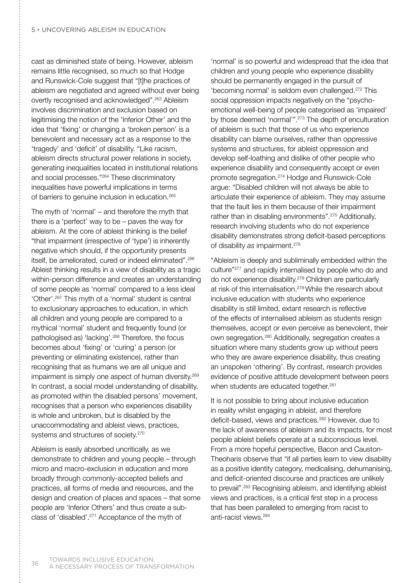cast as diminished state of being. However, ableism remains little recognised, so much so that Hodge and Runswick-Cole suggest that "[t]he practices of ableism are negotiated and agreed without ever being overtly recognised and acknowledged".<sup>263</sup> Ableism involves discrimination and exclusion based on legitimising the notion of the 'Inferior Other' and the idea that 'fixing' or changing a 'broken person' is a benevolent and necessary act as a response to the 'tragedy' and 'deficit' of disability. "Like racism, ableism directs structural power relations in society, generating inequalities located in institutional relations and social processes."264 These discriminatory inequalities have powerful implications in terms of barriers to genuine inclusion in education.265

The myth of 'normal' – and therefore the myth that there is a 'perfect' way to be – paves the way for ableism. At the core of ableist thinking is the belief "that impairment (irrespective of 'type') is inherently negative which should, if the opportunity presents itself, be ameliorated, cured or indeed eliminated".266 Ableist thinking results in a view of disability as a tragic within-person difference and creates an understanding of some people as 'normal' compared to a less ideal 'Other'.267 This myth of a 'normal' student is central to exclusionary approaches to education, in which all children and young people are compared to a mythical 'normal' student and frequently found (or pathologised as) 'lacking'.268 Therefore, the focus becomes about 'fixing' or 'curing' a person (or preventing or eliminating existence), rather than recognising that as humans we are all unique and impairment is simply one aspect of human diversity.<sup>269</sup> In contrast, a social model understanding of disability, as promoted within the disabled persons' movement, recognises that a person who experiences disability is whole and unbroken, but is disabled by the unaccommodating and ableist views, practices, systems and structures of society.<sup>270</sup>

Ableism is easily absorbed uncritically, as we demonstrate to children and young people – through micro and macro-exclusion in education and more broadly through commonly-accepted beliefs and practices, all forms of media and resources, and the design and creation of places and spaces – that some people are 'Inferior Others' and thus create a subclass of 'disabled'.271 Acceptance of the myth of

'normal' is so powerful and widespread that the idea that children and young people who experience disability should be permanently engaged in the pursuit of 'becoming normal' is seldom even challenged.272 This social oppression impacts negatively on the "psychoemotional well-being of people categorised as 'impaired' by those deemed 'normal'".273 The depth of enculturation of ableism is such that those of us who experience disability can blame ourselves, rather than oppressive systems and structures, for ableist oppression and develop self-loathing and dislike of other people who experience disability and consequently accept or even promote segregation.274 Hodge and Runswick-Cole argue: "Disabled children will not always be able to articulate their experience of ableism. They may assume that the fault lies in them because of their impairment rather than in disabling environments".275 Additionally, research involving students who do not experience disability demonstrates strong deficit-based perceptions of disability *as* impairment.276

"Ableism is deeply and subliminally embedded within the culture"277 and rapidly internalised by people who do and do not experience disability.278 Children are particularly at risk of this internalisation.279 While the research about inclusive education with students who experience disability is still limited, extant research is reflective of the effects of internalised ableism as students resign themselves, accept or even perceive as benevolent, their own segregation.280 Additionally, segregation creates a situation where many students grow up without peers who they are aware experience disability, thus creating an unspoken 'othering'. By contrast, research provides evidence of positive attitude development between peers when students are educated together.<sup>281</sup>

It is not possible to bring about inclusive education in reality whilst engaging in ableist, and therefore deficit-based, views and practices.<sup>282</sup> However, due to the lack of awareness of ableism and its impacts, for most people ableist beliefs operate at a subconscious level. From a more hopeful perspective, Bacon and Causton-Theoharis observe that "if all parties learn to view disability as a positive identity category, medicalising, dehumanising, and deficit-oriented discourse and practices are unlikely to prevail".283 Recognising ableism, and identifying ableist views and practices, is a critical first step in a process that has been paralleled to emerging from racist to anti-racist views.284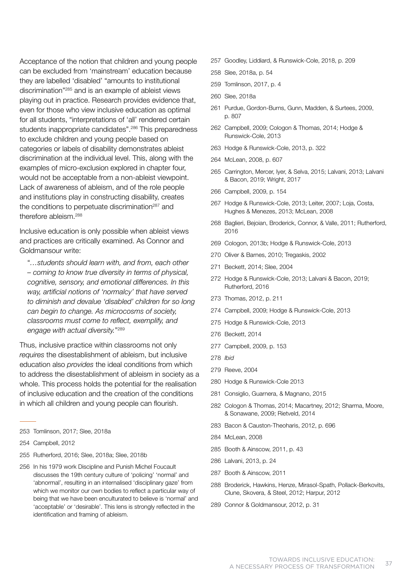Acceptance of the notion that children and young people can be excluded from 'mainstream' education because they are labelled 'disabled' "amounts to institutional discrimination"285 and is an example of ableist views playing out in practice. Research provides evidence that, even for those who view inclusive education as optimal for all students, "interpretations of 'all' rendered certain students inappropriate candidates".<sup>286</sup> This preparedness to exclude children and young people based on categories or labels of disability demonstrates ableist discrimination at the individual level. This, along with the examples of micro-exclusion explored in chapter four, would not be acceptable from a non-ableist viewpoint. Lack of awareness of ableism, and of the role people and institutions play in constructing disability, creates the conditions to perpetuate discrimination $287$  and therefore ableism.288

Inclusive education is only possible when ableist views and practices are critically examined. As Connor and Goldmansour write:

 "*…students should learn with, and from, each other – coming to know true diversity in terms of physical, cognitive, sensory, and emotional differences. In this way, artificial notions of 'normalcy' that have served to diminish and devalue 'disabled' children for so long can begin to change. As microcosms of society, classrooms must come to reflect, exemplify, and engage with actual diversity.*"289

Thus, inclusive practice within classrooms not only *requires* the disestablishment of ableism, but inclusive education also *provides* the ideal conditions from which to address the disestablishment of ableism in society as a whole. This process holds the potential for the realisation of inclusive education and the creation of the conditions in which all children and young people can flourish.

- 253 Tomlinson, 2017; Slee, 2018a
- 254 Campbell, 2012
- 255 Rutherford, 2016; Slee, 2018a; Slee, 2018b
- 256 In his 1979 work Discipline and Punish Michel Foucault discusses the 19th century culture of 'policing' 'normal' and 'abnormal', resulting in an internalised 'disciplinary gaze' from which we monitor our own bodies to reflect a particular way of being that we have been enculturated to believe is 'normal' and 'acceptable' or 'desirable'. This lens is strongly reflected in the identification and framing of ableism.
- 257 Goodley, Liddiard, & Runswick-Cole, 2018, p. 209
- 258 Slee, 2018a, p. 54
- 259 Tomlinson, 2017, p. 4
- 260 Slee, 2018a
- 261 Purdue, Gordon-Burns, Gunn, Madden, & Surtees, 2009, p. 807
- 262 Campbell, 2009; Cologon & Thomas, 2014; Hodge & Runswick-Cole, 2013
- 263 Hodge & Runswick-Cole, 2013, p. 322
- 264 McLean, 2008, p. 607
- 265 Carrington, Mercer, Iyer, & Selva, 2015; Lalvani, 2013; Lalvani & Bacon, 2019; Wright, 2017
- 266 Campbell, 2009, p. 154
- 267 Hodge & Runswick-Cole, 2013; Leiter, 2007; Loja, Costa, Hughes & Menezes, 2013; McLean, 2008
- 268 Baglieri, Bejoian, Broderick, Connor, & Valle, 2011; Rutherford, 2016
- 269 Cologon, 2013b; Hodge & Runswick-Cole, 2013
- 270 Oliver & Barnes, 2010; Tregaskis, 2002
- 271 Beckett, 2014; Slee, 2004
- 272 Hodge & Runswick-Cole, 2013; Lalvani & Bacon, 2019; Rutherford, 2016
- 273 Thomas, 2012, p. 211
- 274 Campbell, 2009; Hodge & Runswick-Cole, 2013
- 275 Hodge & Runswick-Cole, 2013
- 276 Beckett, 2014
- 277 Campbell, 2009, p. 153
- 278 *Ibid*
- 279 Reeve, 2004
- 280 Hodge & Runswick-Cole 2013
- 281 Consiglio, Guarnera, & Magnano, 2015
- 282 Cologon & Thomas, 2014; Macartney, 2012; Sharma, Moore, & Sonawane, 2009; Rietveld, 2014
- 283 Bacon & Causton-Theoharis, 2012, p. 696
- 284 McLean, 2008
- 285 Booth & Ainscow, 2011, p. 43
- 286 Lalvani, 2013, p. 24
- 287 Booth & Ainscow, 2011
- 288 Broderick, Hawkins, Henze, Mirasol-Spath, Pollack-Berkovits, Clune, Skovera, & Steel, 2012; Harpur, 2012
- 289 Connor & Goldmansour, 2012, p. 31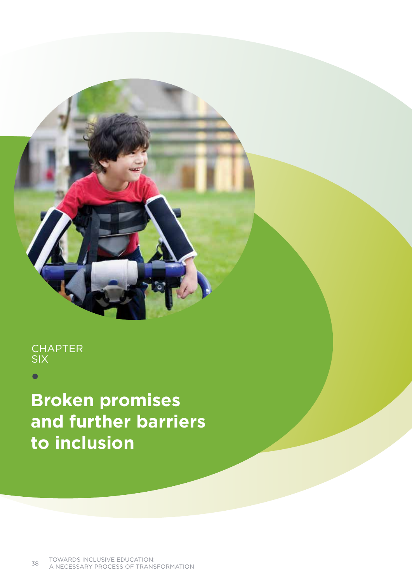# **CHAPTER** six

**Broken promises and further barriers to inclusion**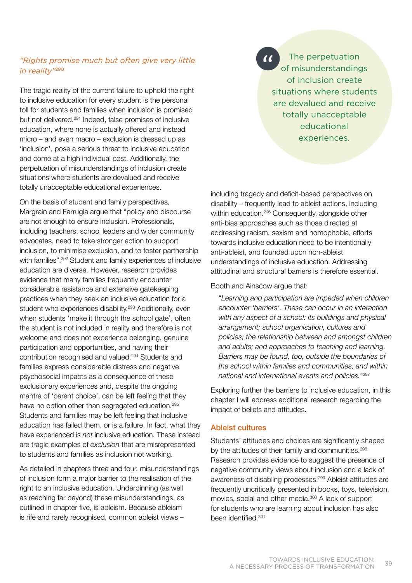# *"Rights promise much but often give very little in reality"*<sup>290</sup>

The tragic reality of the current failure to uphold the right to inclusive education for every student is the personal toll for students and families when inclusion is promised but not delivered.<sup>291</sup> Indeed, false promises of inclusive education, where none is actually offered and instead micro – and even macro – exclusion is dressed up as 'inclusion', pose a serious threat to inclusive education and come at a high individual cost. Additionally, the perpetuation of misunderstandings of inclusion create situations where students are devalued and receive totally unacceptable educational experiences.

On the basis of student and family perspectives, Margrain and Farrugia argue that "policy and discourse are not enough to ensure inclusion. Professionals, including teachers, school leaders and wider community advocates, need to take stronger action to support inclusion, to minimise exclusion, and to foster partnership with families".<sup>292</sup> Student and family experiences of inclusive education are diverse. However, research provides evidence that many families frequently encounter considerable resistance and extensive gatekeeping practices when they seek an inclusive education for a student who experiences disability.<sup>293</sup> Additionally, even when students 'make it through the school gate', often the student is not included in reality and therefore is not welcome and does not experience belonging, genuine participation and opportunities, and having their contribution recognised and valued.294 Students and families express considerable distress and negative psychosocial impacts as a consequence of these exclusionary experiences and, despite the ongoing mantra of 'parent choice', can be left feeling that they have no option other than segregated education.<sup>295</sup> Students and families may be left feeling that inclusive education has failed them, or is a failure. In fact, what they have experienced is *not* inclusive education. These instead are tragic examples of *exclusion* that are misrepresented to students and families as inclusion not working.

As detailed in chapters three and four, misunderstandings of inclusion form a major barrier to the realisation of the right to an inclusive education. Underpinning (as well as reaching far beyond) these misunderstandings, as outlined in chapter five, is ableism. Because ableism is rife and rarely recognised, common ableist views –

**The perpetuation** of misunderstandings of inclusion create situations where students are devalued and receive totally unacceptable educational experiences.

including tragedy and deficit-based perspectives on disability – frequently lead to ableist actions, including within education.<sup>296</sup> Consequently, alongside other anti-bias approaches such as those directed at addressing racism, sexism and homophobia, efforts towards inclusive education need to be intentionally anti-ableist, and founded upon non-ableist understandings of inclusive education. Addressing attitudinal and structural barriers is therefore essential.

Booth and Ainscow argue that:

 "*Learning and participation are impeded when children encounter 'barriers'. These can occur in an interaction with any aspect of a school: its buildings and physical arrangement; school organisation, cultures and policies; the relationship between and amongst children and adults; and approaches to teaching and learning. Barriers may be found, too, outside the boundaries of the school within families and communities, and within national and international events and policies.*"297

Exploring further the barriers to inclusive education, in this chapter I will address additional research regarding the impact of beliefs and attitudes.

## Ableist cultures

Students' attitudes and choices are significantly shaped by the attitudes of their family and communities.<sup>298</sup> Research provides evidence to suggest the presence of negative community views about inclusion and a lack of awareness of disabling processes.299 Ableist attitudes are frequently uncritically presented in books, toys, television, movies, social and other media.<sup>300</sup> A lack of support for students who are learning about inclusion has also been identified.<sup>301</sup>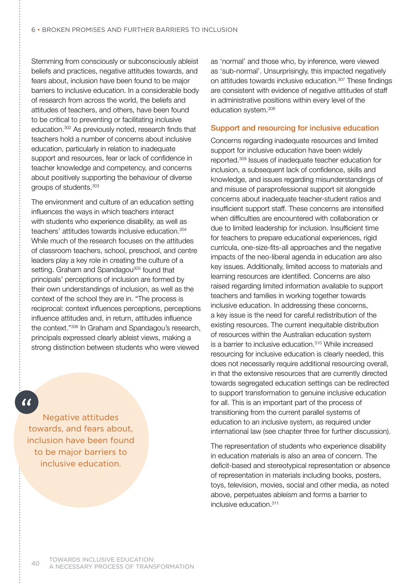Stemming from consciously or subconsciously ableist beliefs and practices, negative attitudes towards, and fears about, inclusion have been found to be major barriers to inclusive education. In a considerable body of research from across the world, the beliefs and attitudes of teachers, and others, have been found to be critical to preventing or facilitating inclusive education.302 As previously noted, research finds that teachers hold a number of concerns about inclusive education, particularly in relation to inadequate support and resources, fear or lack of confidence in teacher knowledge and competency, and concerns about positively supporting the behaviour of diverse groups of students.<sup>303</sup>

The environment and culture of an education setting influences the ways in which teachers interact with students who experience disability, as well as teachers' attitudes towards inclusive education.<sup>304</sup> While much of the research focuses on the attitudes of classroom teachers, school, preschool, and centre leaders play a key role in creating the culture of a setting. Graham and Spandagou<sup>305</sup> found that principals' perceptions of inclusion are formed by their own understandings of inclusion, as well as the context of the school they are in. "The process is reciprocal: context influences perceptions, perceptions influence attitudes and, in return, attitudes influence the context."306 In Graham and Spandagou's research, principals expressed clearly ableist views, making a strong distinction between students who were viewed

 $\alpha$ 

Negative attitudes towards, and fears about, inclusion have been found to be major barriers to inclusive education.

as 'normal' and those who, by inference, were viewed as 'sub-normal'. Unsurprisingly, this impacted negatively on attitudes towards inclusive education.307 These findings are consistent with evidence of negative attitudes of staff in administrative positions within every level of the education system.308

## Support and resourcing for inclusive education

Concerns regarding inadequate resources and limited support for inclusive education have been widely reported.309 Issues of inadequate teacher education for inclusion, a subsequent lack of confidence, skills and knowledge, and issues regarding misunderstandings of and misuse of paraprofessional support sit alongside concerns about inadequate teacher-student ratios and insufficient support staff. These concerns are intensified when difficulties are encountered with collaboration or due to limited leadership for inclusion. Insufficient time for teachers to prepare educational experiences, rigid curricula, one-size-fits-all approaches and the negative impacts of the neo-liberal agenda in education are also key issues. Additionally, limited access to materials and learning resources are identified. Concerns are also raised regarding limited information available to support teachers and families in working together towards inclusive education. In addressing these concerns, a key issue is the need for careful redistribution of the existing resources. The current inequitable distribution of resources within the Australian education system is a barrier to inclusive education.310 While increased resourcing for inclusive education is clearly needed, this does not necessarily require additional resourcing overall, in that the extensive resources that are currently directed towards segregated education settings can be redirected to support transformation to genuine inclusive education for all. This is an important part of the process of transitioning from the current parallel systems of education to an inclusive system, as required under international law (see chapter three for further discussion).

The representation of students who experience disability in education materials is also an area of concern. The deficit-based and stereotypical representation or absence of representation in materials including books, posters, toys, television, movies, social and other media, as noted above, perpetuates ableism and forms a barrier to inclusive education.311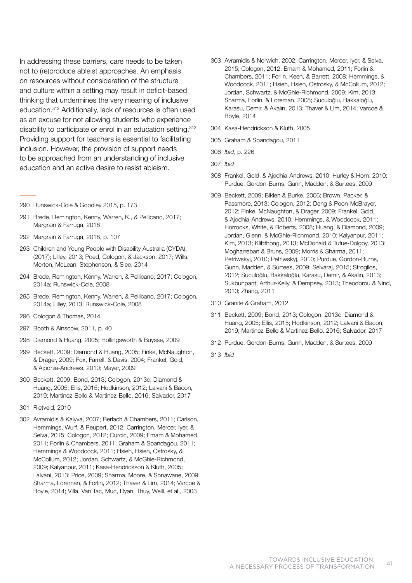In addressing these barriers, care needs to be taken not to (re)produce ableist approaches. An emphasis on resources without consideration of the structure and culture within a setting may result in deficit-based thinking that undermines the very meaning of inclusive education.312 Additionally, lack of resources is often used as an excuse for not allowing students who experience disability to participate or enrol in an education setting.<sup>313</sup> Providing support for teachers is essential to facilitating inclusion. However, the provision of support needs to be approached from an understanding of inclusive education and an active desire to resist ableism.

- 290 Runswick-Cole & Goodley 2015, p. 173
- 291 Brede, Remington, Kenny, Warren, K., & Pellicano, 2017; Margrain & Farruga, 2018
- 292 Margrain & Farruga, 2018, p. 107
- 293 Children and Young People with Disability Australia (CYDA), (2017); Lilley, 2013; Poed, Cologon, & Jackson, 2017; Wills, Morton, McLean, Stephenson, & Slee, 2014
- 294 Brede, Remington, Kenny, Warren, & Pellicano, 2017; Cologon, 2014a; Runswick-Cole, 2008
- 295 Brede, Remington, Kenny, Warren, & Pellicano, 2017; Cologon, 2014a; Lilley, 2013; Runswick-Cole, 2008
- 296 Cologon & Thomas, 2014
- 297 Booth & Ainscow, 2011, p. 40
- 298 Diamond & Huang, 2005; Hollingsworth & Buysse, 2009
- 299 Beckett, 2009; Diamond & Huang, 2005; Finke, McNaughton, & Drager, 2009; Fox, Farrell, & Davis, 2004; Frankel, Gold, & Ajodhia-Andrews, 2010; Mayer, 2009
- 300 Beckett, 2009; Bond, 2013; Cologon, 2013c; Diamond & Huang, 2005; Ellis, 2015; Hodkinson, 2012; Lalvani & Bacon, 2019; Martinez-Bello & Martinez-Bello, 2016; Salvador, 2017
- 301 Rietveld, 2010
- 302 Avramidis & Kalyva, 2007; Berlach & Chambers, 2011; Carlson, Hemmings, Wurf, & Reupert, 2012; Carrington, Mercer, Iyer, & Selva, 2015; Cologon, 2012; Curcic, 2009; Emam & Mohamed, 2011; Forlin & Chambers, 2011; Graham & Spandagou, 2011; Hemmings & Woodcock, 2011; Hsieh, Hsieh, Ostrosky, & McCollum, 2012; Jordan, Schwartz, & McGhie-Richmond, 2009; Kalyanpur, 2011; Kasa-Hendrickson & Kluth, 2005; Lalvani, 2013; Price, 2009; Sharma, Moore, & Sonawane, 2009; Sharma, Loreman, & Forlin, 2012; Thaver & Lim, 2014; Varcoe & Boyle, 2014; Villa, Van Tac, Muc, Ryan, Thuy, Weill, et al., 2003
- 303 Avramidis & Norwich, 2002; Carrington, Mercer, Iyer, & Selva, 2015; Cologon, 2012; Emam & Mohamed, 2011; Forlin & Chambers, 2011; Forlin, Keen, & Barrett, 2008; Hemmings, & Woodcock, 2011; Hsieh, Hsieh, Ostrosky, & McCollum, 2012; Jordan, Schwartz, & McGhie-Richmond, 2009; Kim, 2013; Sharma, Forlin, & Loreman, 2008; Suculoğlu, Bakkaloğlu, Karasu, Demir, & Akalın, 2013; Thaver & Lim, 2014; Varcoe & Boyle, 2014
- 304 Kasa-Hendrickson & Kluth, 2005
- 305 Graham & Spandagou, 2011
- 306 *Ibid*, p. 226
- 307 *Ibid*
- 308 Frankel, Gold, & Ajodhia-Andrews, 2010; Hurley & Horn, 2010; Purdue, Gordon-Burns, Gunn, Madden, & Surtees, 2009
- 309 Beckett, 2009; Biklen & Burke, 2006; Brown, Packer, & Passmore, 2013; Cologon, 2012; Deng & Poon-McBrayer, 2012; Finke, McNaughton, & Drager, 2009; Frankel, Gold, & Ajodhia-Andrews, 2010; Hemmings, & Woodcock, 2011; Horrocks, White, & Roberts, 2008; Huang, & Diamond, 2009; Jordan, Glenn, & McGhie-Richmond, 2010; Kalyanpur, 2011; Kim, 2013; Klibthong, 2013; McDonald & Tufue-Dolgoy, 2013; Mogharreban & Bruns, 2009; Morris & Sharma, 2011; Petriwskyj, 2010; Petriwskyj, 2010; Purdue, Gordon-Burns, Gunn, Madden, & Surtees, 2009; Selvaraj, 2015; Strogilos, 2012; Suculoğlu, Bakkaloğlu, Karasu, Demir, & Akalın, 2013; Sukbunpant, Arthur-Kelly, & Dempsey, 2013; Theodorou & Nind, 2010; Zhang, 2011
- 310 Granite & Graham, 2012
- 311 Beckett, 2009; Bond, 2013; Cologon, 2013c; Diamond & Huang, 2005; Ellis, 2015; Hodkinson, 2012; Lalvani & Bacon, 2019; Martinez-Bello & Martinez-Bello, 2016; Salvador, 2017
- 312 Purdue, Gordon-Burns, Gunn, Madden, & Surtees, 2009
- 313 *Ibid*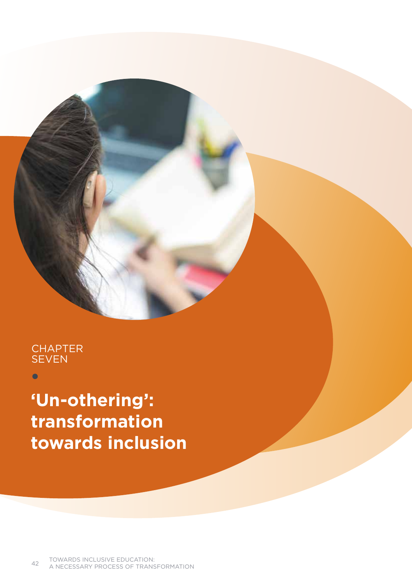# **CHAPTER SEVEN**

 $\bullet$ 

**'Un-othering': transformation towards inclusion**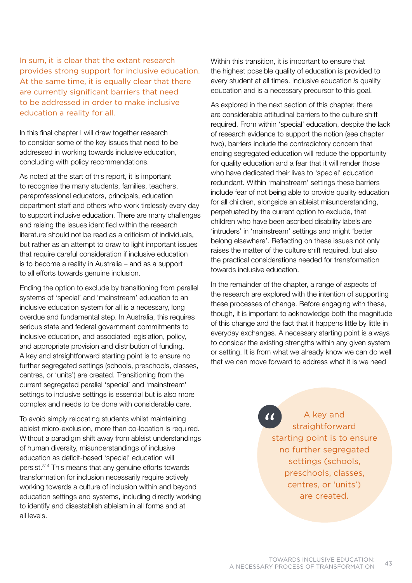In sum, it is clear that the extant research provides strong support for inclusive education. At the same time, it is equally clear that there are currently significant barriers that need to be addressed in order to make inclusive education a reality for all.

In this final chapter I will draw together research to consider some of the key issues that need to be addressed in working towards inclusive education, concluding with policy recommendations.

As noted at the start of this report, it is important to recognise the many students, families, teachers, paraprofessional educators, principals, education department staff and others who work tirelessly every day to support inclusive education. There are many challenges and raising the issues identified within the research literature should not be read as a criticism of individuals, but rather as an attempt to draw to light important issues that require careful consideration if inclusive education is to become a reality in Australia – and as a support to all efforts towards genuine inclusion.

Ending the option to exclude by transitioning from parallel systems of 'special' and 'mainstream' education to an inclusive education system for all is a necessary, long overdue and fundamental step. In Australia, this requires serious state and federal government commitments to inclusive education, and associated legislation, policy, and appropriate provision and distribution of funding. A key and straightforward starting point is to ensure no further segregated settings (schools, preschools, classes, centres, or 'units') are created. Transitioning from the current segregated parallel 'special' and 'mainstream' settings to inclusive settings is essential but is also more complex and needs to be done with considerable care.

To avoid simply relocating students whilst maintaining ableist micro-exclusion, more than co-location is required. Without a paradigm shift away from ableist understandings of human diversity, misunderstandings of inclusive education as deficit-based 'special' education will persist.314 This means that any genuine efforts towards transformation for inclusion necessarily require actively working towards a culture of inclusion within and beyond education settings and systems, including directly working to identify and disestablish ableism in all forms and at all levels.

Within this transition, it is important to ensure that the highest possible quality of education is provided to every student at all times. Inclusive education *is* quality education and is a necessary precursor to this goal.

As explored in the next section of this chapter, there are considerable attitudinal barriers to the culture shift required. From within 'special' education, despite the lack of research evidence to support the notion (see chapter two), barriers include the contradictory concern that ending segregated education will reduce the opportunity for quality education and a fear that it will render those who have dedicated their lives to 'special' education redundant. Within 'mainstream' settings these barriers include fear of not being able to provide quality education for all children, alongside an ableist misunderstanding, perpetuated by the current option to exclude, that children who have been ascribed disability labels are 'intruders' in 'mainstream' settings and might 'better belong elsewhere'. Reflecting on these issues not only raises the matter of the culture shift required, but also the practical considerations needed for transformation towards inclusive education.

In the remainder of the chapter, a range of aspects of the research are explored with the intention of supporting these processes of change. Before engaging with these, though, it is important to acknowledge both the magnitude of this change and the fact that it happens little by little in everyday exchanges. A necessary starting point is always to consider the existing strengths within any given system or setting. It is from what we already know we can do well that we can move forward to address what it is we need

> $\overline{G}$ A key and straightforward starting point is to ensure no further segregated settings (schools, preschools, classes, centres, or 'units') are created.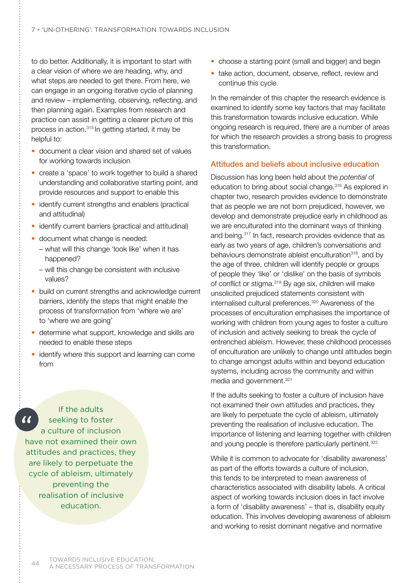to do better. Additionally, it is important to start with a clear vision of where we are heading, why, and what steps are needed to get there. From here, we can engage in an ongoing iterative cycle of planning and review – implementing, observing, reflecting, and then planning again. Examples from research and practice can assist in getting a clearer picture of this process in action.315 In getting started, it may be helpful to:

- document a clear vision and shared set of values for working towards inclusion
- create a 'space' to work together to build a shared understanding and collaborative starting point, and provide resources and support to enable this
- identify current strengths and enablers (practical and attitudinal)
- identify current barriers (practical and attitudinal)
- document what change is needed:
	- what will this change 'look like' when it has happened?
	- will this change be consistent with inclusive values?
- build on current strengths and acknowledge current barriers, identify the steps that might enable the process of transformation from 'where we are' to 'where we are going'
- determine what support, knowledge and skills are needed to enable these steps
- identify where this support and learning can come from

If the adults  $\alpha$ seeking to foster a culture of inclusion have not examined their own attitudes and practices, they are likely to perpetuate the cycle of ableism, ultimately preventing the realisation of inclusive education.

- choose a starting point (small and bigger) and begin
- take action, document, observe, reflect, review and continue this cycle.

In the remainder of this chapter the research evidence is examined to identify some key factors that may facilitate this transformation towards inclusive education. While ongoing research is required, there are a number of areas for which the research provides a strong basis to progress this transformation.

## Attitudes and beliefs about inclusive education

Discussion has long been held about the *potential* of education to bring about social change.316 As explored in chapter two, research provides evidence to demonstrate that as people we are not born prejudiced, however, we develop and demonstrate prejudice early in childhood as we are enculturated into the dominant ways of thinking and being.317 In fact, research provides evidence that as early as two years of age, children's conversations and behaviours demonstrate ableist enculturation<sup>318</sup>, and by the age of three, children will identify people or groups of people they 'like' or 'dislike' on the basis of symbols of conflict or stigma.<sup>319</sup> By age six, children will make unsolicited prejudiced statements consistent with internalised cultural preferences.320 Awareness of the processes of enculturation emphasises the importance of working with children from young ages to foster a culture of inclusion and actively seeking to break the cycle of entrenched ableism. However, these childhood processes of enculturation are unlikely to change until attitudes begin to change amongst adults within and beyond education systems, including across the community and within media and government.<sup>321</sup>

If the adults seeking to foster a culture of inclusion have not examined their own attitudes and practices, they are likely to perpetuate the cycle of ableism, ultimately preventing the realisation of inclusive education. The importance of listening and learning together with children and young people is therefore particularly pertinent.<sup>322</sup>

While it is common to advocate for 'disability awareness' as part of the efforts towards a culture of inclusion, this tends to be interpreted to mean awareness of characteristics associated with disability labels. A critical aspect of working towards inclusion does in fact involve a form of 'disability awareness' – that is, disability equity education. This involves developing awareness of ableism and working to resist dominant negative and normative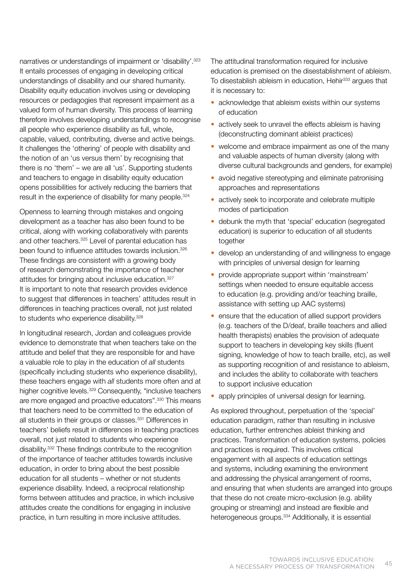narratives or understandings of impairment or 'disability'.323 It entails processes of engaging in developing critical understandings of disability and our shared humanity. Disability equity education involves using or developing resources or pedagogies that represent impairment as a valued form of human diversity. This process of learning therefore involves developing understandings to recognise all people who experience disability as full, whole, capable, valued, contributing, diverse and active beings. It challenges the 'othering' of people with disability and the notion of an 'us versus them' by recognising that there is no 'them' – we are all 'us'. Supporting students and teachers to engage in disability equity education opens possibilities for actively reducing the barriers that result in the experience of disability for many people.<sup>324</sup>

Openness to learning through mistakes and ongoing development as a teacher has also been found to be critical, along with working collaboratively with parents and other teachers.<sup>325</sup> Level of parental education has been found to influence attitudes towards inclusion.<sup>326</sup> These findings are consistent with a growing body of research demonstrating the importance of teacher attitudes for bringing about inclusive education.<sup>327</sup> It is important to note that research provides evidence to suggest that differences in teachers' attitudes result in differences in teaching practices overall, not just related to students who experience disability.<sup>328</sup>

In longitudinal research, Jordan and colleagues provide evidence to demonstrate that when teachers take on the attitude and belief that they are responsible for and have a valuable role to play in the education of *all* students (specifically including students who experience disability), these teachers engage with *all* students more often and at higher cognitive levels.<sup>329</sup> Consequently, "inclusive teachers are more engaged and proactive educators".330 This means that teachers need to be committed to the education of all students in their groups or classes.<sup>331</sup> Differences in teachers' beliefs result in differences in teaching practices overall, not just related to students who experience disability.332 These findings contribute to the recognition of the importance of teacher attitudes towards inclusive education, in order to bring about the best possible education for all students – whether or not students experience disability. Indeed, a reciprocal relationship forms between attitudes and practice, in which inclusive attitudes create the conditions for engaging in inclusive practice, in turn resulting in more inclusive attitudes.

The attitudinal transformation required for inclusive education is premised on the disestablishment of ableism. To disestablish ableism in education, Hehir<sup>333</sup> argues that it is necessary to:

- acknowledge that ableism exists within our systems of education
- actively seek to unravel the effects ableism is having (deconstructing dominant ableist practices)
- welcome and embrace impairment as one of the many and valuable aspects of human diversity (along with diverse cultural backgrounds and genders, for example)
- avoid negative stereotyping and eliminate patronising approaches and representations
- actively seek to incorporate and celebrate multiple modes of participation
- debunk the myth that 'special' education (segregated education) is superior to education of all students together
- develop an understanding of and willingness to engage with principles of universal design for learning
- provide appropriate support within 'mainstream' settings when needed to ensure equitable access to education (e.g. providing and/or teaching braille, assistance with setting up AAC systems)
- ensure that the education of allied support providers (e.g. teachers of the D/deaf, braille teachers and allied health therapists) enables the provision of adequate support to teachers in developing key skills (fluent signing, knowledge of how to teach braille, etc), as well as supporting recognition of and resistance to ableism, and includes the ability to collaborate with teachers to support inclusive education
- apply principles of universal design for learning.

As explored throughout, perpetuation of the 'special' education paradigm, rather than resulting in inclusive education, further entrenches ableist thinking and practices. Transformation of education systems, policies and practices is required. This involves critical engagement with all aspects of education settings and systems, including examining the environment and addressing the physical arrangement of rooms, and ensuring that when students are arranged into groups that these do not create micro-exclusion (e.g. ability grouping or streaming) and instead are flexible and heterogeneous groups.334 Additionally, it is essential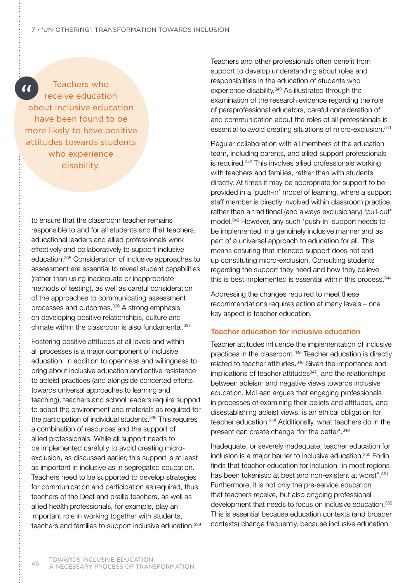Teachers who  $\alpha$ receive education about inclusive education have been found to be more likely to have positive attitudes towards students who experience disability.

to ensure that the classroom teacher remains responsible to and for all students and that teachers, educational leaders and allied professionals work effectively and collaboratively to support inclusive education.335 Consideration of inclusive approaches to assessment are essential to reveal student capabilities (rather than using inadequate or inappropriate methods of testing), as well as careful consideration of the approaches to communicating assessment processes and outcomes.<sup>336</sup> A strong emphasis on developing positive relationships, culture and climate within the classroom is also fundamental.<sup>337</sup>

Fostering positive attitudes at all levels and within all processes is a major component of inclusive education. In addition to openness and willingness to bring about inclusive education and active resistance to ableist practices (and alongside concerted efforts towards universal approaches to learning and teaching), teachers and school leaders require support to adapt the environment and materials as required for the participation of individual students.<sup>338</sup> This requires a combination of resources and the support of allied professionals. While all support needs to be implemented carefully to avoid creating microexclusion, as discussed earlier, this support is at least as important in inclusive as in segregated education. Teachers need to be supported to develop strategies for communication and participation as required, thus teachers of the Deaf and braille teachers, as well as allied health professionals, for example, play an important role in working together with students, teachers and families to support inclusive education.<sup>339</sup> Teachers and other professionals often benefit from support to develop understanding about roles and responsibilities in the education of students who experience disability.340 As illustrated through the examination of the research evidence regarding the role of paraprofessional educators, careful consideration of and communication about the roles of all professionals is essential to avoid creating situations of micro-exclusion.<sup>341</sup>

Regular collaboration with all members of the education team, including parents, and allied support professionals is required.342 This involves allied professionals working with teachers and families, rather than with students directly. At times it may be appropriate for support to be provided in a 'push-in' model of learning, where a support staff member is directly involved within classroom practice, rather than a traditional (and always exclusionary) 'pull-out' model.343 However, any such 'push-in' support needs to be implemented in a genuinely inclusive manner and as part of a universal approach to education for all. This means ensuring that intended support does not end up constituting micro-exclusion. Consulting students regarding the support they need and how they believe this is best implemented is essential within this process.<sup>344</sup>

Addressing the changes required to meet these recommendations requires action at many levels – one key aspect is teacher education.

## Teacher education for inclusive education

Teacher attitudes influence the implementation of inclusive practices in the classroom.345 Teacher education is directly related to teacher attitudes.<sup>346</sup> Given the importance and implications of teacher attitudes<sup>347</sup>, and the relationships between ableism and negative views towards inclusive education, McLean argues that engaging professionals in processes of examining their beliefs and attitudes, and disestablishing ableist views, is an ethical obligation for teacher education.348 Additionally, what teachers do in the present can create change 'for the better'.349

Inadequate, or severely inadequate, teacher education for inclusion is a major barrier to inclusive education.<sup>350</sup> Forlin finds that teacher education for inclusion "in most regions has been tokenistic at best and non-existent at worst".351 Furthermore, it is not only the pre-service education that teachers receive, but also ongoing professional development that needs to focus on inclusive education.352 This is essential because education contexts (and broader contexts) change frequently, because inclusive education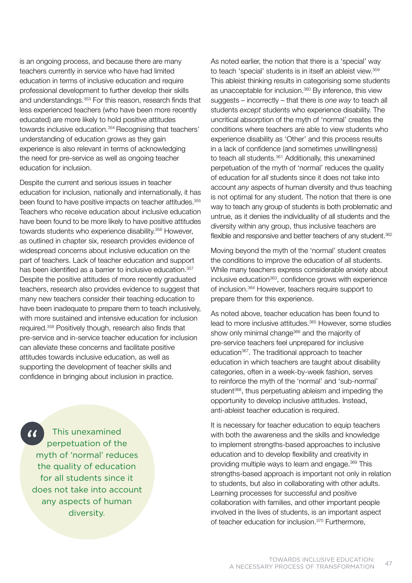is an ongoing process, and because there are many teachers currently in service who have had limited education in terms of inclusive education and require professional development to further develop their skills and understandings.<sup>353</sup> For this reason, research finds that less experienced teachers (who have been more recently educated) are more likely to hold positive attitudes towards inclusive education.<sup>354</sup> Recognising that teachers' understanding of education grows as they gain experience is also relevant in terms of acknowledging the need for pre-service as well as ongoing teacher education for inclusion.

Despite the current and serious issues in teacher education for inclusion, nationally and internationally, it has been found to have positive impacts on teacher attitudes.<sup>355</sup> Teachers who receive education about inclusive education have been found to be more likely to have positive attitudes towards students who experience disability.356 However, as outlined in chapter six, research provides evidence of widespread concerns about inclusive education on the part of teachers. Lack of teacher education and support has been identified as a barrier to inclusive education.<sup>357</sup> Despite the positive attitudes of more recently graduated teachers, research also provides evidence to suggest that many new teachers consider their teaching education to have been inadequate to prepare them to teach inclusively, with more sustained and intensive education for inclusion required.358 Positively though, research also finds that pre-service and in-service teacher education for inclusion can alleviate these concerns and facilitate positive attitudes towards inclusive education, as well as supporting the development of teacher skills and confidence in bringing about inclusion in practice.

This unexamined  $\overline{\phantom{a}}$  perpetuation of the myth of 'normal' reduces the quality of education for all students since it does not take into account any aspects of human diversity.

As noted earlier, the notion that there is a 'special' way to teach 'special' students is in itself an ableist view.<sup>359</sup> This ableist thinking results in categorising some students as unacceptable for inclusion.360 By inference, this view suggests – incorrectly – that there is *one way* to teach all students *except* students who experience disability. The uncritical absorption of the myth of 'normal' creates the conditions where teachers are able to view students who experience disability as 'Other' and this process results in a lack of confidence (and sometimes unwillingness) to teach all students.<sup>361</sup> Additionally, this unexamined perpetuation of the myth of 'normal' reduces the quality of education for *all* students since it does not take into account *any* aspects of human diversity and thus teaching is not optimal for any student. The notion that there is one way to teach any group of students is both problematic and untrue, as it denies the individuality of all students and the diversity within any group, thus inclusive teachers are flexible and responsive and better teachers of any student.<sup>362</sup>

Moving beyond the myth of the 'normal' student creates the conditions to improve the education of all students. While many teachers express considerable anxiety about inclusive education<sup>363</sup>, confidence grows with experience of inclusion.364 However, teachers require support to prepare them for this experience.

As noted above, teacher education has been found to lead to more inclusive attitudes.365 However, some studies show only minimal change<sup>366</sup> and the majority of pre-service teachers feel unprepared for inclusive education367. The traditional approach to teacher education in which teachers are taught about disability categories, often in a week-by-week fashion, serves to reinforce the myth of the 'normal' and 'sub-normal' student<sup>368</sup>, thus perpetuating ableism and impeding the opportunity to develop inclusive attitudes. Instead, anti-ableist teacher education is required.

It is necessary for teacher education to equip teachers with both the awareness and the skills and knowledge to implement strengths-based approaches to inclusive education and to develop flexibility and creativity in providing multiple ways to learn and engage.369 This strengths-based approach is important not only in relation to students, but also in collaborating with other adults. Learning processes for successful and positive collaboration with families, and other important people involved in the lives of students, is an important aspect of teacher education for inclusion.<sup>370</sup> Furthermore,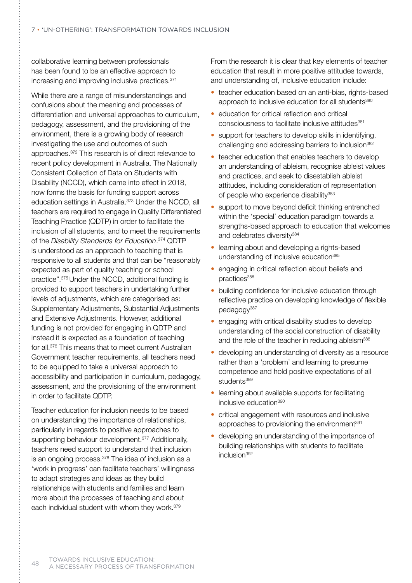collaborative learning between professionals has been found to be an effective approach to increasing and improving inclusive practices.<sup>371</sup>

While there are a range of misunderstandings and confusions about the meaning and processes of differentiation and universal approaches to curriculum, pedagogy, assessment, and the provisioning of the environment, there is a growing body of research investigating the use and outcomes of such approaches.372 This research is of direct relevance to recent policy development in Australia. The Nationally Consistent Collection of Data on Students with Disability (NCCD), which came into effect in 2018, now forms the basis for funding support across education settings in Australia.<sup>373</sup> Under the NCCD, all teachers are required to engage in Quality Differentiated Teaching Practice (QDTP) in order to facilitate the inclusion of all students, and to meet the requirements of the *Disability Standards for Education*. 374 QDTP is understood as an approach to teaching that is responsive to all students and that can be "reasonably expected as part of quality teaching or school practice".375 Under the NCCD, additional funding is provided to support teachers in undertaking further levels of adjustments, which are categorised as: Supplementary Adjustments, Substantial Adjustments and Extensive Adjustments. However, additional funding is not provided for engaging in QDTP and instead it is expected as a foundation of teaching for all.376 This means that to meet current Australian Government teacher requirements, all teachers need to be equipped to take a universal approach to accessibility and participation in curriculum, pedagogy, assessment, and the provisioning of the environment in order to facilitate QDTP.

Teacher education for inclusion needs to be based on understanding the importance of relationships, particularly in regards to positive approaches to supporting behaviour development.<sup>377</sup> Additionally, teachers need support to understand that inclusion is an ongoing process.<sup>378</sup> The idea of inclusion as a 'work in progress' can facilitate teachers' willingness to adapt strategies and ideas as they build relationships with students and families and learn more about the processes of teaching and about each individual student with whom they work.379

From the research it is clear that key elements of teacher education that result in more positive attitudes towards, and understanding of, inclusive education include:

- teacher education based on an anti-bias, rights-based approach to inclusive education for all students<sup>380</sup>
- education for critical reflection and critical consciousness to facilitate inclusive attitudes<sup>381</sup>
- support for teachers to develop skills in identifying, challenging and addressing barriers to inclusion<sup>382</sup>
- teacher education that enables teachers to develop an understanding of ableism, recognise ableist values and practices, and seek to disestablish ableist attitudes, including consideration of representation of people who experience disability<sup>383</sup>
- support to move beyond deficit thinking entrenched within the 'special' education paradigm towards a strengths-based approach to education that welcomes and celebrates diversity<sup>384</sup>
- learning about and developing a rights-based understanding of inclusive education<sup>385</sup>
- engaging in critical reflection about beliefs and practices386
- building confidence for inclusive education through reflective practice on developing knowledge of flexible pedagogy<sup>387</sup>
- engaging with critical disability studies to develop understanding of the social construction of disability and the role of the teacher in reducing ableism<sup>388</sup>
- developing an understanding of diversity as a resource rather than a 'problem' and learning to presume competence and hold positive expectations of all students<sup>389</sup>
- learning about available supports for facilitating inclusive education<sup>390</sup>
- critical engagement with resources and inclusive approaches to provisioning the environment<sup>391</sup>
- developing an understanding of the importance of building relationships with students to facilitate inclusion<sup>392</sup>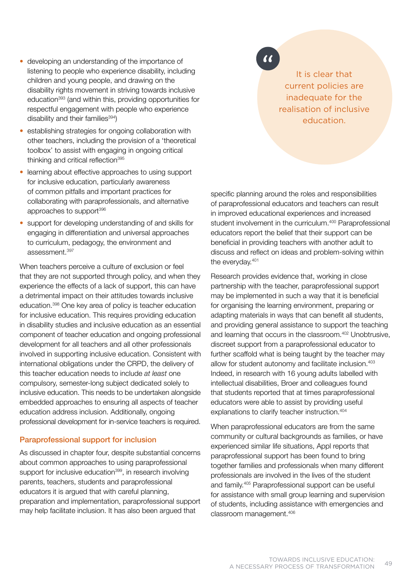- developing an understanding of the importance of listening to people who experience disability, including children and young people, and drawing on the disability rights movement in striving towards inclusive education393 (and within this, providing opportunities for respectful engagement with people who experience disability and their families $394$ )
- establishing strategies for ongoing collaboration with other teachers, including the provision of a 'theoretical toolbox' to assist with engaging in ongoing critical thinking and critical reflection<sup>395</sup>
- learning about effective approaches to using support for inclusive education, particularly awareness of common pitfalls and important practices for collaborating with paraprofessionals, and alternative approaches to support<sup>396</sup>
- support for developing understanding of and skills for engaging in differentiation and universal approaches to curriculum, pedagogy, the environment and assessment.397

When teachers perceive a culture of exclusion or feel that they are not supported through policy, and when they experience the effects of a lack of support, this can have a detrimental impact on their attitudes towards inclusive education.398 One key area of policy is teacher education for inclusive education. This requires providing education in disability studies and inclusive education as an essential component of teacher education and ongoing professional development for all teachers and all other professionals involved in supporting inclusive education. Consistent with international obligations under the CRPD, the delivery of this teacher education needs to include *at least* one compulsory, semester-long subject dedicated solely to inclusive education. This needs to be undertaken alongside embedded approaches to ensuring all aspects of teacher education address inclusion. Additionally, ongoing professional development for in-service teachers is required.

## Paraprofessional support for inclusion

As discussed in chapter four, despite substantial concerns about common approaches to using paraprofessional support for inclusive education<sup>399</sup>, in research involving parents, teachers, students and paraprofessional educators it is argued that with careful planning, preparation and implementation, paraprofessional support may help facilitate inclusion. It has also been argued that

# $\overline{11}$

It is clear that current policies are inadequate for the realisation of inclusive education.

specific planning around the roles and responsibilities of paraprofessional educators and teachers can result in improved educational experiences and increased student involvement in the curriculum.<sup>400</sup> Paraprofessional educators report the belief that their support can be beneficial in providing teachers with another adult to discuss and reflect on ideas and problem-solving within the everyday.401

Research provides evidence that, working in close partnership with the teacher, paraprofessional support may be implemented in such a way that it is beneficial for organising the learning environment, preparing or adapting materials in ways that can benefit all students, and providing general assistance to support the teaching and learning that occurs in the classroom.402 Unobtrusive, discreet support from a paraprofessional educator to further scaffold what is being taught by the teacher may allow for student autonomy and facilitate inclusion.403 Indeed, in research with 16 young adults labelled with intellectual disabilities, Broer and colleagues found that students reported that at times paraprofessional educators were able to assist by providing useful explanations to clarify teacher instruction.404

When paraprofessional educators are from the same community or cultural backgrounds as families, or have experienced similar life situations, Appl reports that paraprofessional support has been found to bring together families and professionals when many different professionals are involved in the lives of the student and family.405 Paraprofessional support can be useful for assistance with small group learning and supervision of students, including assistance with emergencies and classroom management.406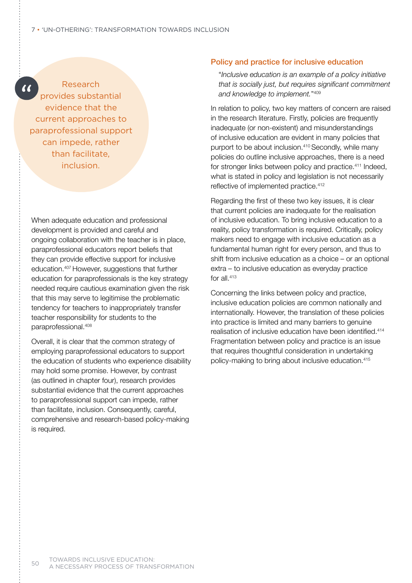$\overline{\mathcal{U}}$ 

# Research

provides substantial evidence that the current approaches to paraprofessional support can impede, rather than facilitate, inclusion.

When adequate education and professional development is provided and careful and ongoing collaboration with the teacher is in place, paraprofessional educators report beliefs that they can provide effective support for inclusive education.407 However, suggestions that further education for paraprofessionals is the key strategy needed require cautious examination given the risk that this may serve to legitimise the problematic tendency for teachers to inappropriately transfer teacher responsibility for students to the paraprofessional.408

Overall, it is clear that the common strategy of employing paraprofessional educators to support the education of students who experience disability may hold some promise. However, by contrast (as outlined in chapter four), research provides substantial evidence that the current approaches to paraprofessional support can impede, rather than facilitate, inclusion. Consequently, careful, comprehensive and research-based policy-making is required.

## Policy and practice for inclusive education

 "*Inclusive education is an example of a policy initiative that is socially just, but requires significant commitment and knowledge to implement.*"409

In relation to policy, two key matters of concern are raised in the research literature. Firstly, policies are frequently inadequate (or non-existent) and misunderstandings of inclusive education are evident in many policies that purport to be about inclusion.410 Secondly, while many policies do outline inclusive approaches, there is a need for stronger links between policy and practice.<sup>411</sup> Indeed, what is stated in policy and legislation is not necessarily reflective of implemented practice.<sup>412</sup>

Regarding the first of these two key issues, it is clear that current policies are inadequate for the realisation of inclusive education. To bring inclusive education to a reality, policy transformation is required. Critically, policy makers need to engage with inclusive education as a fundamental human right for every person, and thus to shift from inclusive education as a choice – or an optional extra – to inclusive education as everyday practice for all.413

Concerning the links between policy and practice, inclusive education policies are common nationally and internationally. However, the translation of these policies into practice is limited and many barriers to genuine realisation of inclusive education have been identified.<sup>414</sup> Fragmentation between policy and practice is an issue that requires thoughtful consideration in undertaking policy-making to bring about inclusive education.415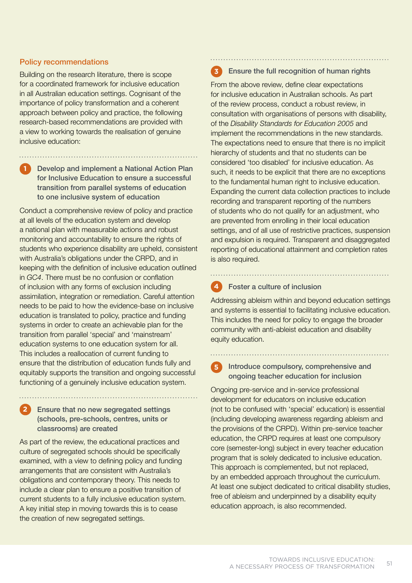## Policy recommendations

Building on the research literature, there is scope for a coordinated framework for inclusive education in all Australian education settings. Cognisant of the importance of policy transformation and a coherent approach between policy and practice, the following research-based recommendations are provided with a view to working towards the realisation of genuine inclusive education:

# **1**

**2**

## Develop and implement a National Action Plan for Inclusive Education to ensure a successful transition from parallel systems of education to one inclusive system of education

Conduct a comprehensive review of policy and practice at all levels of the education system and develop a national plan with measurable actions and robust monitoring and accountability to ensure the rights of students who experience disability are upheld, consistent with Australia's obligations under the CRPD, and in keeping with the definition of inclusive education outlined in *GC4*. There must be no confusion or conflation of inclusion with any forms of exclusion including assimilation, integration or remediation. Careful attention needs to be paid to how the evidence-base on inclusive education is translated to policy, practice and funding systems in order to create an achievable plan for the transition from parallel 'special' and 'mainstream' education systems to one education system for all. This includes a reallocation of current funding to ensure that the distribution of education funds fully and equitably supports the transition and ongoing successful functioning of a genuinely inclusive education system.

## Ensure that no new segregated settings (schools, pre-schools, centres, units or classrooms) are created

As part of the review, the educational practices and culture of segregated schools should be specifically examined, with a view to defining policy and funding arrangements that are consistent with Australia's obligations and contemporary theory. This needs to include a clear plan to ensure a positive transition of current students to a fully inclusive education system. A key initial step in moving towards this is to cease the creation of new segregated settings.

#### Ensure the full recognition of human rights **3**

From the above review, define clear expectations for inclusive education in Australian schools. As part of the review process, conduct a robust review, in consultation with organisations of persons with disability, of the *Disability Standards for Education 2005* and implement the recommendations in the new standards. The expectations need to ensure that there is no implicit hierarchy of students and that no students can be considered 'too disabled' for inclusive education. As such, it needs to be explicit that there are no exceptions to the fundamental human right to inclusive education. Expanding the current data collection practices to include recording and transparent reporting of the numbers of students who do not qualify for an adjustment, who are prevented from enrolling in their local education settings, and of all use of restrictive practices, suspension and expulsion is required. Transparent and disaggregated reporting of educational attainment and completion rates is also required.

#### Foster a culture of inclusion **4**

Addressing ableism within and beyond education settings and systems is essential to facilitating inclusive education. This includes the need for policy to engage the broader community with anti-ableist education and disability equity education.

## **5** Introduce compulsory, comprehensive and ongoing teacher education for inclusion

Ongoing pre-service and in-service professional development for educators on inclusive education (not to be confused with 'special' education) is essential (including developing awareness regarding ableism and the provisions of the CRPD). Within pre-service teacher education, the CRPD requires at least one compulsory core (semester-long) subject in every teacher education program that is solely dedicated to inclusive education. This approach is complemented, but not replaced, by an embedded approach throughout the curriculum. At least one subject dedicated to critical disability studies, free of ableism and underpinned by a disability equity education approach, is also recommended.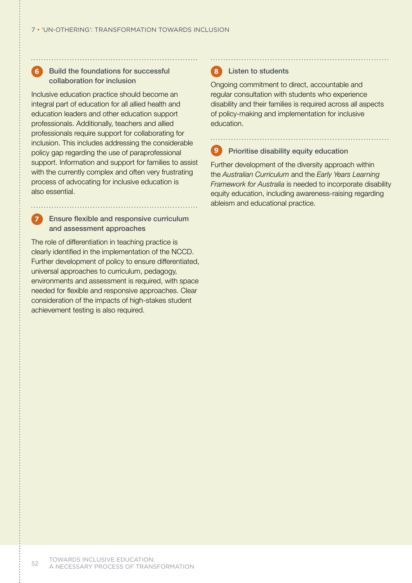#### Build the foundations for successful collaboration for inclusion **6**

Inclusive education practice should become an integral part of education for all allied health and education leaders and other education support professionals. Additionally, teachers and allied professionals require support for collaborating for inclusion. This includes addressing the considerable policy gap regarding the use of paraprofessional support. Information and support for families to assist with the currently complex and often very frustrating process of advocating for inclusive education is also essential.

## Ensure flexible and responsive curriculum and assessment approaches

**7**

The role of differentiation in teaching practice is clearly identified in the implementation of the NCCD. Further development of policy to ensure differentiated, universal approaches to curriculum, pedagogy, environments and assessment is required, with space needed for flexible and responsive approaches. Clear consideration of the impacts of high-stakes student achievement testing is also required.

#### Listen to students **8**

Ongoing commitment to direct, accountable and regular consultation with students who experience disability and their families is required across all aspects of policy-making and implementation for inclusive education.

#### Prioritise disability equity education **9**

Further development of the diversity approach within the *Australian Curriculum* and the *Early Years Learning Framework for Australia* is needed to incorporate disability equity education, including awareness-raising regarding ableism and educational practice.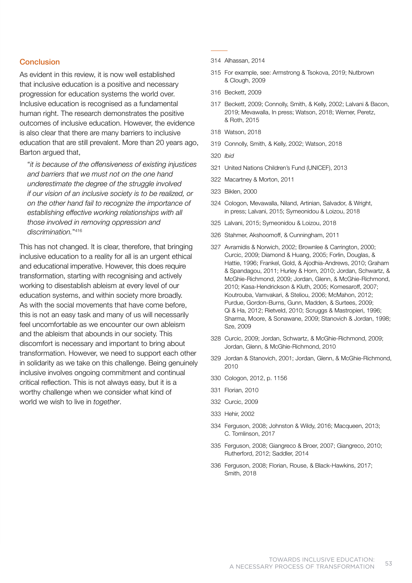## **Conclusion**

As evident in this review, it is now well established that inclusive education is a positive and necessary progression for education systems the world over. Inclusive education is recognised as a fundamental human right. The research demonstrates the positive outcomes of inclusive education. However, the evidence is also clear that there are many barriers to inclusive education that are still prevalent. More than 20 years ago, Barton argued that,

"*it is because of the offensiveness of existing injustices and barriers that we must not on the one hand underestimate the degree of the struggle involved if our vision of an inclusive society is to be realized, or on the other hand fail to recognize the importance of establishing effective working relationships with all those involved in removing oppression and discrimination.*"416

This has not changed. It is clear, therefore, that bringing inclusive education to a reality for all is an urgent ethical and educational imperative. However, this does require transformation, starting with recognising and actively working to disestablish ableism at every level of our education systems, and within society more broadly. As with the social movements that have come before, this is not an easy task and many of us will necessarily feel uncomfortable as we encounter our own ableism and the ableism that abounds in our society. This discomfort is necessary and important to bring about transformation. However, we need to support each other in solidarity as we take on this challenge. Being genuinely inclusive involves ongoing commitment and continual critical reflection. This is not always easy, but it is a worthy challenge when we consider what kind of world we wish to live in *together*.

- 314 Alhassan, 2014
- 315 For example, see: Armstrong & Tsokova, 2019; Nutbrown & Clough, 2009
- 316 Beckett, 2009
- 317 Beckett, 2009; Connolly, Smith, & Kelly, 2002; Lalvani & Bacon, 2019; Mevawalla, In press; Watson, 2018; Werner, Peretz, & Roth, 2015
- 318 Watson, 2018
- 319 Connolly, Smith, & Kelly, 2002; Watson, 2018
- 320 *Ibid*
- 321 United Nations Children's Fund (UNICEF), 2013
- 322 Macartney & Morton, 2011
- 323 Biklen, 2000
- 324 Cologon, Mevawalla, Niland, Artinian, Salvador, & Wright, in press; Lalvani, 2015; Symeonidou & Loizou, 2018
- 325 Lalvani, 2015; Symeonidou & Loizou, 2018
- 326 Stahmer, Akshoomoff, & Cunningham, 2011
- 327 Avramidis & Norwich, 2002; Brownlee & Carrington, 2000; Curcic, 2009; Diamond & Huang, 2005; Forlin, Douglas, & Hattie, 1996; Frankel, Gold, & Ajodhia-Andrews, 2010; Graham & Spandagou, 2011; Hurley & Horn, 2010; Jordan, Schwartz, & McGhie-Richmond, 2009; Jordan, Glenn, & McGhie-Richmond, 2010; Kasa-Hendrickson & Kluth, 2005; Komesaroff, 2007; Koutrouba, Vamvakari, & Steliou, 2006; McMahon, 2012; Purdue, Gordon-Burns, Gunn, Madden, & Surtees, 2009; Qi & Ha, 2012; Rietveld, 2010; Scruggs & Mastropieri, 1996; Sharma, Moore, & Sonawane, 2009; Stanovich & Jordan, 1998; Sze, 2009
- 328 Curcic, 2009; Jordan, Schwartz, & McGhie-Richmond, 2009; Jordan, Glenn, & McGhie-Richmond, 2010
- 329 Jordan & Stanovich, 2001; Jordan, Glenn, & McGhie-Richmond, 2010
- 330 Cologon, 2012, p. 1156
- 331 Florian, 2010
- 332 Curcic, 2009
- 333 Hehir, 2002
- 334 Ferguson, 2008; Johnston & Wildy, 2016; Macqueen, 2013; C. Tomlinson, 2017
- 335 Ferguson, 2008; Giangreco & Broer, 2007; Giangreco, 2010; Rutherford, 2012; Saddler, 2014
- 336 Ferguson, 2008; Florian, Rouse, & Black-Hawkins, 2017; Smith, 2018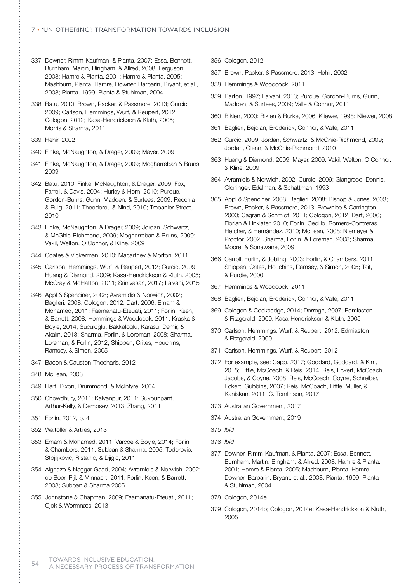- 337 Downer, Rimm-Kaufman, & Pianta, 2007; Essa, Bennett, Burnham, Martin, Bingham, & Allred, 2008; Ferguson, 2008; Hamre & Pianta, 2001; Hamre & Pianta, 2005; Mashburn, Pianta, Hamre, Downer, Barbarin, Bryant, et al., 2008; Pianta, 1999; Pianta & Stuhlman, 2004
- 338 Batu, 2010; Brown, Packer, & Passmore, 2013; Curcic, 2009; Carlson, Hemmings, Wurf, & Reupert, 2012; Cologon, 2012; Kasa-Hendrickson & Kluth, 2005; Morris & Sharma, 2011
- 339 Hehir, 2002
- 340 Finke, McNaughton, & Drager, 2009; Mayer, 2009
- 341 Finke, McNaughton, & Drager, 2009; Mogharreban & Bruns, 2009
- 342 Batu, 2010; Finke, McNaughton, & Drager, 2009; Fox, Farrell, & Davis, 2004; Hurley & Horn, 2010; Purdue, Gordon-Burns, Gunn, Madden, & Surtees, 2009; Recchia & Puig, 2011; Theodorou & Nind, 2010; Trepanier-Street, 2010
- 343 Finke, McNaughton, & Drager, 2009; Jordan, Schwartz, & McGhie-Richmond, 2009; Mogharreban & Bruns, 2009; Vakil, Welton, O'Connor, & Kline, 2009
- 344 Coates & Vickerman, 2010; Macartney & Morton, 2011
- 345 Carlson, Hemmings, Wurf, & Reupert, 2012; Curcic, 2009; Huang & Diamond, 2009; Kasa-Hendrickson & Kluth, 2005; McCray & McHatton, 2011; Srinivasan, 2017; Lalvani, 2015
- 346 Appl & Spenciner, 2008; Avramidis & Norwich, 2002; Baglieri, 2008; Cologon, 2012; Dart, 2006; Emam & Mohamed, 2011; Faamanatu-Eteuati, 2011; Forlin, Keen, & Barrett, 2008; Hemmings & Woodcock, 2011; Kraska & Boyle, 2014; Suculoğlu, Bakkaloğlu, Karasu, Demir, & Akalın, 2013; Sharma, Forlin, & Loreman, 2008; Sharma, Loreman, & Forlin, 2012; Shippen, Crites, Houchins, Ramsey, & Simon, 2005
- 347 Bacon & Causton-Theoharis, 2012
- 348 McLean, 2008
- 349 Hart, Dixon, Drummond, & McIntyre, 2004
- 350 Chowdhury, 2011; Kalyanpur, 2011; Sukbunpant, Arthur-Kelly, & Dempsey, 2013; Zhang, 2011
- 351 Forlin, 2012, p. 4
- 352 Waitoller & Artiles, 2013
- 353 Emam & Mohamed, 2011; Varcoe & Boyle, 2014; Forlin & Chambers, 2011; Subban & Sharma, 2005; Todorovic, Stojiljkovic, Ristanic, & Djigic, 2011
- 354 Alghazo & Naggar Gaad, 2004; Avramidis & Norwich, 2002; de Boer, Pijl, & Minnaert, 2011; Forlin, Keen, & Barrett, 2008; Subban & Sharma 2005
- 355 Johnstone & Chapman, 2009; Faamanatu-Eteuati, 2011; Ojok & Wormnæs, 2013
- 356 Cologon, 2012
- 357 Brown, Packer, & Passmore, 2013; Hehir, 2002
- 358 Hemmings & Woodcock, 2011
- 359 Barton, 1997; Lalvani, 2013; Purdue, Gordon-Burns, Gunn, Madden, & Surtees, 2009; Valle & Connor, 2011
- 360 Biklen, 2000; Biklen & Burke, 2006; Kliewer, 1998; Kliewer, 2008
- 361 Baglieri, Bejoian, Broderick, Connor, & Valle, 2011
- 362 Curcic, 2009; Jordan, Schwartz, & McGhie-Richmond, 2009; Jordan, Glenn, & McGhie-Richmond, 2010
- 363 Huang & Diamond, 2009; Mayer, 2009; Vakil, Welton, O'Connor, & Kline, 2009
- 364 Avramidis & Norwich, 2002; Curcic, 2009; Giangreco, Dennis, Cloninger, Edelman, & Schattman, 1993
- 365 Appl & Spenciner, 2008; Baglieri, 2008; Bishop & Jones, 2003; Brown, Packer, & Passmore, 2013; Brownlee & Carrington, 2000; Cagran & Schmidt, 2011; Cologon, 2012; Dart, 2006; Florian & Linklater, 2010; Forlin, Cedillo, Romero-Contreras, Fletcher, & Hernández, 2010; McLean, 2008; Niemeyer & Proctor, 2002; Sharma, Forlin, & Loreman, 2008; Sharma, Moore, & Sonawane, 2009
- 366 Carroll, Forlin, & Jobling, 2003; Forlin, & Chambers, 2011; Shippen, Crites, Houchins, Ramsey, & Simon, 2005; Tait, & Purdie, 2000
- 367 Hemmings & Woodcock, 2011
- 368 Baglieri, Bejoian, Broderick, Connor, & Valle, 2011
- 369 Cologon & Cocksedge, 2014; Darragh, 2007; Edmiaston & Fitzgerald, 2000; Kasa-Hendrickson & Kluth, 2005
- 370 Carlson, Hemmings, Wurf, & Reupert, 2012; Edmiaston & Fitzgerald, 2000
- 371 Carlson, Hemmings, Wurf, & Reupert, 2012
- 372 For example, see: Capp, 2017; Goddard, Goddard, & Kim, 2015; Little, McCoach, & Reis, 2014; Reis, Eckert, McCoach, Jacobs, & Coyne, 2008; Reis, McCoach, Coyne, Schreiber, Eckert, Gubbins, 2007; Reis, McCoach, Little, Muller, & Kaniskan, 2011; C. Tomlinson, 2017
- 373 Australian Government, 2017
- 374 Australian Government, 2019
- 375 *Ibid*
- 376 *Ibid*
- 377 Downer, Rimm-Kaufman, & Pianta, 2007; Essa, Bennett, Burnham, Martin, Bingham, & Allred, 2008; Hamre & Pianta, 2001; Hamre & Pianta, 2005; Mashburn, Pianta, Hamre, Downer, Barbarin, Bryant, et al., 2008; Pianta, 1999; Pianta & Stuhlman, 2004
- 378 Cologon, 2014e
- 379 Cologon, 2014b; Cologon, 2014e; Kasa-Hendrickson & Kluth, 2005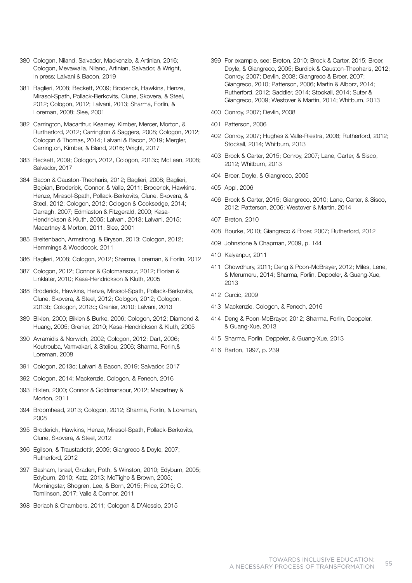- 380 Cologon, Niland, Salvador, Mackenzie, & Artinian, 2016; Cologon, Mevawalla, Niland, Artinian, Salvador, & Wright, In press; Lalvani & Bacon, 2019
- 381 Baglieri, 2008; Beckett, 2009; Broderick, Hawkins, Henze, Mirasol-Spath, Pollack-Berkovits, Clune, Skovera, & Steel, 2012; Cologon, 2012; Lalvani, 2013; Sharma, Forlin, & Loreman, 2008; Slee, 2001
- 382 Carrington, Macarthur, Kearney, Kimber, Mercer, Morton, & Rurtherford, 2012; Carrington & Saggers, 2008; Cologon, 2012; Cologon & Thomas, 2014; Lalvani & Bacon, 2019; Mergler, Carrington, Kimber, & Bland, 2016; Wright, 2017
- 383 Beckett, 2009; Cologon, 2012, Cologon, 2013c; McLean, 2008; Salvador, 2017
- 384 Bacon & Causton-Theoharis, 2012; Baglieri, 2008; Baglieri, Bejoian, Broderick, Connor, & Valle, 2011; Broderick, Hawkins, Henze, Mirasol-Spath, Pollack-Berkovits, Clune, Skovera, & Steel, 2012; Cologon, 2012; Cologon & Cocksedge, 2014; Darragh, 2007; Edmiaston & Fitzgerald, 2000; Kasa-Hendrickson & Kluth, 2005; Lalvani, 2013; Lalvani, 2015; Macartney & Morton, 2011; Slee, 2001
- 385 Breitenbach, Armstrong, & Bryson, 2013; Cologon, 2012; Hemmings & Woodcock, 2011
- 386 Baglieri, 2008; Cologon, 2012; Sharma, Loreman, & Forlin, 2012
- 387 Cologon, 2012; Connor & Goldmansour, 2012; Florian & Linklater, 2010; Kasa-Hendrickson & Kluth, 2005
- 388 Broderick, Hawkins, Henze, Mirasol-Spath, Pollack-Berkovits, Clune, Skovera, & Steel, 2012; Cologon, 2012; Cologon, 2013b; Cologon, 2013c; Grenier, 2010; Lalvani, 2013
- 389 Biklen, 2000; Biklen & Burke, 2006; Cologon, 2012; Diamond & Huang, 2005; Grenier, 2010; Kasa-Hendrickson & Kluth, 2005
- 390 Avramidis & Norwich, 2002; Cologon, 2012; Dart, 2006; Koutrouba, Vamvakari, & Steliou, 2006; Sharma, Forlin,& Loreman, 2008
- 391 Cologon, 2013c; Lalvani & Bacon, 2019; Salvador, 2017
- 392 Cologon, 2014; Mackenzie, Cologon, & Fenech, 2016
- 393 Biklen, 2000; Connor & Goldmansour, 2012; Macartney & Morton, 2011
- 394 Broomhead, 2013; Cologon, 2012; Sharma, Forlin, & Loreman, 2008
- 395 Broderick, Hawkins, Henze, Mirasol-Spath, Pollack-Berkovits, Clune, Skovera, & Steel, 2012
- 396 Egilson, & Traustadottir, 2009; Giangreco & Doyle, 2007; Rutherford, 2012
- 397 Basham, Israel, Graden, Poth, & Winston, 2010; Edyburn, 2005; Edyburn, 2010; Katz, 2013; McTighe & Brown, 2005; Morningstar, Shogren, Lee, & Born, 2015; Price, 2015; C. Tomlinson, 2017; Valle & Connor, 2011
- 398 Berlach & Chambers, 2011; Cologon & D'Alessio, 2015
- 399 For example, see: Breton, 2010; Brock & Carter, 2015; Broer, Doyle, & Giangreco, 2005; Burdick & Causton-Theoharis, 2012; Conroy, 2007; Devlin, 2008; Giangreco & Broer, 2007; Giangreco, 2010; Patterson, 2006; Martin & Alborz, 2014; Rutherford, 2012; Saddler, 2014; Stockall, 2014; Suter & Giangreco, 2009; Westover & Martin, 2014; Whitburn, 2013
- 400 Conroy, 2007; Devlin, 2008
- 401 Patterson, 2006
- 402 Conroy, 2007; Hughes & Valle-Riestra, 2008; Rutherford, 2012; Stockall, 2014; Whitburn, 2013
- 403 Brock & Carter, 2015; Conroy, 2007; Lane, Carter, & Sisco, 2012; Whitburn, 2013
- 404 Broer, Doyle, & Giangreco, 2005
- 405 Appl, 2006
- 406 Brock & Carter, 2015; Giangreco, 2010; Lane, Carter, & Sisco, 2012; Patterson, 2006; Westover & Martin, 2014
- 407 Breton, 2010
- 408 Bourke, 2010; Giangreco & Broer, 2007; Rutherford, 2012
- 409 Johnstone & Chapman, 2009, p. 144
- 410 Kalyanpur, 2011
- 411 Chowdhury, 2011; Deng & Poon-McBrayer, 2012; Miles, Lene, & Merumeru, 2014; Sharma, Forlin, Deppeler, & Guang-Xue, 2013
- 412 Curcic, 2009
- 413 Mackenzie, Cologon, & Fenech, 2016
- 414 Deng & Poon-McBrayer, 2012; Sharma, Forlin, Deppeler, & Guang-Xue, 2013
- 415 Sharma, Forlin, Deppeler, & Guang-Xue, 2013
- 416 Barton, 1997, p. 239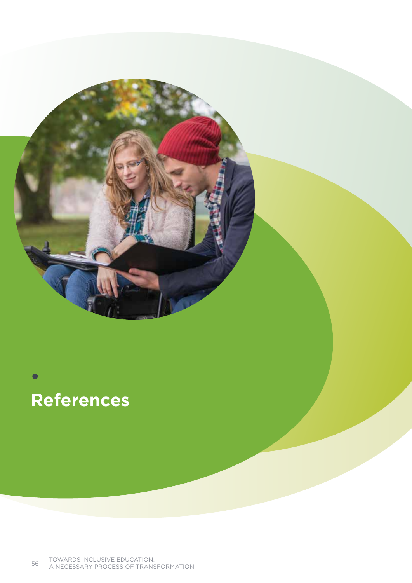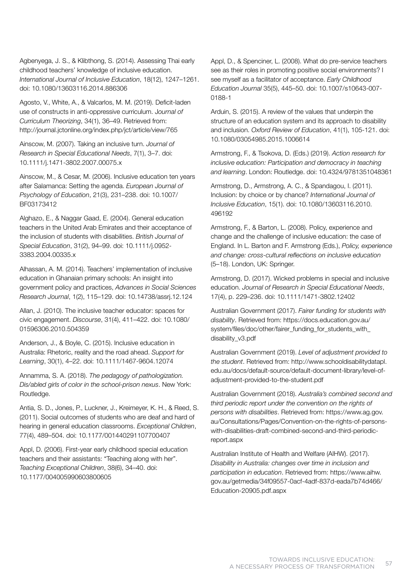Agbenyega, J. S., & Klibthong, S. (2014). Assessing Thai early childhood teachers' knowledge of inclusive education. *International Journal of Inclusive Education*, 18(12), 1247–1261. doi: 10.1080/13603116.2014.886306

Agosto, V., White, A., & Valcarlos, M. M. (2019). Deficit-laden use of constructs in anti-oppressive curriculum. J*ournal of Curriculum Theorizing*, 34(1), 36–49. Retrieved from: http://journal.jctonline.org/index.php/jct/article/view/765

Ainscow, M. (2007). Taking an inclusive turn. *Journal of Research in Special Educational Needs*, 7(1), 3–7. doi: 10.1111/j.1471-3802.2007.00075.x

Ainscow, M., & Cesar, M. (2006). Inclusive education ten years after Salamanca: Setting the agenda. *European Journal of Psychology of Education*, 21(3), 231–238. doi: 10.1007/ BF03173412

Alghazo, E., & Naggar Gaad, E. (2004). General education teachers in the United Arab Emirates and their acceptance of the inclusion of students with disabilities. *British Journal of Special Education*, 31(2), 94–99. doi: 10.1111/j.0952- 3383.2004.00335.x

Alhassan, A. M. (2014). Teachers' implementation of inclusive education in Ghanaian primary schools: An insight into government policy and practices, *Advances in Social Sciences Research Journal*, 1(2), 115–129. doi: 10.14738/assrj.12.124

Allan, J. (2010). The inclusive teacher educator: spaces for civic engagement. *Discourse*, 31(4), 411–422. doi: 10.1080/ 01596306.2010.504359

Anderson, J., & Boyle, C. (2015). Inclusive education in Australia: Rhetoric, reality and the road ahead. *Support for Learning*, 30(1), 4–22. doi: 10.1111/1467-9604.12074

Annamma, S. A. (2018). *The pedagogy of pathologization. Dis/abled girls of color in the school-prison nexus*. New York: Routledge.

Antia, S. D., Jones, P., Luckner, J., Kreimeyer, K. H., & Reed, S. (2011). Social outcomes of students who are deaf and hard of hearing in general education classrooms. *Exceptional Children*, 77(4), 489–504. doi: 10.1177/001440291107700407

Appl, D. (2006). First-year early childhood special education teachers and their assistants: "Teaching along with her". *Teaching Exceptional Children*, 38(6), 34–40. doi: 10.1177/004005990603800605

Appl, D., & Spenciner, L. (2008). What do pre-service teachers see as their roles in promoting positive social environments? I see myself as a facilitator of acceptance. *Early Childhood Education Journal* 35(5), 445–50. doi: 10.1007/s10643-007- 0188-1

Arduin, S. (2015). A review of the values that underpin the structure of an education system and its approach to disability and inclusion. *Oxford Review of Education*, 41(1), 105-121. doi: 10.1080/03054985.2015.1006614

Armstrong, F., & Tsokova, D. (Eds.) (2019). *Action research for inclusive education: Participation and democracy in teaching and learning*. London: Routledge. doi: 10.4324/9781351048361

Armstrong, D., Armstrong, A. C., & Spandagou, I. (2011). Inclusion: by choice or by chance? *International Journal of Inclusive Education*, 15(1). doi: 10.1080/13603116.2010. 496192

Armstrong, F., & Barton, L. (2008). Policy, experience and change and the challenge of inclusive education: the case of England. In L. Barton and F. Armstrong (Eds.), *Policy, experience and change: cross-cultural reflections on inclusive education* (5–18). London, UK: Springer.

Armstrong, D. (2017). Wicked problems in special and inclusive education. *Journal of Research in Special Educational Needs*, 17(4), p. 229–236. doi: 10.1111/1471-3802.12402

Australian Government (2017). *Fairer funding for students with disability*. Retrieved from: https://docs.education.gov.au/ system/files/doc/other/fairer\_funding\_for\_students\_with\_ disability\_v3.pdf

Australian Government (2019). *Level of adjustment provided to the student*. Retrieved from: http://www.schooldisabilitydatapl. edu.au/docs/default-source/default-document-library/level-ofadjustment-provided-to-the-student.pdf

Australian Government (2018). *Australia's combined second and third periodic report under the convention on the rights of persons with disabilities*. Retrieved from: https://www.ag.gov. au/Consultations/Pages/Convention-on-the-rights-of-personswith-disabilities-draft-combined-second-and-third-periodicreport.aspx

Australian Institute of Health and Welfare (AIHW). (2017). *Disability in Australia: changes over time in inclusion and participation in education*. Retrieved from: https://www.aihw. gov.au/getmedia/34f09557-0acf-4adf-837d-eada7b74d466/ Education-20905.pdf.aspx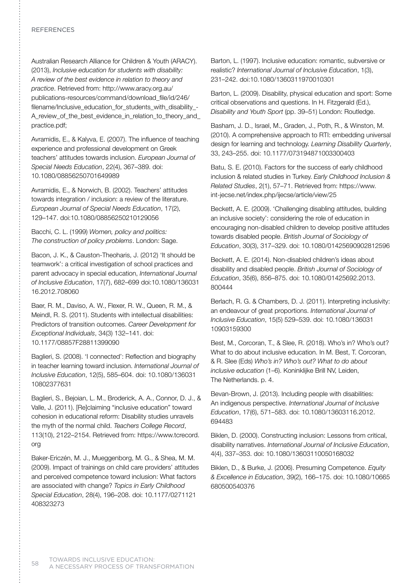Australian Research Alliance for Children & Youth (ARACY). (2013), *Inclusive education for students with disability: A review of the best evidence in relation to theory and practice*. Retrieved from: http://www.aracy.org.au/ publications-resources/command/download\_file/id/246/ filename/Inclusive\_education\_for\_students\_with\_disability\_-A\_review\_of\_the\_best\_evidence\_in\_relation\_to\_theory\_and\_ practice.pdf;

Avramidis, E., & Kalyva, E. (2007). The influence of teaching experience and professional development on Greek teachers' attitudes towards inclusion. *European Journal of Special Needs Education*, 22(4), 367–389. doi: 10.1080/08856250701649989

Avramidis, E., & Norwich, B. (2002). Teachers' attitudes towards integration / inclusion: a review of the literature. *European Journal of Special Needs Education*, 17(2), 129–147. doi:10.1080/08856250210129056

Bacchi, C. L. (1999) *Women, policy and politics: The construction of policy problems*. London: Sage.

Bacon, J. K., & Causton-Theoharis, J. (2012) 'It should be teamwork': a critical investigation of school practices and parent advocacy in special education, *International Journal of Inclusive Education*, 17(7), 682–699 doi:10.1080/136031 16.2012.708060

Baer, R. M., Daviso, A. W., Flexer, R. W., Queen, R. M., & Meindl, R. S. (2011). Students with intellectual disabilities: Predictors of transition outcomes. *Career Development for Exceptional Individuals*, 34(3) 132–141. doi: 10.1177/08857F28811399090

Baglieri, S. (2008). 'I connected': Reflection and biography in teacher learning toward inclusion. *International Journal of Inclusive Education*, 12(5), 585–604. doi: 10.1080/136031 10802377631

Baglieri, S., Bejoian, L. M., Broderick, A. A., Connor, D. J., & Valle, J. (2011). [Re]claiming "inclusive education" toward cohesion in educational reform: Disability studies unravels the myth of the normal child. *Teachers College Record*, 113(10), 2122–2154. Retrieved from: https://www.tcrecord. org

Baker-Ericzén, M. J., Mueggenborg, M. G., & Shea, M. M. (2009). Impact of trainings on child care providers' attitudes and perceived competence toward inclusion: What factors are associated with change? *Topics in Early Childhood Special Education*, 28(4), 196–208. doi: 10.1177/0271121 408323273

Barton, L. (1997). Inclusive education: romantic, subversive or realistic? *International Journal of Inclusive Education*, 1(3), 231–242. doi:10.1080/1360311970010301

Barton, L. (2009). Disability, physical education and sport: Some critical observations and questions. In H. Fitzgerald (Ed.), *Disability and Youth Sport* (pp. 39–51) London: Routledge.

Basham, J. D., Israel, M., Graden, J., Poth, R., & Winston, M. (2010). A comprehensive approach to RTI: embedding universal design for learning and technology. *Learning Disability Quarterly*, 33, 243–255. doi: 10.1177/073194871003300403

Batu, S. E. (2010). Factors for the success of early childhood inclusion & related studies in Turkey. *Early Childhood Inclusion & Related Studies*, 2(1), 57–71. Retrieved from: https://www. int-jecse.net/index.php/ijecse/article/view/25

Beckett, A. E. (2009). 'Challenging disabling attitudes, building an inclusive society': considering the role of education in encouraging non-disabled children to develop positive attitudes towards disabled people. *British Journal of Sociology of Education*, 30(3), 317–329. doi: 10.1080/01425690902812596

Beckett, A. E. (2014). Non-disabled children's ideas about disability and disabled people. *British Journal of Sociology of Education*, 35(6), 856–875. doi: 10.1080/01425692.2013. 800444

Berlach, R. G. & Chambers, D. J. (2011). Interpreting inclusivity: an endeavour of great proportions. *International Journal of Inclusive Education*, 15(5) 529–539. doi: 10.1080/136031 10903159300

Best, M., Corcoran, T., & Slee, R. (2018). Who's in? Who's out? What to do about inclusive education. In M. Best, T. Corcoran, & R. Slee (Eds) *Who's in? Who's out? What to do about inclusive education* (1–6). Koninklijke Brill NV, Leiden, The Netherlands. p. 4.

Bevan-Brown, J. (2013). Including people with disabilities: An indigenous perspective. *International Journal of Inclusive Education*, 17(6), 571–583. doi: 10.1080/13603116.2012. 694483

Biklen, D. (2000). Constructing inclusion: Lessons from critical, disability narratives. *International Journal of Inclusive Education*, 4(4), 337–353. doi: 10.1080/13603110050168032

Biklen, D., & Burke, J. (2006). Presuming Competence. *Equity & Excellence in Education*, 39(2), 166–175. doi: 10.1080/10665 680500540376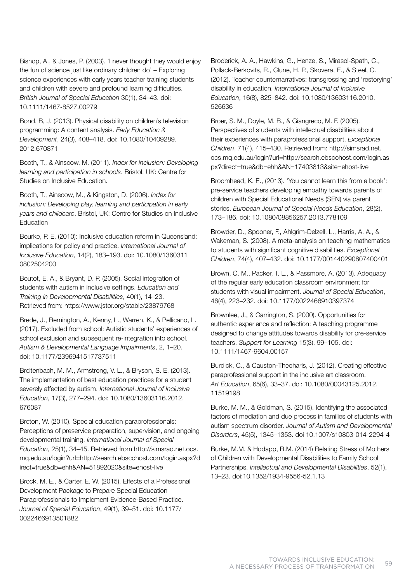Bishop, A., & Jones, P. (2003). 'I never thought they would enjoy the fun of science just like ordinary children do' – Exploring science experiences with early years teacher training students and children with severe and profound learning difficulties. *British Journal of Special Education* 30(1), 34–43. doi: 10.1111/1467-8527.00279

Bond, B, J. (2013). Physical disability on children's television programming: A content analysis. *Early Education & Development*, 24(3), 408–418. doi: 10.1080/10409289. 2012.670871

Booth, T., & Ainscow, M. (2011). *Index for inclusion: Developing learning and participation in schools*. Bristol, UK: Centre for Studies on Inclusive Education.

Booth, T., Ainscow, M., & Kingston, D. (2006). *Index for inclusion: Developing play, learning and participation in early years and childcare*. Bristol, UK: Centre for Studies on Inclusive Education

Bourke, P. E. (2010): Inclusive education reform in Queensland: implications for policy and practice. *International Journal of Inclusive Education*, 14(2), 183–193. doi: 10.1080/1360311 0802504200

Boutot, E. A., & Bryant, D. P. (2005). Social integration of students with autism in inclusive settings. *Education and Training in Developmental Disabilities*, 40(1), 14–23. Retrieved from: https://www.jstor.org/stable/23879768

Brede, J., Remington, A., Kenny, L., Warren, K., & Pellicano, L. (2017). Excluded from school: Autistic students' experiences of school exclusion and subsequent re-integration into school. *Autism & Developmental Language Impairments*, 2, 1–20. doi: 10.1177/2396941517737511

Breitenbach, M. M., Armstrong, V. L., & Bryson, S. E. (2013). The implementation of best education practices for a student severely affected by autism. *International Journal of Inclusive Education*, 17(3), 277–294. doi: 10.1080/13603116.2012. 676087

Breton, W. (2010). Special education paraprofessionals: Perceptions of preservice preparation, supervision, and ongoing developmental training. *International Journal of Special Education*, 25(1), 34–45. Retrieved from http://simsrad.net.ocs. mq.edu.au/login?url=http://search.ebscohost.com/login.aspx?d irect=true&db=ehh&AN=51892020&site=ehost-live

Brock, M. E., & Carter, E. W. (2015). Effects of a Professional Development Package to Prepare Special Education Paraprofessionals to Implement Evidence-Based Practice. *Journal of Special Education*, 49(1), 39–51. doi: 10.1177/ 0022466913501882

Broderick, A. A., Hawkins, G., Henze, S., Mirasol-Spath, C., Pollack-Berkovits, R., Clune, H. P., Skovera, E., & Steel, C. (2012). Teacher counternarratives: transgressing and 'restorying' disability in education. *International Journal of Inclusive Education*, 16(8), 825–842. doi: 10.1080/13603116.2010. 526636

Broer, S. M., Doyle, M. B., & Giangreco, M. F. (2005). Perspectives of students with intellectual disabilities about their experiences with paraprofessional support. *Exceptional Children*, 71(4), 415–430. Retrieved from: http://simsrad.net. ocs.mq.edu.au/login?url=http://search.ebscohost.com/login.as px?direct=true&db=ehh&AN=17403813&site=ehost-live

Broomhead, K. E., (2013). 'You cannot learn this from a book': pre-service teachers developing empathy towards parents of children with Special Educational Needs (SEN) via parent stories. *European Journal of Special Needs Education*, 28(2), 173–186. doi: 10.1080/08856257.2013.778109

Browder, D., Spooner, F., Ahlgrim-Delzell, L., Harris, A. A., & Wakeman, S. (2008). A meta-analysis on teaching mathematics to students with significant cognitive disabilities. *Exceptional Children*, 74(4), 407–432. doi: 10.1177/001440290807400401

Brown, C. M., Packer, T. L., & Passmore, A. (2013). Adequacy of the regular early education classroom environment for students with visual impairment. *Journal of Special Education*, 46(4), 223–232. doi: 10.1177/0022466910397374

Brownlee, J., & Carrington, S. (2000). Opportunities for authentic experience and reflection: A teaching programme designed to change attitudes towards disability for pre-service teachers. *Support for Learning* 15(3), 99–105. doi: 10.1111/1467-9604.00157

Burdick, C., & Causton-Theoharis, J. (2012). Creating effective paraprofessional support in the inclusive art classroom. *Art Education*, 65(6), 33–37. doi: 10.1080/00043125.2012. 11519198

Burke, M. M., & Goldman, S. (2015). Identifying the associated factors of mediation and due process in families of students with autism spectrum disorder. *Journal of Autism and Developmental Disorders*, 45(5), 1345–1353. doi 10.1007/s10803-014-2294-4

Burke, M.M. & Hodapp, R.M. (2014) Relating Stress of Mothers of Children with Developmental Disabilities to Family School Partnerships. *Intellectual and Developmental Disabilities*, 52(1), 13–23. doi:10.1352/1934-9556-52.1.13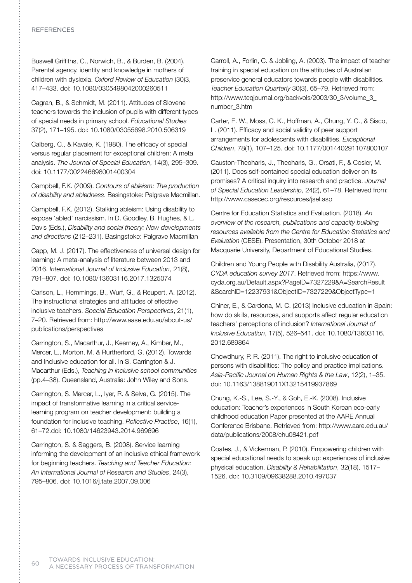## **REFERENCES**

Buswell Griffiths, C., Norwich, B., & Burden, B. (2004). Parental agency, identity and knowledge in mothers of children with dyslexia. *Oxford Review of Education* (30)3, 417–433. doi: 10.1080/0305498042000260511

Cagran, B., & Schmidt, M. (2011). Attitudes of Slovene teachers towards the inclusion of pupils with different types of special needs in primary school. *Educational Studies* 37(2), 171–195. doi: 10.1080/03055698.2010.506319

Calberg, C., & Kavale, K. (1980). The efficacy of special versus regular placement for exceptional children: A meta analysis. *The Journal of Special Education*, 14(3), 295–309. doi: 10.1177/002246698001400304

Campbell, F.K. (2009). *Contours of ableism: The production of disability and abledness*. Basingstoke: Palgrave Macmillan.

Campbell, F.K. (2012). Stalking ableism: Using disability to expose 'abled' narcissism. In D. Goodley, B. Hughes, & L. Davis (Eds.), *Disability and social theory: New developments and directions* (212–231). Basingstoke: Palgrave Macmillan

Capp, M. J. (2017). The effectiveness of universal design for learning: A meta-analysis of literature between 2013 and 2016. *International Journal of Inclusive Education*, 21(8), 791–807. doi: 10.1080/13603116.2017.1325074

Carlson, L., Hemmings, B., Wurf, G., & Reupert, A. (2012). The instructional strategies and attitudes of effective inclusive teachers. *Special Education Perspectives*, 21(1), 7–20. Retrieved from: http://www.aase.edu.au/about-us/ publications/perspectives

Carrington, S., Macarthur, J., Kearney, A., Kimber, M., Mercer, L., Morton, M. & Rurtherford, G. (2012). Towards and Inclusive education for all. In S. Carrington & J. Macarthur (Eds.), *Teaching in inclusive school communities* (pp.4–38). Queensland, Australia: John Wiley and Sons.

Carrington, S. Mercer, L., Iyer, R. & Selva, G. (2015). The impact of transformative learning in a critical servicelearning program on teacher development: building a foundation for inclusive teaching. *Reflective Practice*, 16(1), 61–72.doi: 10.1080/14623943.2014.969696

Carrington, S. & Saggers, B. (2008). Service learning informing the development of an inclusive ethical framework for beginning teachers. *Teaching and Teacher Education: An International Journal of Research and Studies*, 24(3), 795–806. doi: 10.1016/j.tate.2007.09.006

Carroll, A., Forlin, C. & Jobling, A. (2003). The impact of teacher training in special education on the attitudes of Australian preservice general educators towards people with disabilities. *Teacher Education Quarterly* 30(3), 65–79. Retrieved from: http://www.teqjournal.org/backvols/2003/30\_3/volume\_3\_ number\_3.htm

Carter, E. W., Moss, C. K., Hoffman, A., Chung, Y. C., & Sisco, L. (2011). Efficacy and social validity of peer support arrangements for adolescents with disabilities. *Exceptional Children*, 78(1), 107–125. doi: 10.1177/001440291107800107

Causton-Theoharis, J., Theoharis, G., Orsati, F., & Cosier, M. (2011). Does self-contained special education deliver on its promises? A critical inquiry into research and practice. *Journal of Special Education Leadership*, 24(2), 61–78. Retrieved from: http://www.casecec.org/resources/jsel.asp

Centre for Education Statistics and Evaluation. (2018). *An overview of the research, publications and capacity building resources available from the Centre for Education Statistics and Evaluation* (CESE). Presentation, 30th October 2018 at Macquarie University, Department of Educational Studies.

Children and Young People with Disability Australia, (2017). *CYDA education survey 2017*. Retrieved from: https://www. cyda.org.au/Default.aspx?PageID=7327229&A=SearchResult &SearchID=12237931&ObjectID=7327229&ObjectType=1

Chiner, E., & Cardona, M. C. (2013) Inclusive education in Spain: how do skills, resources, and supports affect regular education teachers' perceptions of inclusion? *International Journal of Inclusive Education*, 17(5), 526–541. doi: 10.1080/13603116. 2012.689864

Chowdhury, P. R. (2011). The right to inclusive education of persons with disabilities: The policy and practice implications. *Asia-Pacific Journal on Human Rights & the Law*, 12(2), 1–35. doi: 10.1163/138819011X13215419937869

Chung, K.-S., Lee, S.-Y., & Goh, E.-K. (2008). Inclusive education: Teacher's experiences in South Korean eco-early childhood education Paper presented at the AARE Annual Conference Brisbane. Retrieved from: http://www.aare.edu.au/ data/publications/2008/chu08421.pdf

Coates, J., & Vickerman, P. (2010). Empowering children with special educational needs to speak up: experiences of inclusive physical education. *Disability & Rehabilitation*, 32(18), 1517– 1526. doi: 10.3109/09638288.2010.497037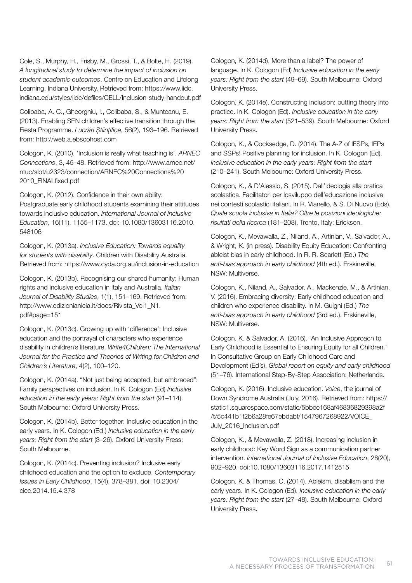Cole, S., Murphy, H., Frisby, M., Grossi, T., & Bolte, H. (2019). *A longitudinal study to determine the impact of inclusion on student academic outcomes*. Centre on Education and Lifelong Learning, Indiana University. Retrieved from: https://www.iidc. indiana.edu/styles/iidc/defiles/CELL/Inclusion-study-handout.pdf

Colibaba, A. C., Gheorghiu, I., Colibaba, S., & Munteanu, E. (2013). Enabling SEN children's effective transition through the Fiesta Programme. *Lucrări Ştiinţifice*, 56(2), 193–196. Retrieved from: http://web.a.ebscohost.com

Cologon, K. (2010). 'Inclusion is really what teaching is'. *ARNEC Connections*, 3, 45–48. Retrieved from: http://www.arnec.net/ ntuc/slot/u2323/connection/ARNEC%20Connections%20 2010\_FINALfixed.pdf

Cologon, K. (2012). Confidence in their own ability: Postgraduate early childhood students examining their attitudes towards inclusive education. *International Journal of Inclusive Education*, 16(11), 1155–1173. doi: 10.1080/13603116.2010. 548106

Cologon, K. (2013a). *Inclusive Education: Towards equality for students with disability*. Children with Disability Australia. Retrieved from: https://www.cyda.org.au/inclusion-in-education

Cologon, K. (2013b). Recognising our shared humanity: Human rights and inclusive education in Italy and Australia. *Italian Journal of Disability Studies*, 1(1), 151–169. Retrieved from: http://www.edizionianicia.it/docs/Rivista\_Vol1\_N1. pdf#page=151

Cologon, K. (2013c). Growing up with 'difference': Inclusive education and the portrayal of characters who experience disability in children's literature. *Write4Children: The International Journal for the Practice and Theories of Writing for Children and Children's Literature*, 4(2), 100–120.

Cologon, K. (2014a). "Not just being accepted, but embraced": Family perspectives on inclusion. In K. Cologon (Ed) *Inclusive education in the early years: Right from the start* (91–114). South Melbourne: Oxford University Press.

Cologon, K. (2014b). Better together: Inclusive education in the early years. In K. Cologon (Ed.) *Inclusive education in the early years: Right from the start* (3–26). Oxford University Press: South Melbourne.

Cologon, K. (2014c). Preventing inclusion? Inclusive early childhood education and the option to exclude. *Contemporary Issues in Early Childhood*, 15(4), 378–381. doi: 10.2304/ ciec.2014.15.4.378

Cologon, K. (2014d). More than a label? The power of language. In K. Cologon (Ed) *Inclusive education in the early years: Right from the start* (49–69). South Melbourne: Oxford University Press.

Cologon, K. (2014e). Constructing inclusion: putting theory into practice. In K. Cologon (Ed). *Inclusive education in the early years: Right from the start* (521–539). South Melbourne: Oxford University Press.

Cologon, K., & Cocksedge, D. (2014). The A-Z of IFSPs, IEPs and SSPs! Positive planning for inclusion. In K. Cologon (Ed). *Inclusive education in the early years: Right from the start* (210–241). South Melbourne: Oxford University Press.

Cologon, K., & D'Alessio, S. (2015). Dall'ideologia alla pratica scolastica. Facilitatori per losviluppo dell'educazione inclusiva nei contesti scolastici italiani. In R. Vianello, & S. Di Nuovo (Eds). *Quale scuola inclusiva in Italia? Oltre le posizioni ideologiche: risultati della ricerca* (181–208). Trento, Italy: Erickson.

Cologon, K., Mevawalla, Z., Niland, A., Artinian, V., Salvador, A., & Wright, K. (in press). Disability Equity Education: Confronting ableist bias in early childhood. In R. R. Scarlett (Ed.) *The anti-bias approach in early childhood* (4th ed.). Erskineville, NSW: Multiverse.

Cologon, K., Niland, A., Salvador, A., Mackenzie, M., & Artinian, V. (2016). Embracing diversity: Early childhood education and children who experience disability. In M. Guigni (Ed.) *The anti-bias approach in early childhood* (3rd ed.). Erskineville, NSW: Multiverse.

Cologon, K. & Salvador, A. (2016). 'An Inclusive Approach to Early Childhood is Essential to Ensuring Equity for all Children.' In Consultative Group on Early Childhood Care and Development (Ed's). *Global report on equity and early childhood* (51–76). International Step-By-Step Association: Netherlands.

Cologon, K. (2016). Inclusive education. *Voice*, the journal of Down Syndrome Australia (July, 2016). Retrieved from: https:// static1.squarespace.com/static/5bbee168af46836829398a2f /t/5c441b1f2b6a28fe67ebdabf/1547967268922/VOICE\_ July\_2016\_Inclusion.pdf

Cologon, K., & Mevawalla, Z. (2018). Increasing inclusion in early childhood: Key Word Sign as a communication partner intervention. *International Journal of Inclusive Education*, 28(20), 902–920. doi:10.1080/13603116.2017.1412515

Cologon, K. & Thomas, C. (2014). Ableism, disablism and the early years. In K. Cologon (Ed). *Inclusive education in the early years: Right from the start* (27–48). South Melbourne: Oxford University Press.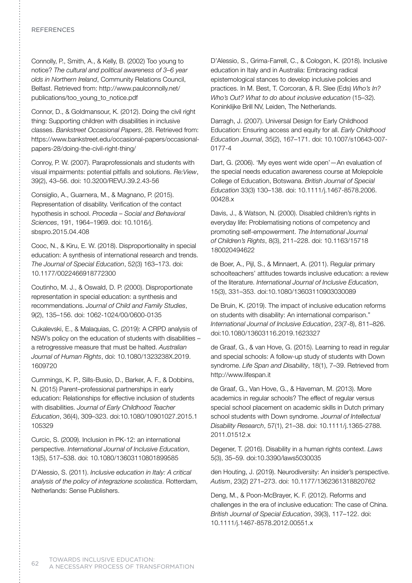## **REFERENCES**

Connolly, P., Smith, A., & Kelly, B. (2002) Too young to notice? *The cultural and political awareness of 3–6 year olds in Northern Ireland*, Community Relations Council, Belfast. Retrieved from: http://www.paulconnolly.net/ publications/too\_young\_to\_notice.pdf

Connor, D., & Goldmansour, K. (2012). Doing the civil right thing: Supporting children with disabilities in inclusive classes. *Bankstreet Occasional Papers*, 28. Retrieved from: https://www.bankstreet.edu/occasional-papers/occasionalpapers-28/doing-the-civil-right-thing/

Conroy, P. W. (2007). Paraprofessionals and students with visual impairments: potential pitfalls and solutions. *Re:View*, 39(2), 43–56. doi: 10.3200/REVU.39.2.43-56

Consiglio, A., Guarnera, M., & Magnano, P. (2015). Representation of disability. Verification of the contact hypothesis in school. *Procedia – Social and Behavioral Sciences*, 191, 1964–1969. doi: 10.1016/j. sbspro.2015.04.408

Cooc, N., & Kiru, E. W. (2018). Disproportionality in special education: A synthesis of international research and trends. *The Journal of Special Education*, 52(3) 163–173. doi: 10.1177/0022466918772300

Coutinho, M. J., & Oswald, D. P. (2000). Disproportionate representation in special education: a synthesis and recommendations. *Journal of Child and Family Studies*, 9(2), 135–156. doi: 1062-1024/00/0600-0135

Cukalevski, E., & Malaquias, C. (2019): A CRPD analysis of NSW's policy on the education of students with disabilities – a retrogressive measure that must be halted. *Australian Journal of Human Rights*, doi: 10.1080/1323238X.2019. 1609720

Cummings, K. P., Sills-Busio, D., Barker, A. F., & Dobbins, N. (2015) Parent–professional partnerships in early education: Relationships for effective inclusion of students with disabilities. *Journal of Early Childhood Teacher Education*, 36(4), 309–323. doi:10.1080/10901027.2015.1 105329

Curcic, S. (2009). Inclusion in PK-12: an international perspective. *International Journal of Inclusive Education*, 13(5), 517–538. doi: 10.1080/13603110801899585

D'Alessio, S. (2011). *Inclusive education in Italy: A critical analysis of the policy of integrazione scolastica*. Rotterdam, Netherlands: Sense Publishers.

D'Alessio, S., Grima-Farrell, C., & Cologon, K. (2018). Inclusive education in Italy and in Australia: Embracing radical epistemological stances to develop inclusive policies and practices. In M. Best, T. Corcoran, & R. Slee (Eds) *Who's In? Who's Out? What to do about inclusive education* (15–32). Koninklijke Brill NV, Leiden, The Netherlands.

Darragh, J. (2007). Universal Design for Early Childhood Education: Ensuring access and equity for all. *Early Childhood Education Journal*, 35(2), 167–171. doi: 10.1007/s10643-007- 0177-4

Dart, G. (2006). 'My eyes went wide open'—An evaluation of the special needs education awareness course at Molepolole College of Education, Botswana. *British Journal of Special Education* 33(3) 130–138. doi: 10.1111/j.1467-8578.2006. 00428.x

Davis, J., & Watson, N. (2000). Disabled children's rights in everyday life: Problematising notions of competency and promoting self-empowerment. *The International Journal of Children's Rights*, 8(3), 211–228. doi: 10.1163/15718 180020494622

de Boer, A., Pijl, S., & Minnaert, A. (2011). Regular primary schoolteachers' attitudes towards inclusive education: a review of the literature. *International Journal of Inclusive Education*, 15(3), 331–353. doi:10.1080/13603110903030089

De Bruin, K. (2019). The impact of inclusive education reforms on students with disability: An international comparison." *International Journal of Inclusive Education*, 23(7-8), 811–826. doi:10.1080/13603116.2019.1623327

de Graaf, G., & van Hove, G. (2015). Learning to read in regular and special schools: A follow-up study of students with Down syndrome. *Life Span and Disability*, 18(1), 7–39. Retrieved from http://www.lifespan.it

de Graaf, G., Van Hove, G., & Haveman, M. (2013). More academics in regular schools? The effect of regular versus special school placement on academic skills in Dutch primary school students with Down syndrome. *Journal of Intellectual Disability Research*, 57(1), 21–38. doi: 10.1111/j.1365-2788. 2011.01512.x

Degener, T. (2016). Disability in a human rights context. *Laws* 5(3), 35–59. doi:10.3390/laws5030035

den Houting, J. (2019). Neurodiversity: An insider's perspective. *Autism*, 23(2) 271–273. doi: 10.1177/1362361318820762

Deng, M., & Poon-McBrayer, K. F. (2012). Reforms and challenges in the era of inclusive education: The case of China. *British Journal of Special Education*, 39(3), 117–122. doi: 10.1111/j.1467-8578.2012.00551.x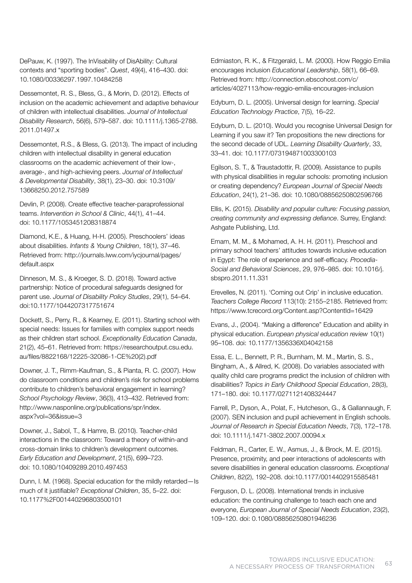DePauw, K. (1997). The InVisability of DisAbility: Cultural contexts and "sporting bodies". *Quest*, 49(4), 416–430. doi: 10.1080/00336297.1997.10484258

Dessemontet, R. S., Bless, G., & Morin, D. (2012). Effects of inclusion on the academic achievement and adaptive behaviour of children with intellectual disabilities. *Journal of Intellectual Disability Research*, 56(6), 579–587. doi: 10.1111/j.1365-2788. 2011.01497.x

Dessemontet, R.S., & Bless, G. (2013). The impact of including children with intellectual disability in general education classrooms on the academic achievement of their low-, average-, and high-achieving peers. *Journal of Intellectual & Developmental Disability*, 38(1), 23–30. doi: 10.3109/ 13668250.2012.757589

Devlin, P. (2008). Create effective teacher-paraprofessional teams. *Intervention in School & Clinic*, 44(1), 41–44. doi: 10.1177/1053451208318874

Diamond, K.E., & Huang, H-H. (2005). Preschoolers' ideas about disabilities. *Infants & Young Children*, 18(1), 37–46. Retrieved from: http://journals.lww.com/iycjournal/pages/ default.aspx

Dinneson, M. S., & Kroeger, S. D. (2018). Toward active partnership: Notice of procedural safeguards designed for parent use. *Journal of Disability Policy Studies*, 29(1), 54–64. doi:10.1177/1044207317751674

Dockett, S., Perry, R., & Kearney, E. (2011). Starting school with special needs: Issues for families with complex support needs as their children start school. *Exceptionality Education Canada*, 21(2), 45–61. Retrieved from: https://researchoutput.csu.edu. au/files/8822168/12225-32086-1-CE%20(2).pdf

Downer, J. T., Rimm-Kaufman, S., & Pianta, R. C. (2007). How do classroom conditions and children's risk for school problems contribute to children's behavioral engagement in learning? *School Psychology Review*, 36(3), 413–432. Retrieved from: http://www.nasponline.org/publications/spr/index. aspx?vol=36&issue=3

Downer, J., Sabol, T., & Hamre, B. (2010). Teacher-child interactions in the classroom: Toward a theory of within-and cross-domain links to children's development outcomes. *Early Education and Development*, 21(5), 699–723. doi: 10.1080/10409289.2010.497453

Dunn, I. M. (1968). Special education for the mildly retarded—Is much of it justifiable? *Exceptional Children*, 35, 5–22. doi: 10.1177%2F001440296803500101

Edmiaston, R. K., & Fitzgerald, L. M. (2000). How Reggio Emilia encourages inclusion *Educational Leadership*, 58(1), 66–69. Retrieved from: http://connection.ebscohost.com/c/ articles/4027113/how-reggio-emilia-encourages-inclusion

Edyburn, D. L. (2005). Universal design for learning. *Special Education Technology Practice*, 7(5), 16–22.

Edyburn, D. L. (2010). Would you recognise Universal Design for Learning if you saw it? Ten propositions the new directions for the second decade of UDL. *Learning Disability Quarterly*, 33, 33–41. doi: 10.1177/073194871003300103

Egilson, S. T., & Traustadottir, R. (2009). Assistance to pupils with physical disabilities in regular schools: promoting inclusion or creating dependency? *European Journal of Special Needs Education*, 24(1), 21–36. doi: 10.1080/08856250802596766

Ellis, K. (2015). *Disability and popular culture: Focusing passion, creating community and expressing defiance*. Surrey, England: Ashgate Publishing, Ltd.

Emam, M. M., & Mohamed, A. H. H. (2011). Preschool and primary school teachers' attitudes towards inclusive education in Egypt: The role of experience and self-efficacy. *Procedia-Social and Behavioral Sciences*, 29, 976–985. doi: 10.1016/j. sbspro.2011.11.331

Erevelles, N. (2011). 'Coming out Crip' in inclusive education. *Teachers College Record* 113(10): 2155–2185. Retrieved from: https://www.tcrecord.org/Content.asp?ContentId=16429

Evans, J., (2004). "Making a difference" Education and ability in physical education. *European physical education review* 10(1) 95–108. doi: 10.1177/1356336X04042158

Essa, E. L., Bennett, P. R., Burnham, M. M., Martin, S. S., Bingham, A., & Allred, K. (2008). Do variables associated with quality child care programs predict the inclusion of children with disabilities? *Topics in Early Childhood Special Education*, 28(3), 171–180. doi: 10.1177/0271121408324447

Farrell, P., Dyson, A., Polat, F., Hutcheson, G., & Gallannaugh, F. (2007). SEN inclusion and pupil achievement in English schools. *Journal of Research in Special Education Needs*, 7(3), 172–178. doi: 10.1111/j.1471-3802.2007.00094.x

Feldman, R., Carter, E. W., Asmus, J., & Brock, M. E. (2015). Presence, proximity, and peer interactions of adolescents with severe disabilities in general education classrooms. *Exceptional Children*, 82(2), 192–208. doi:10.1177/0014402915585481

Ferguson, D. L. (2008). International trends in inclusive education: the continuing challenge to teach each one and everyone, *European Journal of Special Needs Education*, 23(2), 109–120. doi: 0.1080/08856250801946236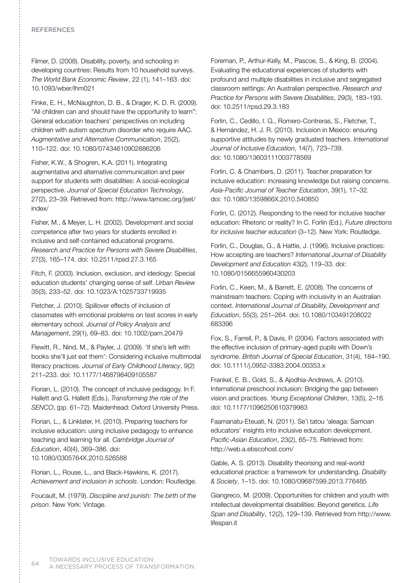### **REFERENCES**

Filmer, D. (2008). Disability, poverty, and schooling in developing countries: Results from 10 household surveys. *The World Bank Economic Review*, 22 (1), 141–163. doi: 10.1093/wber/lhm021

Finke, E. H., McNaughton, D. B., & Drager, K. D. R. (2009). "All children can and should have the opportunity to learn": General education teachers' perspectives on including children with autism spectrum disorder who require AAC. *Augmentative and Alternative Communication*, 25(2), 110–122. doi: 10.1080/07434610902886206

Fisher, K.W., & Shogren, K.A. (2011). Integrating augmentative and alternative communication and peer support for students with disabilities: A social-ecological perspective. *Journal of Special Education Technology*, 27(2), 23–39. Retrieved from: http://www.tamcec.org/jset/ index/

Fisher, M., & Meyer, L. H. (2002). Development and social competence after two years for students enrolled in inclusive and self-contained educational programs. *Research and Practice for Persons with Severe Disabilities*, 27(3), 165–174. doi: 10.2511/rpsd.27.3.165

Fitch, F. (2003). Inclusion, exclusion, and ideology: Special education students' changing sense of self. *Urban Review* 35(3), 233–52. doi: 10.1023/A:1025733719935

Fletcher, J. (2010). Spillover effects of inclusion of classmates with emotional problems on test scores in early elementary school. *Journal of Policy Analysis and Management*, 29(1), 69–83. doi: 10.1002/pam.20479

Flewitt, R., Nind, M., & Payler, J. (2009). 'If she's left with books she'll just eat them': Considering inclusive multimodal literacy practices. *Journal of Early Childhood Literacy*, 9(2) 211–233. doi: 10.1177/1468798409105587

Florian, L. (2010). The concept of inclusive pedagogy. In F. Hallett and G. Hallett (Eds.), *Transforming the role of the SENCO*, (pp. 61–72). Maidenhead: Oxford University Press.

Florian, L., & Linklater, H. (2010). Preparing teachers for inclusive education: using inclusive pedagogy to enhance teaching and learning for all. *Cambridge Journal of Education*, 40(4), 369–386. doi: 10.1080/0305764X.2010.526588

Florian, L., Rouse, L., and Black-Hawkins, K. (2017). *Achievement and inclusion in schools*. London: Routledge.

Foucault, M. (1979). *Discipline and punish: The birth of the prison*. New York: Vintage.

Foreman, P., Arthur-Kelly, M., Pascoe, S., & King, B. (2004). Evaluating the educational experiences of students with profound and multiple disabilities in inclusive and segregated classroom settings: An Australian perspective. *Research and Practice for Persons with Severe Disabilities*, 29(3), 183–193. doi: 10.2511/rpsd.29.3.183

Forlin, C., Cedillo, I. G., Romero-Contreras, S., Fletcher, T., & Hernández, H. J. R. (2010). Inclusion in Mexico: ensuring supportive attitudes by newly graduated teachers. *International Journal of Inclusive Education*, 14(7), 723–739. doi: 10.1080/13603111003778569

Forlin, C. & Chambers, D. (2011). Teacher preparation for inclusive education: increasing knowledge but raising concerns. *Asia-Pacific Journal of Teacher Education*, 39(1), 17–32. doi: 10.1080/1359866X.2010.540850

Forlin, C. (2012). Responding to the need for inclusive teacher education: Rhetoric or reality? In C. Forlin (Ed.), *Future directions for inclusive teacher education* (3–12). New York: Routledge.

Forlin, C., Douglas, G., & Hattie, J. (1996). Inclusive practices: How accepting are teachers? *International Journal of Disability Development and Education* 43(2), 119–33. doi: 10.1080/0156655960430203

Forlin, C., Keen, M., & Barrett, E. (2008). The concerns of mainstream teachers: Coping with inclusivity in an Australian context. *International Journal of Disability, Development and Education*, 55(3), 251–264. doi: 10.1080/103491208022 683396

Fox, S., Farrell, P., & Davis, P. (2004). Factors associated with the effective inclusion of primary-aged pupils with Down's syndrome. *British Journal of Special Education*, 31(4), 184–190. doi: 10.1111/j.0952-3383.2004.00353.x

Frankel, E. B., Gold, S., & Ajodhia-Andrews, A. (2010). International preschool inclusion: Bridging the gap between vision and practices. *Young Exceptional Children*, 13(5), 2–16. doi: 10.1177/1096250610379983

Faamanatu-Eteuati, N. (2011). Se'i tatou 'aleaga: Samoan educators' insights into inclusive education development. *Pacific-Asian Education*, 23(2), 65–75. Retrieved from: http://web.a.ebscohost.com/

Gable, A. S. (2013). Disability theorising and real-world educational practice: a framework for understanding. *Disability & Society*, 1–15. doi: 10.1080/09687599.2013.776485

Giangreco, M. (2009). Opportunities for children and youth with intellectual developmental disabilities: Beyond genetics. *Life Span and Disability*, 12(2), 129–139. Retrieved from http://www. lifespan.it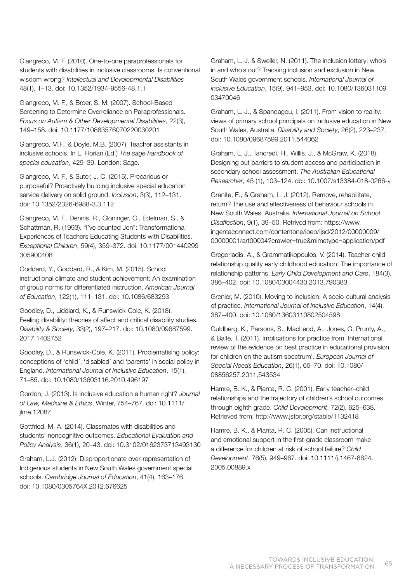Giangreco, M. F. (2010). One-to-one paraprofessionals for students with disabilities in inclusive classrooms: Is conventional wisdom wrong? *Intellectual and Developmental Disabilities* 48(1), 1–13. doi: 10.1352/1934-9556-48.1.1

Giangreco, M. F., & Broer, S. M. (2007). School-Based Screening to Determine Overreliance on Paraprofessionals. *Focus on Autism & Other Developmental Disabilities*, 22(3), 149–158. doi: 10.1177/10883576070220030201

Giangreco, M.F., & Doyle, M.B. (2007). Teacher assistants in inclusive schools. In L. Florian (Ed.) *The sage handbook of special education*, 429–39. London: Sage.

Giangreco, M. F., & Suter, J. C. (2015). Precarious or purposeful? Proactively building inclusive special education service delivery on solid ground. *Inclusion*, 3(3), 112–131. doi: 10.1352/2326-6988-3.3.112

Giangreco, M. F., Dennis, R., Cloninger, C., Edelman, S., & Schattman, R. (1993). "I've counted Jon": Transformational Experiences of Teachers Educating Students with Disabilities. *Exceptional Children*, 59(4), 359–372. doi: 10.1177/001440299 305900408

Goddard, Y., Goddard, R., & Kim, M. (2015). School instructional climate and student achievement: An examination of group norms for differentiated instruction. *American Journal of Education*, 122(1), 111–131. doi: 10.1086/683293

Goodley, D., Liddiard, K., & Runswick-Cole, K. (2018). Feeling disability: theories of affect and critical disability studies. *Disability & Society*, 33(2), 197–217. doi: 10.1080/09687599. 2017.1402752

Goodley, D., & Runswick-Cole, K. (2011). Problematising policy: conceptions of 'child', 'disabled' and 'parents' in social policy in England. *International Journal of Inclusive Education*, 15(1), 71–85. doi: 10.1080/13603116.2010.496197

Gordon, J. (2013). Is inclusive education a human right? *Journal of Law, Medicine & Ethics*, Winter, 754–767. doi: 10.1111/ jlme.12087

Gottfried, M. A. (2014). Classmates with disabilities and students' noncognitive outcomes. *Educational Evaluation and Policy Analysis*, 36(1), 20–43. doi: 10.3102/0162373713493130

Graham, L.J. (2012). Disproportionate over-representation of Indigenous students in New South Wales government special schools. *Cambridge Journal of Education*, 41(4), 163–176. doi: 10.1080/0305764X.2012.676625

Graham, L. J. & Sweller, N. (2011). The inclusion lottery: who's in and who's out? Tracking inclusion and exclusion in New South Wales government schools. *International Journal of Inclusive Education*, 15(9), 941–953. doi: 10.1080/136031109 03470046

Graham, L. J., & Spandagou, I. (2011). From vision to reality: views of primary school principals on inclusive education in New South Wales, Australia. *Disability and Society*, 26(2), 223–237. doi: 10.1080/09687599.2011.544062

Graham, L. J., Tancredi, H., Willis, J., & McGraw, K. (2018). Designing out barriers to student access and participation in secondary school assessment. *The Australian Educational Researcher*, 45 (1), 103–124. doi: 10.1007/s13384-018-0266-y

Granite, E., & Graham, L. J. (2012). Remove, rehabilitate, return? The use and effectiveness of behaviour schools in New South Wales, Australia. *International Journal on School Disaffection*, 9(1), 39–50. Retrived from: https://www. ingentaconnect.com/contentone/ioep/ijsd/2012/00000009/ 00000001/art00004?crawler=true&mimetype=application/pdf

Gregoriadis, A., & Grammatikopoulos, V. (2014). Teacher-child relationship quality early childhood education: The importance of relationship patterns. *Early Child Development and Care*, 184(3), 386–402. doi: 10.1080/03004430.2013.790383

Grenier, M. (2010). Moving to inclusion: A socio-cultural analysis of practice. *International Journal of Inclusive Education*, 14(4), 387–400. doi: 10.1080/13603110802504598

Guldberg, K., Parsons, S., MacLeod, A., Jones, G. Prunty, A., & Balfe, T. (2011). Implications for practice from 'International review of the evidence on best practice in educational provision for children on the autism spectrum'. *European Journal of Special Needs Education*, 26(1), 65–70. doi: 10.1080/ 08856257.2011.543534

Hamre, B. K., & Pianta, R. C. (2001). Early teacher–child relationships and the trajectory of children's school outcomes through eighth grade. *Child Development*, 72(2), 625–638. Retrieved from: http://www.jstor.org/stable/1132418

Hamre, B. K., & Pianta, R. C. (2005). Can instructional and emotional support in the first-grade classroom make a difference for children at risk of school failure? *Child Development*, 76(5), 949–967. doi: 10.1111/j.1467-8624. 2005.00889.x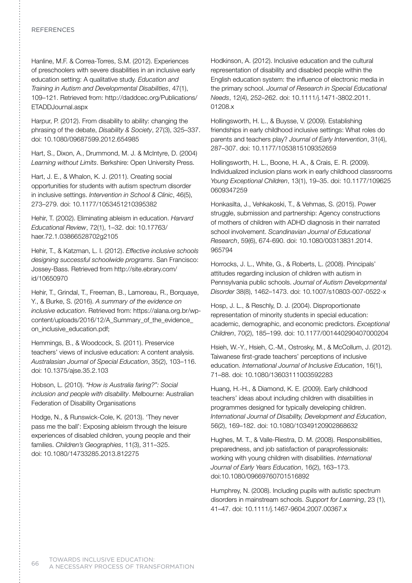### **REFERENCES**

Hanline, M.F. & Correa-Torres, S.M. (2012). Experiences of preschoolers with severe disabilities in an inclusive early education setting: A qualitative study. *Education and Training in Autism and Developmental Disabilities*, 47(1), 109–121. Retrieved from: http://daddcec.org/Publications/ ETADDJournal.aspx

Harpur, P. (2012). From disability to ability: changing the phrasing of the debate, *Disability & Society*, 27(3), 325–337. doi: 10.1080/09687599.2012.654985

Hart, S., Dixon, A., Drummond, M. J. & McIntyre, D. (2004) *Learning without Limits*. Berkshire: Open University Press.

Hart, J. E., & Whalon, K. J. (2011). Creating social opportunities for students with autism spectrum disorder in inclusive settings. *Intervention in School & Clinic*, 46(5), 273–279. doi: 10.1177/1053451210395382

Hehir, T. (2002). Eliminating ableism in education. *Harvard Educational Review*, 72(1), 1–32. doi: 10.17763/ haer.72.1.03866528702g2105

Hehir, T., & Katzman, L. I. (2012). *Effective inclusive schools designing successful schoolwide programs*. San Francisco: Jossey-Bass. Retrieved from http://site.ebrary.com/ id/10650970

Hehir, T., Grindal, T., Freeman, B., Lamoreau, R., Borquaye, Y., & Burke, S. (2016). *A summary of the evidence on inclusive education*. Retrieved from: https://alana.org.br/wpcontent/uploads/2016/12/A\_Summary\_of\_the\_evidence\_ on\_inclusive\_education.pdf;

Hemmings, B., & Woodcock, S. (2011). Preservice teachers' views of inclusive education: A content analysis. *Australasian Journal of Special Education*, 35(2), 103–116. doi: 10.1375/ajse.35.2.103

Hobson, L. (2010). *"How is Australia faring?": Social inclusion and people with disability*. Melbourne: Australian Federation of Disability Organisations

Hodge, N., & Runswick-Cole, K. (2013). 'They never pass me the ball': Exposing ableism through the leisure experiences of disabled children, young people and their families. *Children's Geographies*, 11(3), 311–325. doi: 10.1080/14733285.2013.812275

Hodkinson, A. (2012). Inclusive education and the cultural representation of disability and disabled people within the English education system: the influence of electronic media in the primary school. *Journal of Research in Special Educational Needs*, 12(4), 252–262. doi: 10.1111/j.1471-3802.2011. 01208.x

Hollingsworth, H. L., & Buysse, V. (2009). Establishing friendships in early childhood inclusive settings: What roles do parents and teachers play? *Journal of Early Intervention*, 31(4), 287–307. doi: 10.1177/1053815109352659

Hollingsworth, H. L., Boone, H. A., & Crais, E. R. (2009). Individualized inclusion plans work in early childhood classrooms *Young Exceptional Children*, 13(1), 19–35. doi: 10.1177/109625 0609347259

Honkasilta, J., Vehkakoski, T., & Vehmas, S. (2015). Power struggle, submission and partnership: Agency constructions of mothers of children with ADHD diagnosis in their narrated school involvement. *Scandinavian Journal of Educational Research*, 59(6), 674-690. doi: 10.1080/00313831.2014. 965794

Horrocks, J. L., White, G., & Roberts, L. (2008). Principals' attitudes regarding inclusion of children with autism in Pennsylvania public schools. *Journal of Autism Developmental Disorder* 38(8), 1462–1473. doi: 10.1007/s10803-007-0522-x

Hosp, J. L., & Reschly, D. J. (2004). Disproportionate representation of minority students in special education: academic, demographic, and economic predictors. *Exceptional Children*, 70(2), 185–199. doi: 10.1177/001440290407000204

Hsieh, W.-Y., Hsieh, C.-M., Ostrosky, M., & McCollum, J. (2012). Taiwanese first-grade teachers' perceptions of inclusive education. *International Journal of Inclusive Education*, 16(1), 71–88. doi: 10.1080/13603111003592283

Huang, H.-H., & Diamond, K. E. (2009). Early childhood teachers' ideas about including children with disabilities in programmes designed for typically developing children. *International Journal of Disability, Development and Education*, 56(2), 169–182. doi: 10.1080/10349120902868632

Hughes, M. T., & Valle-Riestra, D. M. (2008). Responsibilities, preparedness, and job satisfaction of paraprofessionals: working with young children with disabilities. *International Journal of Early Years Education*, 16(2), 163–173. doi:10.1080/09669760701516892

Humphrey, N. (2008). Including pupils with autistic spectrum disorders in mainstream schools. *Support for Learning*, 23 (1), 41–47. doi: 10.1111/j.1467-9604.2007.00367.x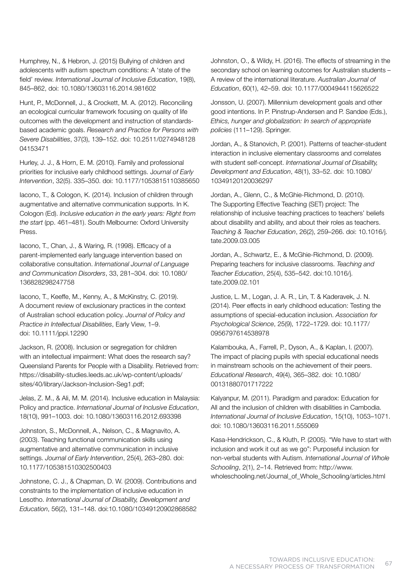Humphrey, N., & Hebron, J. (2015) Bullying of children and adolescents with autism spectrum conditions: A 'state of the field' review. *International Journal of Inclusive Education*, 19(8), 845–862, doi: 10.1080/13603116.2014.981602

Hunt, P., McDonnell, J., & Crockett, M. A. (2012). Reconciling an ecological curricular framework focusing on quality of life outcomes with the development and instruction of standardsbased academic goals. *Research and Practice for Persons with Severe Disabilities*, 37(3), 139–152. doi: 10.2511/0274948128 04153471

Hurley, J. J., & Horn, E. M. (2010). Family and professional priorities for inclusive early childhood settings. J*ournal of Early Intervention*, 32(5). 335–350. doi: 10.1177/1053815110385650

Iacono, T., & Cologon, K. (2014). Inclusion of children through augmentative and alternative communication supports. In K. Cologon (Ed). *Inclusive education in the early years: Right from the start* (pp. 461–481). South Melbourne: Oxford University Press.

Iacono, T., Chan, J., & Waring, R. (1998). Efficacy of a parent-implemented early language intervention based on collaborative consultation. *International Journal of Language and Communication Disorders*, 33, 281–304. doi: 10.1080/ 136828298247758

Iacono, T., Keeffe, M., Kenny, A., & McKinstry, C. (2019). A document review of exclusionary practices in the context of Australian school education policy. *Journal of Policy and Practice in Intellectual Disabilities*, Early View, 1–9. doi: 10.1111/jppi.12290

Jackson, R. (2008). Inclusion or segregation for children with an intellectual impairment: What does the research say? Queensland Parents for People with a Disability. Retrieved from: https://disability-studies.leeds.ac.uk/wp-content/uploads/ sites/40/library/Jackson-Inclusion-Seg1.pdf;

Jelas, Z. M., & Ali, M. M. (2014). Inclusive education in Malaysia: Policy and practice. *International Journal of Inclusive Education*, 18(10), 991–1003. doi: 10.1080/13603116.2012.693398

Johnston, S., McDonnell, A., Nelson, C., & Magnavito, A. (2003). Teaching functional communication skills using augmentative and alternative communication in inclusive settings. *Journal of Early Intervention*, 25(4), 263–280. doi: 10.1177/105381510302500403

Johnstone, C. J., & Chapman, D. W. (2009). Contributions and constraints to the implementation of inclusive education in Lesotho. *International Journal of Disability, Development and Education*, 56(2), 131–148. doi:10.1080/10349120902868582 Johnston, O., & Wildy, H. (2016). The effects of streaming in the secondary school on learning outcomes for Australian students – A review of the international literature. *Australian Journal of Education*, 60(1), 42–59. doi: 10.1177/0004944115626522

Jonsson, U. (2007). Millennium development goals and other good intentions. In P. Pinstrup-Andersen and P. Sandøe (Eds.), *Ethics, hunger and globalization: In search of appropriate policies* (111–129). Springer.

Jordan, A., & Stanovich, P. (2001). Patterns of teacher-student interaction in inclusive elementary classrooms and correlates with student self-concept. *International Journal of Disability, Development and Education*, 48(1), 33–52. doi: 10.1080/ 10349120120036297

Jordan, A., Glenn, C., & McGhie-Richmond, D. (2010). The Supporting Effective Teaching (SET) project: The relationship of inclusive teaching practices to teachers' beliefs about disability and ability, and about their roles as teachers. *Teaching & Teacher Education*, 26(2), 259–266. doi: 10.1016/j. tate.2009.03.005

Jordan, A., Schwartz, E., & McGhie-Richmond, D. (2009). Preparing teachers for inclusive classrooms. *Teaching and Teacher Education*, 25(4), 535–542. doi:10.1016/j. tate.2009.02.101

Justice, L. M., Logan, J. A. R., Lin, T. & Kaderavek, J. N. (2014). Peer effects in early childhood education: Testing the assumptions of special-education inclusion. *Association for Psychological Science*, 25(9), 1722–1729. doi: 10.1177/ 0956797614538978

Kalambouka, A., Farrell, P., Dyson, A., & Kaplan, I. (2007). The impact of placing pupils with special educational needs in mainstream schools on the achievement of their peers. *Educational Research*, 49(4), 365–382. doi: 10.1080/ 00131880701717222

Kalyanpur, M. (2011). Paradigm and paradox: Education for All and the inclusion of children with disabilities in Cambodia. *International Journal of Inclusive Education*, 15(10), 1053–1071. doi: 10.1080/13603116.2011.555069

Kasa-Hendrickson, C., & Kluth, P. (2005). "We have to start with inclusion and work it out as we go": Purposeful inclusion for non-verbal students with Autism. *International Journal of Whole Schooling*, 2(1), 2–14. Retrieved from: http://www. wholeschooling.net/Journal\_of\_Whole\_Schooling/articles.html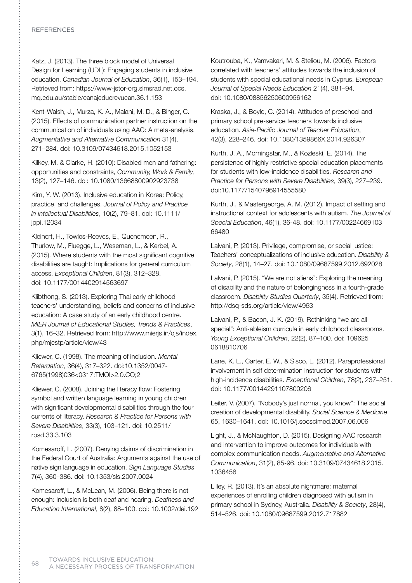## **REFERENCES**

Katz, J. (2013). The three block model of Universal Design for Learning (UDL): Engaging students in inclusive education. *Canadian Journal of Education*, 36(1), 153–194. Retrieved from: https://www-jstor-org.simsrad.net.ocs. mq.edu.au/stable/canajeducrevucan.36.1.153

Kent-Walsh, J., Murza, K. A., Malani, M. D., & Binger, C. (2015). Effects of communication partner instruction on the communication of individuals using AAC: A meta-analysis. *Augmentative and Alternative Communication* 31(4), 271–284. doi: 10.3109/07434618.2015.1052153

Kilkey, M. & Clarke, H. (2010): Disabled men and fathering: opportunities and constraints, *Community, Work & Family*, 13(2), 127–146. doi: 10.1080/13668800902923738

Kim, Y. W. (2013). Inclusive education in Korea: Policy, practice, and challenges. *Journal of Policy and Practice in Intellectual Disabilities*, 10(2), 79–81. doi: 10.1111/ jppi.12034

Kleinert, H., Towles-Reeves, E., Quenemoen, R., Thurlow, M., Fluegge, L., Weseman, L., & Kerbel, A. (2015). Where students with the most significant cognitive disabilities are taught: Implications for general curriculum access. *Exceptional Children*, 81(3), 312–328. doi: 10.1177/0014402914563697

Klibthong, S. (2013). Exploring Thai early childhood teachers' understanding, beliefs and concerns of inclusive education: A case study of an early childhood centre. *MIER Journal of Educational Studies, Trends & Practices*, 3(1), 16–32. Retrieved from: http://www.mierjs.in/ojs/index. php/mjestp/article/view/43

Kliewer, C. (1998). The meaning of inclusion. *Mental Retardation*, 36(4), 317–322. doi:10.1352/0047- 6765(1998)036<0317:TMOI>2.0.CO;2

Kliewer, C. (2008). Joining the literacy flow: Fostering symbol and written language learning in young children with significant developmental disabilities through the four currents of literacy. *Research & Practice for Persons with Severe Disabilities*, 33(3), 103–121. doi: 10.2511/ rpsd.33.3.103

Komesaroff, L. (2007). Denying claims of discrimination in the Federal Court of Australia: Arguments against the use of native sign language in education. *Sign Language Studies* 7(4), 360–386. doi: 10.1353/sls.2007.0024

Komesaroff, L., & McLean, M. (2006). Being there is not enough: Inclusion is both deaf and hearing. *Deafness and Education International*, 8(2), 88–100. doi: 10.1002/dei.192 Koutrouba, K., Vamvakari, M. & Steliou, M. (2006). Factors correlated with teachers' attitudes towards the inclusion of students with special educational needs in Cyprus. *European Journal of Special Needs Education* 21(4), 381–94. doi: 10.1080/08856250600956162

Kraska, J., & Boyle, C. (2014). Attitudes of preschool and primary school pre-service teachers towards inclusive education. *Asia-Pacific Journal of Teacher Education*, 42(3), 228–246. doi: 10.1080/1359866X.2014.926307

Kurth, J. A., Morningstar, M., & Kozleski, E. (2014). The persistence of highly restrictive special education placements for students with low-incidence disabilities. *Research and Practice for Persons with Severe Disabilities*, 39(3), 227–239. doi:10.1177/1540796914555580

Kurth, J., & Mastergeorge, A. M. (2012). Impact of setting and instructional context for adolescents with autism. *The Journal of Special Education*, 46(1), 36-48. doi: 10.1177/00224669103 66480

Lalvani, P. (2013). Privilege, compromise, or social justice: Teachers' conceptualizations of inclusive education. *Disability & Society*, 28(1), 14–27. doi: 10.1080/09687599.2012.692028

Lalvani, P. (2015). "We are not aliens": Exploring the meaning of disability and the nature of belongingness in a fourth-grade classroom. *Disability Studies Quarterly*, 35(4). Retrieved from: http://dsq-sds.org/article/view/4963

Lalvani, P., & Bacon, J. K. (2019). Rethinking "we are all special": Anti-ableism curricula in early childhood classrooms. *Young Exceptional Children*, 22(2), 87–100. doi: 109625 0618810706

Lane, K. L., Carter, E. W., & Sisco, L. (2012). Paraprofessional involvement in self determination instruction for students with high-incidence disabilities. *Exceptional Children*, 78(2), 237–251. doi: 10.1177/00144291107800206

Leiter, V. (2007). "Nobody's just normal, you know": The social creation of developmental disability. *Social Science & Medicine* 65, 1630–1641. doi: 10.1016/j.socscimed.2007.06.006

Light, J., & McNaughton, D. (2015). Designing AAC research and intervention to improve outcomes for individuals with complex communication needs. *Augmentative and Alternative Communication*, 31(2), 85-96, doi: 10.3109/07434618.2015. 1036458

Lilley, R. (2013). It's an absolute nightmare: maternal experiences of enrolling children diagnosed with autism in primary school in Sydney, Australia. *Disability & Society*, 28(4), 514–526. doi: 10.1080/09687599.2012.717882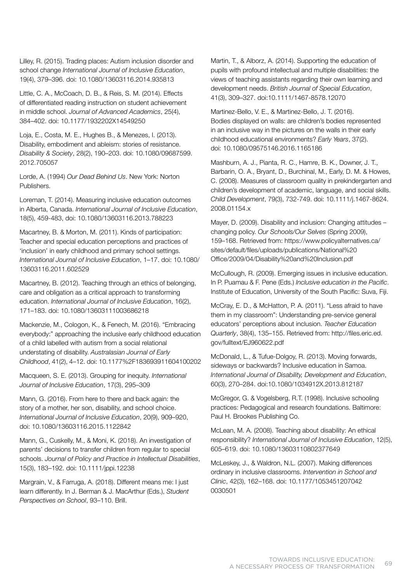Lilley, R. (2015). Trading places: Autism inclusion disorder and school change *International Journal of Inclusive Education*, 19(4), 379–396. doi: 10.1080/13603116.2014.935813

Little, C. A., McCoach, D. B., & Reis, S. M. (2014). Effects of differentiated reading instruction on student achievement in middle school. *Journal of Advanced Academics*, 25(4), 384–402. doi: 10.1177/1932202X14549250

Loja, E., Costa, M. E., Hughes B., & Menezes, I. (2013). Disability, embodiment and ableism: stories of resistance. *Disability & Society*, 28(2), 190–203. doi: 10.1080/09687599. 2012.705057

Lorde, A. (1994) *Our Dead Behind Us*. New York: Norton Publishers.

Loreman, T. (2014). Measuring inclusive education outcomes in Alberta, Canada. *International Journal of Inclusive Education*, 18(5), 459-483, doi: 10.1080/13603116.2013.788223

Macartney, B. & Morton, M. (2011). Kinds of participation: Teacher and special education perceptions and practices of 'inclusion' in early childhood and primary school settings. *International Journal of Inclusive Education*, 1–17. doi: 10.1080/ 13603116.2011.602529

Macartney, B. (2012). Teaching through an ethics of belonging, care and obligation as a critical approach to transforming education. *International Journal of Inclusive Education*, 16(2), 171–183. doi: 10.1080/13603111003686218

Mackenzie, M., Cologon, K., & Fenech, M. (2016). "Embracing everybody:" approaching the inclusive early childhood education of a child labelled with autism from a social relational understating of disability. *Australasian Journal of Early Childhood*, 41(2), 4–12. doi: 10.1177%2F183693911604100202

Macqueen, S. E. (2013). Grouping for inequity. *International Journal of Inclusive Education*, 17(3), 295–309

Mann, G. (2016). From here to there and back again: the story of a mother, her son, disability, and school choice. *International Journal of Inclusive Education*, 20(9), 909–920, doi: 10.1080/13603116.2015.1122842

Mann, G., Cuskelly, M., & Moni, K. (2018). An investigation of parents' decisions to transfer children from regular to special schools. *Journal of Policy and Practice in Intellectual Disabilities*, 15(3), 183–192. doi: 10.1111/jppi.12238

Margrain, V., & Farruga, A. (2018). Different means me: I just learn differently. In J. Berman & J. MacArthur (Eds.), *Student Perspectives on School*, 93–110. Brill.

Martin, T., & Alborz, A. (2014). Supporting the education of pupils with profound intellectual and multiple disabilities: the views of teaching assistants regarding their own learning and development needs. *British Journal of Special Education*, 41(3), 309–327. doi:10.1111/1467-8578.12070

Martinez-Bello, V. E., & Martinez-Bello, J. T. (2016). Bodies displayed on walls: are children's bodies represented in an inclusive way in the pictures on the walls in their early childhood educational environments? *Early Years*, 37(2). doi: 10.1080/09575146.2016.1165186

Mashburn, A. J., Pianta, R. C., Hamre, B. K., Downer, J. T., Barbarin, O. A., Bryant, D., Burchinal, M., Early, D. M. & Howes, C. (2008). Measures of classroom quality in prekindergarten and children's development of academic, language, and social skills. *Child Development*, 79(3), 732-749. doi: 10.1111/j.1467-8624. 2008.01154.x

Mayer, D. (2009). Disability and inclusion: Changing attitudes – changing policy. *Our Schools/Our Selves* (Spring 2009), 159–168. Retrieved from: https://www.policyalternatives.ca/ sites/default/files/uploads/publications/National%20 Office/2009/04/Disability%20and%20Inclusion.pdf

McCullough, R. (2009). Emerging issues in inclusive education. In P. Puamau & F. Pene (Eds.) *Inclusive education in the Pacific*. Institute of Education, University of the South Pacific: Suva, Fiji.

McCray, E. D., & McHatton, P. A. (2011). "Less afraid to have them in my classroom": Understanding pre-service general educators' perceptions about inclusion. *Teacher Education Quarterly*, 38(4), 135–155. Retrieved from: http://files.eric.ed. gov/fulltext/EJ960622.pdf

McDonald, L., & Tufue-Dolgoy, R. (2013). Moving forwards, sideways or backwards? Inclusive education in Samoa. *International Journal of Disability, Development and Education*, 60(3), 270–284. doi:10.1080/1034912X.2013.812187

McGregor, G. & Vogelsberg, R.T. (1998). Inclusive schooling practices: Pedagogical and research foundations. Baltimore: Paul H. Brookes Publishing Co.

McLean, M. A. (2008). Teaching about disability: An ethical responsibility? *International Journal of Inclusive Education*, 12(5), 605–619. doi: 10.1080/13603110802377649

McLeskey, J., & Waldron, N.L. (2007). Making differences ordinary in inclusive classrooms. *Intervention in School and Clinic*, 42(3), 162–168. doi: 10.1177/1053451207042 0030501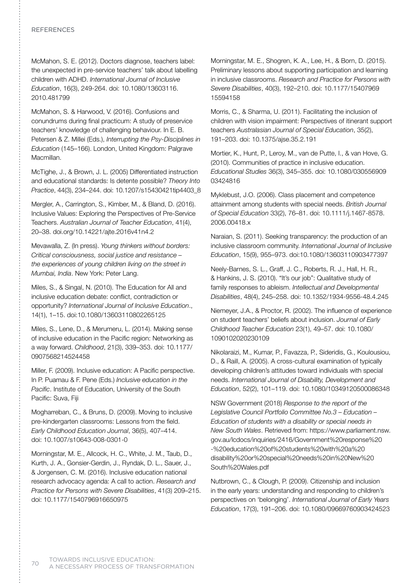## **REFERENCES**

McMahon, S. E. (2012). Doctors diagnose, teachers label: the unexpected in pre-service teachers' talk about labelling children with ADHD. *International Journal of Inclusive Education*, 16(3), 249-264. doi: 10.1080/13603116. 2010.481799

McMahon, S. & Harwood, V. (2016). Confusions and conundrums during final practicum: A study of preservice teachers' knowledge of challenging behaviour. In E. B. Petersen & Z. Millei (Eds.), *Interrupting the Psy-Disciplines in Education* (145–166). London, United Kingdom: Palgrave Macmillan.

McTighe, J., & Brown, J. L. (2005) Differentiated instruction and educational standards: Is detente possible? *Theory Into Practice*, 44(3), 234–244. doi: 10.1207/s15430421tip4403\_8

Mergler, A., Carrington, S., Kimber, M., & Bland, D. (2016). Inclusive Values: Exploring the Perspectives of Pre-Service Teachers. *Australian Journal of Teacher Education*, 41(4), 20–38. doi.org/10.14221/ajte.2016v41n4.2

Mevawalla, Z. (In press). *Young thinkers without borders: Critical consciousness, social justice and resistance – the experiences of young children living on the street in Mumbai, India*. New York: Peter Lang.

Miles, S., & Singal, N. (2010). The Education for All and inclusive education debate: conflict, contradiction or opportunity? *International Journal of Inclusive Education*., 14(1), 1–15. doi:10.1080/13603110802265125

Miles, S., Lene, D., & Merumeru, L. (2014). Making sense of inclusive education in the Pacific region: Networking as a way forward. *Childhood*, 21(3), 339–353. doi: 10.1177/ 0907568214524458

Miller, F. (2009). Inclusive education: A Pacific perspective. In P. Puamau & F. Pene (Eds.) *Inclusive education in the Pacific*. Institute of Education, University of the South Pacific: Suva, Fiji

Mogharreban, C., & Bruns, D. (2009). Moving to inclusive pre-kindergarten classrooms: Lessons from the field. *Early Childhood Education Journal*, 36(5), 407–414. doi: 10.1007/s10643-008-0301-0

Morningstar, M. E., Allcock, H. C., White, J. M., Taub, D., Kurth, J. A., Gonsier-Gerdin, J., Ryndak, D. L., Sauer, J., & Jorgensen, C. M. (2016). Inclusive education national research advocacy agenda: A call to action. *Research and Practice for Persons with Severe Disabilities*, 41(3) 209–215. doi: 10.1177/1540796916650975

Morningstar, M. E., Shogren, K. A., Lee, H., & Born, D. (2015). Preliminary lessons about supporting participation and learning in inclusive classrooms. *Research and Practice for Persons with Severe Disabilities*, 40(3), 192–210. doi: 10.1177/15407969 15594158

Morris, C., & Sharma, U. (2011). Facilitating the inclusion of children with vision impairment: Perspectives of itinerant support teachers *Australasian Journal of Special Education*, 35(2), 191–203. doi: 10.1375/ajse.35.2.191

Mortier, K., Hunt, P., Leroy, M., van de Putte, I., & van Hove, G. (2010). Communities of practice in inclusive education. *Educational Studies* 36(3), 345–355. doi: 10.1080/030556909 03424816

Myklebust, J.O. (2006). Class placement and competence attainment among students with special needs. *British Journal of Special Education* 33(2), 76–81. doi: 10.1111/j.1467-8578. 2006.00418.x

Naraian, S. (2011). Seeking transparency: the production of an inclusive classroom community. *International Journal of Inclusive Education*, 15(9), 955–973. doi:10.1080/13603110903477397

Neely-Barnes, S. L., Graff, J. C., Roberts, R. J., Hall, H. R., & Hankins, J. S. (2010). "It's our job": Qualitative study of family responses to ableism. *Intellectual and Developmental Disabilities*, 48(4), 245–258. doi: 10.1352/1934-9556-48.4.245

Niemeyer, J.A., & Proctor, R. (2002). The influence of experience on student teachers' beliefs about inclusion. *Journal of Early Childhood Teacher Education* 23(1), 49–57. doi: 10.1080/ 1090102020230109

Nikolaraizi, M., Kumar, P., Favazza, P., Sideridis, G., Koulousiou, D., & Raill, A. (2005). A cross-cultural examination of typically developing children's attitudes toward individuals with special needs. *International Journal of Disability, Development and Education*, 52(2), 101–119. doi: 10.1080/10349120500086348

NSW Government (2018) *Response to the report of the Legislative Council Portfolio Committee No.3 – Education – Education of students with a disability or special needs in New South Wales*. Retrieved from: https://www.parliament.nsw. gov.au/lcdocs/inquiries/2416/Government%20response%20 -%20education%20of%20students%20with%20a%20 disability%20or%20special%20needs%20in%20New%20 South%20Wales.pdf

Nutbrown, C., & Clough, P. (2009). Citizenship and inclusion in the early years: understanding and responding to children's perspectives on 'belonging'. *International Journal of Early Years Education*, 17(3), 191–206. doi: 10.1080/09669760903424523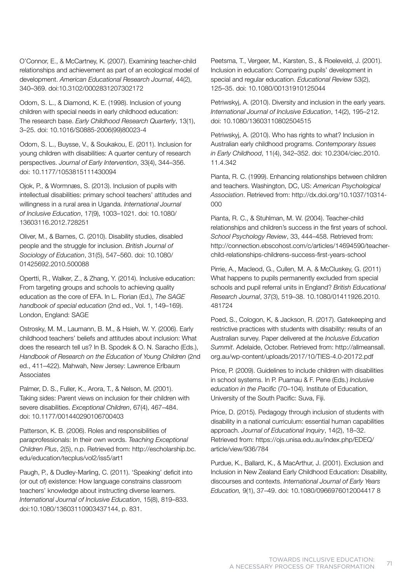O'Connor, E., & McCartney, K. (2007). Examining teacher-child relationships and achievement as part of an ecological model of development. *American Educational Research Journal*, 44(2), 340–369. doi:10.3102/0002831207302172

Odom, S. L., & Diamond, K. E. (1998). Inclusion of young children with special needs in early childhood education: The research base. *Early Childhood Research Quarterly*, 13(1), 3–25. doi: 10.1016/S0885-2006(99)80023-4

Odom, S. L., Buysse, V., & Soukakou, E. (2011). Inclusion for young children with disabilities: A quarter century of research perspectives. *Journal of Early Intervention*, 33(4), 344–356. doi: 10.1177/1053815111430094

Ojok, P., & Wormnæs, S. (2013). Inclusion of pupils with intellectual disabilities: primary school teachers' attitudes and willingness in a rural area in Uganda. *International Journal of Inclusive Education*, 17(9), 1003–1021. doi: 10.1080/ 13603116.2012.728251

Oliver, M., & Barnes, C. (2010). Disability studies, disabled people and the struggle for inclusion. *British Journal of Sociology of Education*, 31(5), 547–560. doi: 10.1080/ 01425692.2010.500088

Opertti, R., Walker, Z., & Zhang, Y. (2014). Inclusive education: From targeting groups and schools to achieving quality education as the core of EFA. In L. Florian (Ed.), *The SAGE handbook of special education* (2nd ed., Vol. 1, 149–169). London, England: SAGE

Ostrosky, M. M., Laumann, B. M., & Hsieh, W. Y. (2006). Early childhood teachers' beliefs and attitudes about inclusion: What does the research tell us? In B. Spodek & O. N. Saracho (Eds.), *Handbook of Research on the Education of Young Children* (2nd ed., 411–422). Mahwah, New Jersey: Lawrence Erlbaum Associates

Palmer, D. S., Fuller, K., Arora, T., & Nelson, M. (2001). Taking sides: Parent views on inclusion for their children with severe disabilities. *Exceptional Children*, 67(4), 467–484. doi: 10.1177/001440290106700403

Patterson, K. B. (2006). Roles and responsibilities of paraprofessionals: In their own words. *Teaching Exceptional Children Plus*, 2(5), n.p. Retrieved from: http://escholarship.bc. edu/education/tecplus/vol2/iss5/art1

Paugh, P., & Dudley-Marling, C. (2011). 'Speaking' deficit into (or out of) existence: How language constrains classroom teachers' knowledge about instructing diverse learners. *International Journal of Inclusive Education*, 15(8), 819–833. doi:10.1080/13603110903437144, p. 831.

Peetsma, T., Vergeer, M., Karsten, S., & Roeleveld, J. (2001). Inclusion in education: Comparing pupils' development in special and regular education. *Educational Review* 53(2), 125–35. doi: 10.1080/00131910125044

Petriwskyj, A. (2010). Diversity and inclusion in the early years. *International Journal of Inclusive Education*, 14(2), 195–212. doi: 10.1080/13603110802504515

Petriwskyj, A. (2010). Who has rights to what? Inclusion in Australian early childhood programs. *Contemporary Issues in Early Childhood*, 11(4), 342–352. doi: 10.2304/ciec.2010. 11.4.342

Pianta, R. C. (1999). Enhancing relationships between children and teachers. Washington, DC, US: *American Psychological Association*. Retrieved from: http://dx.doi.org/10.1037/10314- 000

Pianta, R. C., & Stuhlman, M. W. (2004). Teacher-child relationships and children's success in the first years of school. *School Psychology Review*, 33, 444–458. Retrieved from: http://connection.ebscohost.com/c/articles/14694590/teacherchild-relationships-childrens-success-first-years-school

Pirrie, A., Macleod, G., Cullen, M. A. & McCluskey, G. (2011) What happens to pupils permanently excluded from special schools and pupil referral units in England? *British Educational Research Journal*, 37(3), 519–38. 10.1080/01411926.2010. 481724

Poed, S., Cologon, K, & Jackson, R. (2017). Gatekeeping and restrictive practices with students with disability: results of an Australian survey. Paper delivered at the *Inclusive Education Summit*. Adelaide, October. Retrieved from: http://allmeansall. org.au/wp-content/uploads/2017/10/TIES-4.0-20172.pdf

Price, P. (2009). Guidelines to include children with disabilities in school systems. In P. Puamau & F. Pene (Eds.) *Inclusive education in the Pacific* (70–104). Institute of Education, University of the South Pacific: Suva, Fiji.

Price, D. (2015). Pedagogy through inclusion of students with disability in a national curriculum: essential human capabilities approach. *Journal of Educational Inquiry*, 14(2), 18–32. Retrieved from: https://ojs.unisa.edu.au/index.php/EDEQ/ article/view/936/784

Purdue, K., Ballard, K., & MacArthur, J. (2001). Exclusion and Inclusion in New Zealand Early Childhood Education: Disability, discourses and contexts. *International Journal of Early Years Education,* 9(1), 37–49. doi: 10.1080/0966976012004417 8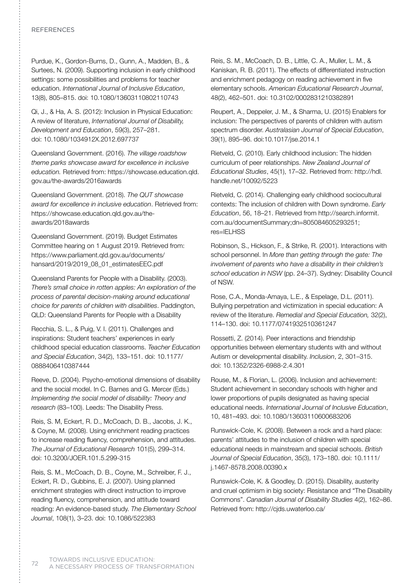## **REFERENCES**

Purdue, K., Gordon-Burns, D., Gunn, A., Madden, B., & Surtees, N. (2009). Supporting inclusion in early childhood settings: some possibilities and problems for teacher education. *International Journal of Inclusive Education*, 13(8), 805–815. doi: 10.1080/13603110802110743

Qi, J., & Ha, A. S. (2012): Inclusion in Physical Education: A review of literature, *International Journal of Disability, Development and Education*, 59(3), 257–281. doi: 10.1080/1034912X.2012.697737

Queensland Government. (2016). *The village roadshow theme parks showcase award for excellence in inclusive education.* Retrieved from: https://showcase.education.qld. gov.au/the-awards/2016awards

Queensland Government. (2018). *The QUT showcase award for excellence in inclusive education*. Retrieved from: https://showcase.education.qld.gov.au/theawards/2018awards

Queensland Government. (2019). Budget Estimates Committee hearing on 1 August 2019. Retrieved from: https://www.parliament.qld.gov.au/documents/ hansard/2019/2019\_08\_01\_estimatesEEC.pdf

Queensland Parents for People with a Disability. (2003). *There's small choice in rotten apples: An exploration of the process of parental decision-making around educational choice for parents of children with disabilities*. Paddington, QLD: Queensland Parents for People with a Disability

Recchia, S. L., & Puig, V. I. (2011). Challenges and inspirations: Student teachers' experiences in early childhood special education classrooms. *Teacher Education and Special Education*, 34(2), 133–151. doi: 10.1177/ 0888406410387444

Reeve, D. (2004). Psycho-emotional dimensions of disability and the social model. In C. Barnes and G. Mercer (Eds.) *Implementing the social model of disability: Theory and research* (83–100). Leeds: The Disability Press.

Reis, S. M, Eckert, R. D., McCoach, D. B., Jacobs, J. K., & Coyne, M. (2008). Using enrichment reading practices to increase reading fluency, comprehension, and attitudes. *The Journal of Educational Research* 101(5), 299–314. doi: 10.3200/JOER.101.5.299-315

Reis, S. M., McCoach, D. B., Coyne, M., Schreiber, F. J., Eckert, R. D., Gubbins, E. J. (2007). Using planned enrichment strategies with direct instruction to improve reading fluency, comprehension, and attitude toward reading: An evidence-based study. *The Elementary School Journal*, 108(1), 3–23. doi: 10.1086/522383

Reis, S. M., McCoach, D. B., Little, C. A., Muller, L. M., & Kaniskan, R. B. (2011). The effects of differentiated instruction and enrichment pedagogy on reading achievement in five elementary schools. *American Educational Research Journal*, 48(2), 462–501. doi: 10.3102/0002831210382891

Reupert, A., Deppeler, J. M., & Sharma, U. (2015) Enablers for inclusion: The perspectives of parents of children with autism spectrum disorder. *Australasian Journal of Special Education*, 39(1), 895–96. doi:10.1017/jse.2014.1

Rietveld, C. (2010). Early childhood inclusion: The hidden curriculum of peer relationships. *New Zealand Journal of Educational Studies*, 45(1), 17–32. Retrieved from: http://hdl. handle.net/10092/5223

Rietveld, C. (2014). Challenging early childhood sociocultural contexts: The inclusion of children with Down syndrome. *Early Education*, 56, 18–21. Retrieved from http://search.informit. com.au/documentSummary;dn=805084605293251; res=IELHSS

Robinson, S., Hickson, F., & Strike, R. (2001). Interactions with school personnel. In *More than getting through the gate: The involvement of parents who have a disability in their children's school education in NSW* (pp. 24–37). Sydney: Disability Council of NSW.

Rose, C.A., Monda-Amaya, L.E., & Espelage, D.L. (2011). Bullying perpetration and victimization in special education: A review of the literature. *Remedial and Special Education,* 32(2), 114–130. doi: 10.1177/0741932510361247

Rossetti, Z. (2014). Peer interactions and friendship opportunities between elementary students with and without Autism or developmental disability. *Inclusion*, 2, 301–315. doi: 10.1352/2326-6988-2.4.301

Rouse, M., & Florian, L. (2006). Inclusion and achievement: Student achievement in secondary schools with higher and lower proportions of pupils designated as having special educational needs. *International Journal of Inclusive Education*, 10, 481–493. doi: 10.1080/13603110600683206

Runswick-Cole, K. (2008). Between a rock and a hard place: parents' attitudes to the inclusion of children with special educational needs in mainstream and special schools. *British Journal of Special Education*, 35(3), 173–180. doi: 10.1111/ j.1467-8578.2008.00390.x

Runswick-Cole, K. & Goodley, D. (2015). Disability, austerity and cruel optimism in big society: Resistance and "The Disability Commons". *Canadian Journal of Disability Studies* 4(2), 162–86. Retrieved from: http://cjds.uwaterloo.ca/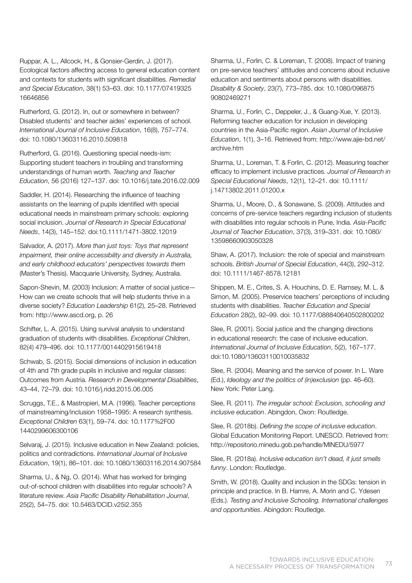Ruppar, A. L., Allcock, H., & Gonsier-Gerdin, J. (2017). Ecological factors affecting access to general education content and contexts for students with significant disabilities. *Remedial and Special Education*, 38(1) 53–63. doi: 10.1177/07419325 16646856

Rutherford, G. (2012). In, out or somewhere in between? Disabled students' and teacher aides' experiences of school. *International Journal of Inclusive Education*, 16(8), 757–774. doi: 10.1080/13603116.2010.509818

Rutherford, G. (2016). Questioning special needs-ism: Supporting student teachers in troubling and transforming understandings of human worth. *Teaching and Teacher Education*, 56 (2016) 127–137. doi: 10.1016/j.tate.2016.02.009

Saddler, H. (2014). Researching the influence of teaching assistants on the learning of pupils identified with special educational needs in mainstream primary schools: exploring social inclusion. *Journal of Research in Special Educational Needs*, 14(3), 145–152. doi:10.1111/1471-3802.12019

Salvador, A. (2017). *More than just toys: Toys that represent impairment, their online accessibility and diversity in Australia, and early childhood educators' perspectives towards them* (Master's Thesis). Macquarie University, Sydney, Australia.

Sapon-Shevin, M. (2003) Inclusion: A matter of social justice— How can we create schools that will help students thrive in a diverse society? *Education Leadership* 61(2), 25–28. Retrieved from: http://www.ascd.org, p. 26

Schifter, L. A. (2015). Using survival analysis to understand graduation of students with disabilities. *Exceptional Children*, 82(4) 479–496. doi: 10.1177/0014402915619418

Schwab, S. (2015). Social dimensions of inclusion in education of 4th and 7th grade pupils in inclusive and regular classes: Outcomes from Austria. *Research in Developmental Disabilities*, 43–44, 72–79. doi: 10.1016/j.ridd.2015.06.005

Scruggs, T.E., & Mastropieri, M.A. (1996). Teacher perceptions of mainstreaming/inclusion 1958–1995: A research synthesis. *Exceptional Children* 63(1), 59–74. doi: 10.1177%2F00 1440299606300106

Selvaraj, J. (2015). Inclusive education in New Zealand: policies, politics and contradictions. *International Journal of Inclusive Education*, 19(1), 86–101. doi: 10.1080/13603116.2014.907584

Sharma, U., & Ng, O. (2014). What has worked for bringing out-of-school children with disabilities into regular schools? A literature review. *Asia Pacific Disability Rehabilitation Journal*, 25(2), 54–75. doi: 10.5463/DCID.v25i2.355

Sharma, U., Forlin, C. & Loreman, T. (2008). Impact of training on pre-service teachers' attitudes and concerns about inclusive education and sentiments about persons with disabilities. *Disability & Society*, 23(7), 773–785. doi: 10.1080/096875 90802469271

Sharma, U., Forlin, C., Deppeler, J., & Guang-Xue, Y. (2013). Reforming teacher education for inclusion in developing countries in the Asia-Pacific region. *Asian Journal of Inclusive Education*, 1(1), 3–16. Retrieved from: http://www.ajie-bd.net/ archive.htm

Sharma, U., Loreman, T. & Forlin, C. (2012). Measuring teacher efficacy to implement inclusive practices. *Journal of Research in Special Educational Needs*, 12(1), 12–21. doi: 10.1111/ j.14713802.2011.01200.x

Sharma, U., Moore, D., & Sonawane, S. (2009). Attitudes and concerns of pre-service teachers regarding inclusion of students with disabilities into regular schools in Pune, India. *Asia-Pacific Journal of Teacher Education*, 37(3), 319–331. doi: 10.1080/ 13598660903050328

Shaw, A. (2017). Inclusion: the role of special and mainstream schools. *British Journal of Special Education*, 44(3), 292–312. doi: 10.1111/1467-8578.12181

Shippen, M. E., Crites, S. A. Houchins, D. E. Ramsey, M. L. & Simon, M. (2005). Preservice teachers' perceptions of including students with disabilities. *Teacher Education and Special Education* 28(2), 92–99. doi: 10.1177/088840640502800202

Slee, R. (2001). Social justice and the changing directions in educational research: the case of inclusive education. *International Journal of Inclusive Education*, 5(2), 167–177. doi:10.1080/13603110010035832

Slee, R. (2004). Meaning and the service of power. In L. Ware (Ed.), *Ideology and the politics of (in)exclusion* (pp. 46–60). New York: Peter Lang.

Slee, R. (2011). *The irregular school: Exclusion, schooling and inclusive education*. Abingdon, Oxon: Routledge.

Slee, R. (2018b). *Defining the scope of inclusive education*. Global Education Monitoring Report. UNESCO. Retrieved from: http://repositorio.minedu.gob.pe/handle/MINEDU/5977

Slee, R. (2018a). *Inclusive education isn't dead, it just smells funny*. London: Routledge.

Smith, W. (2018). Quality and inclusion in the SDGs: tension in principle and practice. In B. Hamre, A. Morin and C. Ydesen (Eds.). *Testing and Inclusive Schooling. International challenges and opportunities*. Abingdon: Routledge.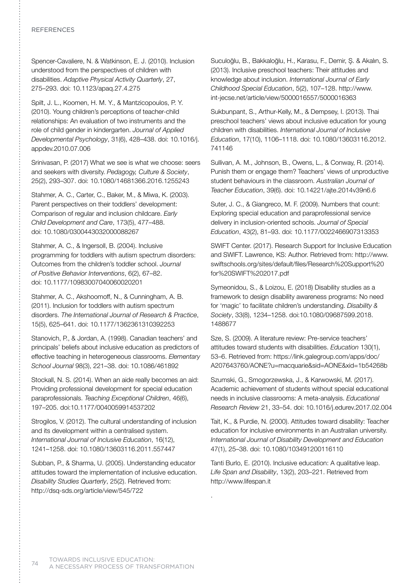## **REFERENCES**

Spencer-Cavaliere, N. & Watkinson, E. J. (2010). Inclusion understood from the perspectives of children with disabilities. *Adaptive Physical Activity Quarterly*, 27, 275–293. doi: 10.1123/apaq.27.4.275

Spilt, J. L., Koomen, H. M. Y., & Mantzicopoulos, P. Y. (2010). Young children's perceptions of teacher-child relationships: An evaluation of two instruments and the role of child gender in kindergarten. *Journal of Applied Developmental Psychology*, 31(6), 428–438. doi: 10.1016/j. appdev.2010.07.006

Srinivasan, P. (2017) What we see is what we choose: seers and seekers with diversity. *Pedagogy, Culture & Society*, 25(2), 293–307. doi: 10.1080/14681366.2016.1255243

Stahmer, A. C., Carter, C., Baker, M., & Miwa, K. (2003). Parent perspectives on their toddlers' development: Comparison of regular and inclusion childcare. *Early Child Development and Care*, 173(5), 477–488. doi: 10.1080/0300443032000088267

Stahmer, A. C., & Ingersoll, B. (2004). Inclusive programming for toddlers with autism spectrum disorders: Outcomes from the children's toddler school. *Journal of Positive Behavior Interventions*, 6(2), 67–82. doi: 10.1177/10983007040060020201

Stahmer, A. C., Akshoomoff, N., & Cunningham, A. B. (2011). Inclusion for toddlers with autism spectrum disorders. *The International Journal of Research & Practice*, 15(5), 625–641. doi: 10.1177/1362361310392253

Stanovich, P., & Jordan, A. (1998). Canadian teachers' and principals' beliefs about inclusive education as predictors of effective teaching in heterogeneous classrooms. *Elementary School Journal* 98(3), 221–38. doi: 10.1086/461892

Stockall, N. S. (2014). When an aide really becomes an aid: Providing professional development for special education paraprofessionals. *Teaching Exceptional Children*, 46(6), 197–205. doi:10.1177/0040059914537202

Strogilos, V. (2012). The cultural understanding of inclusion and its development within a centralised system. *International Journal of Inclusive Education*, 16(12), 1241–1258. doi: 10.1080/13603116.2011.557447

Subban, P., & Sharma, U. (2005). Understanding educator attitudes toward the implementation of inclusive education. *Disability Studies Quarterly*, 25(2). Retrieved from: http://dsq-sds.org/article/view/545/722

Suculoğlu, B., Bakkaloğlu, H., Karasu, F., Demir, Ş. & Akalın, S. (2013). Inclusive preschool teachers: Their attitudes and knowledge about inclusion. *International Journal of Early Childhood Special Education*, 5(2), 107–128. http://www. int-jecse.net/article/view/5000016557/5000016363

Sukbunpant, S., Arthur-Kelly, M., & Dempsey, I. (2013). Thai preschool teachers' views about inclusive education for young children with disabilities. *International Journal of Inclusive Education*, 17(10), 1106–1118. doi: 10.1080/13603116.2012. 741146

Sullivan, A. M., Johnson, B., Owens, L., & Conway, R. (2014). Punish them or engage them? Teachers' views of unproductive student behaviours in the classroom. *Australian Journal of Teacher Education*, 39(6). doi: 10.14221/ajte.2014v39n6.6

Suter, J. C., & Giangreco, M. F. (2009). Numbers that count: Exploring special education and paraprofessional service delivery in inclusion-oriented schools. *Journal of Special Education*, 43(2), 81–93. doi: 10.1177/0022466907313353

SWIFT Center. (2017). Research Support for Inclusive Education and SWIFT. Lawrence, KS: Author. Retrieved from: http://www. swiftschools.org/sites/default/files/Research%20Support%20 for%20SWIFT%202017.pdf

Symeonidou, S., & Loizou, E. (2018) Disability studies as a framework to design disability awareness programs: No need for 'magic' to facilitate children's understanding. *Disability & Society*, 33(8), 1234–1258. doi:10.1080/09687599.2018. 1488677

Sze, S. (2009). A literature review: Pre-service teachers' attitudes toward students with disabilities. *Education* 130(1), 53–6. Retrieved from: https://link.galegroup.com/apps/doc/ A207643760/AONE?u=macquarie&sid=AONE&xid=1b54268b

Szumski, G., Smogorzewska, J., & Karwowski, M. (2017). Academic achievement of students without special educational needs in inclusive classrooms: A meta-analysis. *Educational Research Review* 21, 33–54. doi: 10.1016/j.edurev.2017.02.004

Tait, K., & Purdie, N. (2000). Attitudes toward disability: Teacher education for inclusive environments in an Australian university. *International Journal of Disability Development and Education* 47(1), 25–38. doi: 10.1080/103491200116110

Tanti Burlo, E. (2010). Inclusive education: A qualitative leap. *Life Span and Disability*, 13(2), 203–221. Retrieved from http://www.lifespan.it

.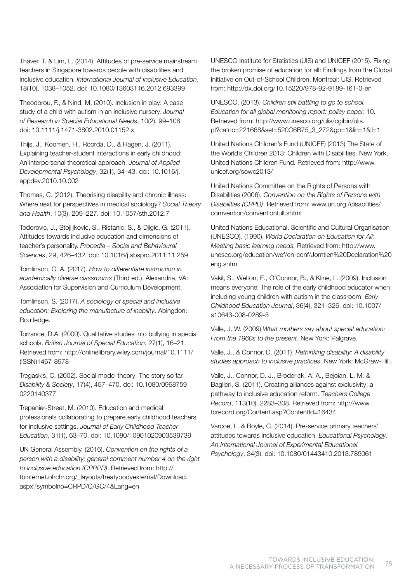Thaver, T. & Lim, L. (2014). Attitudes of pre-service mainstream teachers in Singapore towards people with disabilities and inclusive education. *International Journal of Inclusive Education*, 18(10), 1038–1052. doi: 10.1080/13603116.2012.693399

Theodorou, F., & Nind, M. (2010). Inclusion in play: A case study of a child with autism in an inclusive nursery. J*ournal of Research in Special Educational Needs*, 10(2), 99–106. doi: 10.1111/j.1471-3802.2010.01152.x

Thijs, J., Koomen, H., Roorda, D., & Hagen, J. (2011). Explaining teacher-student interactions in early childhood: An interpersonal theoretical approach. *Journal of Applied Developmental Psychology*, 32(1), 34–43. doi: 10.1016/j. appdev.2010.10.002

Thomas, C. (2012). Theorising disability and chronic illness: Where next for perspectives in medical sociology? *Social Theory and Health*, 10(3), 209–227. doi: 10.1057/sth.2012.7

Todorovic, J., Stojiljkovic, S., Ristanic, S., & Djigic, G. (2011). Attitudes towards inclusive education and dimensions of teacher's personality. *Procedia – Social and Behavioural Sciences*, 29, 426–432. doi: 10.1016/j.sbspro.2011.11.259

Tomlinson, C. A. (2017). *How to differentiate instruction in academically diverse classrooms* (Third ed.). Alexandria, VA: Association for Supervision and Curriculum Development.

Tomlinson, S. (2017). *A sociology of special and inclusive education: Exploring the manufacture of inability*. Abingdon: Routledge.

Torrance, D.A. (2000). Qualitative studies into bullying in special schools. *British Journal of Special Education*, 27(1), 16–21. Retrieved from: http://onlinelibrary.wiley.com/journal/10.1111/ (ISSN)1467-8578

Tregaskis, C. (2002). Social model theory: The story so far. *Disability & Society*, 17(4), 457–470. doi: 10.1080/0968759 0220140377

Trepanier-Street, M. (2010). Education and medical professionals collaborating to prepare early childhood teachers for inclusive settings. *Journal of Early Childhood Teacher Education*, 31(1), 63–70. doi: 10.1080/10901020903539739

UN General Assembly. (2016). *Convention on the rights of a person with a disability; general comment number 4 on the right to inclusive education (CPRPD)*. Retrieved from: http:// tbinternet.ohchr.org/\_layouts/treatybodyexternal/Download. aspx?symbolno=CRPD/C/GC/4&Lang=en

UNESCO Institute for Statistics (UIS) and UNICEF (2015). Fixing the broken promise of education for all: Findings from the Global Initiative on Out-of-School Children. Montreal: UIS. Retrieved from: http://dx.doi.org/10.15220/978-92-9189-161-0-en

UNESCO. (2013). *Children still battling to go to school. Education for all global monitoring report: policy paper,* 10. Retrieved from: http://www.unesco.org/ulis/cgibin/ulis. pl?catno=221668&set=520C6B75\_3\_272&gp=1&lin=1&ll=1

United Nations Children's Fund (UNICEF) (2013) The State of the World's Children 2013: Children with Disabilities. New York, United Nations Children Fund. Retrieved from: http://www. unicef.org/sowc2013/

United Nations Committee on the Rights of Persons with Disabilities (2006). *Convention on the Rights of Persons with Disabilities (CRPD)*. Retrieved from: www.un.org./disabilities/ comvention/conventionfull.shtml

United Nations Educational, Scientific and Cultural Organisation (UNESCO). (1990). *World Declaration on Education for All: Meeting basic learning needs.* Retrieved from: http://www. unesco.org/education/wef/en-conf/Jomtien%20Declaration%20 eng.shtm

Vakil, S., Welton, E., O'Connor, B., & Kline, L. (2009). Inclusion means everyone! The role of the early childhood educator when including young children with autism in the classroom. *Early Childhood Education Journal*, 36(4), 321–326. doi: 10.1007/ s10643-008-0289-5

Valle, J. W. (2009) *What mothers say about special education: From the 1960s to the present*. New York: Palgrave.

Valle, J., & Connor, D. (2011). *Rethinking disability: A disability studies approach to inclusive practices*. New York: McGraw-Hill.

Valle, J., Connor, D. J., Broderick, A. A., Bejoian, L. M. & Baglieri, S. (2011). Creating alliances against exclusivity: a pathway to inclusive education reform. T*eachers College Record*, 113(10). 2283–308. Retrieved from: http://www. tcrecord.org/Content.asp?ContentId=16434

Varcoe, L. & Boyle, C. (2014). Pre-service primary teachers' attitudes towards inclusive education. *Educational Psychology: An International Journal of Experimental Educational Psychology*, 34(3). doi: 10.1080/01443410.2013.785061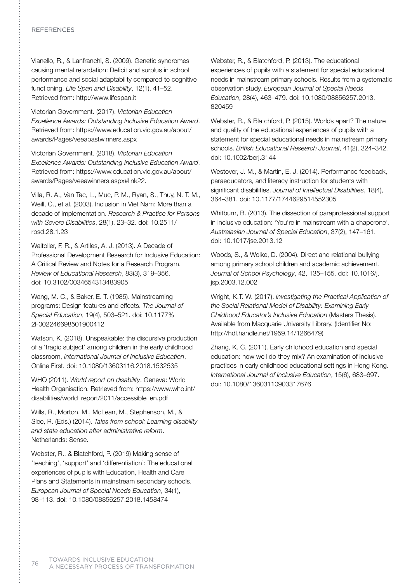## **REFERENCES**

Vianello, R., & Lanfranchi, S. (2009). Genetic syndromes causing mental retardation: Deficit and surplus in school performance and social adaptability compared to cognitive functioning. *Life Span and Disability*, 12(1), 41–52. Retrieved from: http://www.lifespan.it

Victorian Government. (2017). *Victorian Education Excellence Awards: Outstanding Inclusive Education Award*. Retrieved from: https://www.education.vic.gov.au/about/ awards/Pages/veeapastwinners.aspx

Victorian Government. (2018). *Victorian Education Excellence Awards: Outstanding Inclusive Education Award*. Retrieved from: https://www.education.vic.gov.au/about/ awards/Pages/veeawinners.aspx#link22.

Villa, R. A., Van Tac, L., Muc, P. M., Ryan, S., Thuy, N. T. M., Weill, C., et al. (2003). Inclusion in Viet Nam: More than a decade of implementation. *Research & Practice for Persons with Severe Disabilities*, 28(1), 23–32. doi: 10.2511/ rpsd.28.1.23

Waitoller, F. R., & Artiles, A. J. (2013). A Decade of Professional Development Research for Inclusive Education: A Critical Review and Notes for a Research Program. *Review of Educational Research*, 83(3), 319–356. doi: 10.3102/0034654313483905

Wang, M. C., & Baker, E. T. (1985). Mainstreaming programs: Design features and effects. *The Journal of Special Education*, 19(4), 503–521. doi: 10.1177% 2F002246698501900412

Watson, K. (2018). Unspeakable: the discursive production of a 'tragic subject' among children in the early childhood classroom, *International Journal of Inclusive Education*, Online First. doi: 10.1080/13603116.2018.1532535

WHO (2011). *World report on disability*. Geneva: World Health Organisation. Retrieved from: https://www.who.int/ disabilities/world\_report/2011/accessible\_en.pdf

Wills, R., Morton, M., McLean, M., Stephenson, M., & Slee, R. (Eds.) (2014). *Tales from school: Learning disability and state education after administrative reform*. Netherlands: Sense.

Webster, R., & Blatchford, P. (2019) Making sense of 'teaching', 'support' and 'differentiation': The educational experiences of pupils with Education, Health and Care Plans and Statements in mainstream secondary schools. *European Journal of Special Needs Education*, 34(1), 98–113. doi: 10.1080/08856257.2018.1458474

Webster, R., & Blatchford, P. (2013). The educational experiences of pupils with a statement for special educational needs in mainstream primary schools. Results from a systematic observation study. *European Journal of Special Needs Education*, 28(4), 463–479. doi: 10.1080/08856257.2013. 820459

Webster, R., & Blatchford, P. (2015). Worlds apart? The nature and quality of the educational experiences of pupils with a statement for special educational needs in mainstream primary schools. *British Educational Research Journal*, 41(2), 324–342. doi: 10.1002/berj.3144

Westover, J. M., & Martin, E. J. (2014). Performance feedback, paraeducators, and literacy instruction for students with significant disabilities. *Journal of Intellectual Disabilities*, 18(4), 364–381. doi: 10.1177/1744629514552305

Whitburn, B. (2013). The dissection of paraprofessional support in inclusive education: 'You're in mainstream with a chaperone'. *Australasian Journal of Special Education*, 37(2), 147–161. doi: 10.1017/jse.2013.12

Woods, S., & Wolke, D. (2004). Direct and relational bullying among primary school children and academic achievement. *Journal of School Psychology*, 42, 135–155. doi: 10.1016/j. jsp.2003.12.002

Wright, K.T. W. (2017). *Investigating the Practical Application of the Social Relational Model of Disability: Examining Early Childhood Educator's Inclusive Education* (Masters Thesis). Available from Macquarie University Library. (Identifier No: http://hdl.handle.net/1959.14/1266479)

Zhang, K. C. (2011). Early childhood education and special education: how well do they mix? An examination of inclusive practices in early childhood educational settings in Hong Kong. *International Journal of Inclusive Education*, 15(6), 683–697. doi: 10.1080/13603110903317676